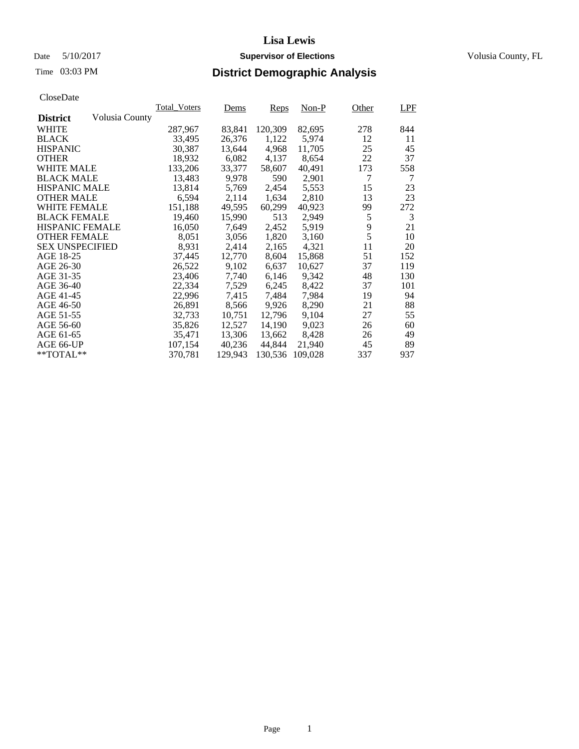# Date 5/10/2017 **Supervisor of Elections Supervisor of Elections** Volusia County, FL

# Time 03:03 PM **District Demographic Analysis**

| Ciuscivate             |                |                     |         |         |         |       |     |
|------------------------|----------------|---------------------|---------|---------|---------|-------|-----|
|                        |                | <b>Total Voters</b> | Dems    | Reps    | $Non-P$ | Other | LPF |
| <b>District</b>        | Volusia County |                     |         |         |         |       |     |
| <b>WHITE</b>           |                | 287,967             | 83,841  | 120,309 | 82,695  | 278   | 844 |
| <b>BLACK</b>           |                | 33,495              | 26,376  | 1,122   | 5,974   | 12    | 11  |
| <b>HISPANIC</b>        |                | 30,387              | 13,644  | 4,968   | 11,705  | 25    | 45  |
| <b>OTHER</b>           |                | 18,932              | 6,082   | 4,137   | 8,654   | 22    | 37  |
| <b>WHITE MALE</b>      |                | 133,206             | 33,377  | 58,607  | 40,491  | 173   | 558 |
| <b>BLACK MALE</b>      |                | 13,483              | 9,978   | 590     | 2,901   | 7     | 7   |
| <b>HISPANIC MALE</b>   |                | 13,814              | 5,769   | 2,454   | 5,553   | 15    | 23  |
| <b>OTHER MALE</b>      |                | 6,594               | 2,114   | 1,634   | 2,810   | 13    | 23  |
| <b>WHITE FEMALE</b>    |                | 151,188             | 49,595  | 60,299  | 40,923  | 99    | 272 |
| <b>BLACK FEMALE</b>    |                | 19,460              | 15,990  | 513     | 2,949   | 5     | 3   |
| <b>HISPANIC FEMALE</b> |                | 16,050              | 7,649   | 2,452   | 5,919   | 9     | 21  |
| <b>OTHER FEMALE</b>    |                | 8,051               | 3,056   | 1,820   | 3,160   | 5     | 10  |
| <b>SEX UNSPECIFIED</b> |                | 8,931               | 2,414   | 2,165   | 4,321   | 11    | 20  |
| AGE 18-25              |                | 37,445              | 12,770  | 8,604   | 15,868  | 51    | 152 |
| AGE 26-30              |                | 26,522              | 9,102   | 6,637   | 10,627  | 37    | 119 |
| AGE 31-35              |                | 23,406              | 7,740   | 6,146   | 9,342   | 48    | 130 |
| AGE 36-40              |                | 22,334              | 7,529   | 6,245   | 8,422   | 37    | 101 |
| AGE 41-45              |                | 22,996              | 7,415   | 7,484   | 7,984   | 19    | 94  |
| AGE 46-50              |                | 26,891              | 8,566   | 9,926   | 8,290   | 21    | 88  |
| AGE 51-55              |                | 32,733              | 10,751  | 12,796  | 9,104   | 27    | 55  |
| AGE 56-60              |                | 35,826              | 12,527  | 14,190  | 9,023   | 26    | 60  |
| AGE 61-65              |                | 35,471              | 13,306  | 13,662  | 8,428   | 26    | 49  |
| AGE 66-UP              |                | 107,154             | 40,236  | 44,844  | 21,940  | 45    | 89  |
| $*$ TOTAL $**$         |                | 370,781             | 129,943 | 130,536 | 109.028 | 337   | 937 |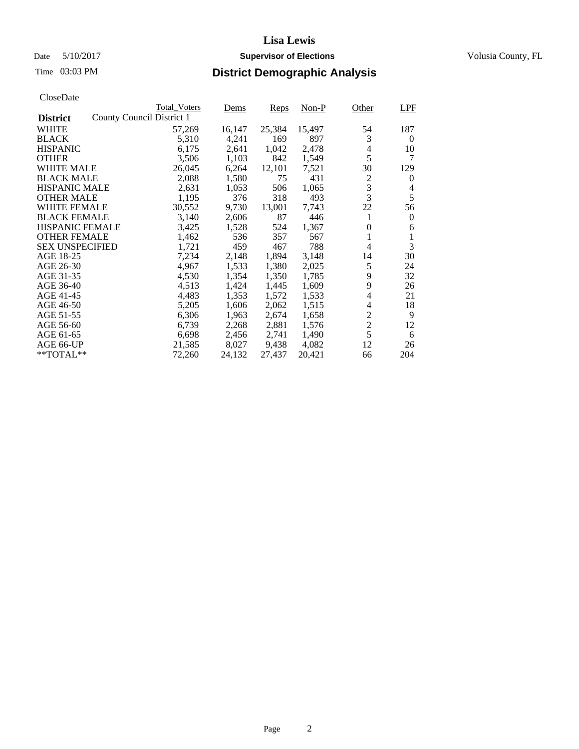# Date 5/10/2017 **Supervisor of Elections Supervisor of Elections** Volusia County, FL

# Time 03:03 PM **District Demographic Analysis**

|                                              | <b>Total Voters</b> | Dems   | Reps   | Non-P  | Other          | <b>LPF</b> |
|----------------------------------------------|---------------------|--------|--------|--------|----------------|------------|
| County Council District 1<br><b>District</b> |                     |        |        |        |                |            |
| WHITE                                        | 57,269              | 16,147 | 25,384 | 15,497 | 54             | 187        |
| <b>BLACK</b>                                 | 5,310               | 4,241  | 169    | 897    | 3              | $\theta$   |
| <b>HISPANIC</b>                              | 6,175               | 2,641  | 1,042  | 2,478  | 4              | 10         |
| <b>OTHER</b>                                 | 3,506               | 1,103  | 842    | 1,549  | 5              | 7          |
| WHITE MALE                                   | 26,045              | 6,264  | 12,101 | 7,521  | 30             | 129        |
| <b>BLACK MALE</b>                            | 2,088               | 1,580  | 75     | 431    | 2              | $\theta$   |
| <b>HISPANIC MALE</b>                         | 2,631               | 1,053  | 506    | 1,065  | 3              | 4          |
| <b>OTHER MALE</b>                            | 1,195               | 376    | 318    | 493    | 3              | 5          |
| WHITE FEMALE                                 | 30,552              | 9,730  | 13,001 | 7,743  | 22             | 56         |
| <b>BLACK FEMALE</b>                          | 3,140               | 2,606  | 87     | 446    | 1              | $\Omega$   |
| <b>HISPANIC FEMALE</b>                       | 3,425               | 1,528  | 524    | 1,367  | 0              | 6          |
| <b>OTHER FEMALE</b>                          | 1,462               | 536    | 357    | 567    | 1              | 1          |
| <b>SEX UNSPECIFIED</b>                       | 1,721               | 459    | 467    | 788    | 4              | 3          |
| AGE 18-25                                    | 7,234               | 2,148  | 1,894  | 3,148  | 14             | 30         |
| AGE 26-30                                    | 4,967               | 1,533  | 1,380  | 2,025  | 5              | 24         |
| AGE 31-35                                    | 4,530               | 1,354  | 1,350  | 1,785  | 9              | 32         |
| AGE 36-40                                    | 4,513               | 1,424  | 1,445  | 1,609  | 9              | 26         |
| AGE 41-45                                    | 4,483               | 1,353  | 1,572  | 1,533  | 4              | 21         |
| AGE 46-50                                    | 5,205               | 1,606  | 2,062  | 1,515  | 4              | 18         |
| AGE 51-55                                    | 6,306               | 1,963  | 2,674  | 1,658  | $\overline{c}$ | 9          |
| AGE 56-60                                    | 6,739               | 2,268  | 2,881  | 1,576  | $\overline{c}$ | 12         |
| AGE 61-65                                    | 6,698               | 2,456  | 2,741  | 1,490  | 5              | 6          |
| AGE 66-UP                                    | 21,585              | 8,027  | 9,438  | 4,082  | 12             | 26         |
| $*$ $TOTAL**$                                | 72,260              | 24,132 | 27,437 | 20,421 | 66             | 204        |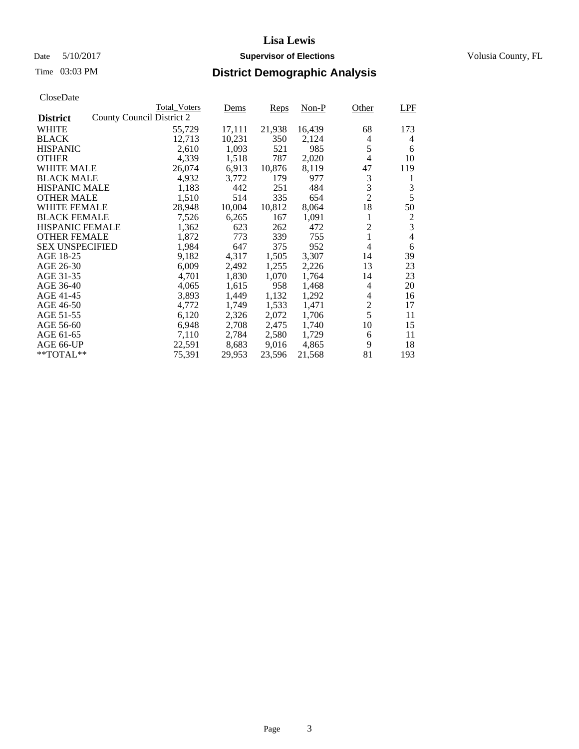# Date 5/10/2017 **Supervisor of Elections Supervisor of Elections** Volusia County, FL

| CloseDate |
|-----------|
|-----------|

|                        |                           | <b>Total Voters</b> | Dems   | Reps   | Non-P  | Other          | LPF            |
|------------------------|---------------------------|---------------------|--------|--------|--------|----------------|----------------|
| <b>District</b>        | County Council District 2 |                     |        |        |        |                |                |
| <b>WHITE</b>           |                           | 55,729              | 17,111 | 21,938 | 16,439 | 68             | 173            |
| <b>BLACK</b>           |                           | 12,713              | 10,231 | 350    | 2,124  | 4              | $\overline{4}$ |
| <b>HISPANIC</b>        |                           | 2,610               | 1,093  | 521    | 985    | 5              | 6              |
| <b>OTHER</b>           |                           | 4,339               | 1,518  | 787    | 2,020  | 4              | 10             |
| <b>WHITE MALE</b>      |                           | 26,074              | 6,913  | 10,876 | 8,119  | 47             | 119            |
| <b>BLACK MALE</b>      |                           | 4,932               | 3,772  | 179    | 977    | 3              | 1              |
| <b>HISPANIC MALE</b>   |                           | 1,183               | 442    | 251    | 484    | 3              | 3              |
| <b>OTHER MALE</b>      |                           | 1,510               | 514    | 335    | 654    | $\overline{2}$ | 5              |
| <b>WHITE FEMALE</b>    |                           | 28,948              | 10,004 | 10,812 | 8,064  | 18             | 50             |
| <b>BLACK FEMALE</b>    |                           | 7,526               | 6,265  | 167    | 1,091  | 1              | $\frac{2}{3}$  |
| <b>HISPANIC FEMALE</b> |                           | 1,362               | 623    | 262    | 472    | $\overline{2}$ |                |
| <b>OTHER FEMALE</b>    |                           | 1,872               | 773    | 339    | 755    | $\mathbf{1}$   | $\overline{4}$ |
| <b>SEX UNSPECIFIED</b> |                           | 1,984               | 647    | 375    | 952    | 4              | 6              |
| AGE 18-25              |                           | 9,182               | 4,317  | 1,505  | 3,307  | 14             | 39             |
| AGE 26-30              |                           | 6,009               | 2,492  | 1,255  | 2,226  | 13             | 23             |
| AGE 31-35              |                           | 4,701               | 1,830  | 1,070  | 1,764  | 14             | 23             |
| AGE 36-40              |                           | 4,065               | 1,615  | 958    | 1,468  | 4              | 20             |
| AGE 41-45              |                           | 3,893               | 1,449  | 1,132  | 1,292  | 4              | 16             |
| AGE 46-50              |                           | 4,772               | 1,749  | 1,533  | 1,471  | $\overline{c}$ | 17             |
| AGE 51-55              |                           | 6,120               | 2,326  | 2,072  | 1,706  | 5              | 11             |
| AGE 56-60              |                           | 6,948               | 2,708  | 2,475  | 1,740  | 10             | 15             |
| AGE 61-65              |                           | 7,110               | 2,784  | 2,580  | 1,729  | 6              | 11             |
| AGE 66-UP              |                           | 22,591              | 8,683  | 9,016  | 4,865  | 9              | 18             |
| **TOTAL**              |                           | 75,391              | 29,953 | 23,596 | 21,568 | 81             | 193            |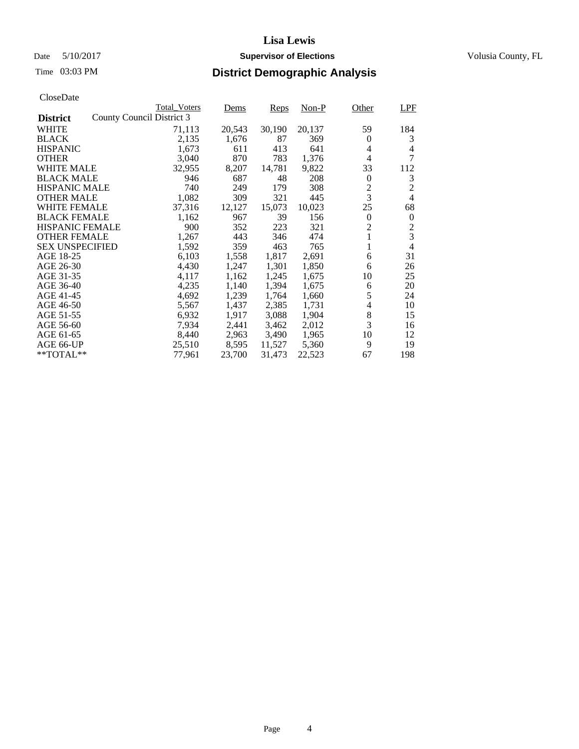# Date 5/10/2017 **Supervisor of Elections Supervisor of Elections** Volusia County, FL

| CloseDate |
|-----------|
|-----------|

|                        |                           | <b>Total Voters</b> | Dems   | Reps   | Non-P  | Other            | LPF            |
|------------------------|---------------------------|---------------------|--------|--------|--------|------------------|----------------|
| <b>District</b>        | County Council District 3 |                     |        |        |        |                  |                |
| <b>WHITE</b>           |                           | 71,113              | 20,543 | 30,190 | 20,137 | 59               | 184            |
| <b>BLACK</b>           |                           | 2,135               | 1,676  | 87     | 369    | 0                | 3              |
| <b>HISPANIC</b>        |                           | 1,673               | 611    | 413    | 641    | 4                | 4              |
| <b>OTHER</b>           |                           | 3,040               | 870    | 783    | 1,376  | 4                | 7              |
| <b>WHITE MALE</b>      |                           | 32,955              | 8,207  | 14,781 | 9,822  | 33               | 112            |
| <b>BLACK MALE</b>      |                           | 946                 | 687    | 48     | 208    | $\mathbf{0}$     | 3              |
| <b>HISPANIC MALE</b>   |                           | 740                 | 249    | 179    | 308    | $\overline{c}$   | $\overline{2}$ |
| <b>OTHER MALE</b>      |                           | 1,082               | 309    | 321    | 445    | $\overline{3}$   | $\overline{4}$ |
| <b>WHITE FEMALE</b>    |                           | 37,316              | 12,127 | 15,073 | 10,023 | 25               | 68             |
| <b>BLACK FEMALE</b>    |                           | 1,162               | 967    | 39     | 156    | $\boldsymbol{0}$ | $\theta$       |
| HISPANIC FEMALE        |                           | 900                 | 352    | 223    | 321    | $\overline{2}$   | 2              |
| <b>OTHER FEMALE</b>    |                           | 1,267               | 443    | 346    | 474    | 1                | $\overline{3}$ |
| <b>SEX UNSPECIFIED</b> |                           | 1,592               | 359    | 463    | 765    | 1                | $\overline{4}$ |
| AGE 18-25              |                           | 6,103               | 1,558  | 1,817  | 2,691  | 6                | 31             |
| AGE 26-30              |                           | 4,430               | 1,247  | 1,301  | 1,850  | 6                | 26             |
| AGE 31-35              |                           | 4,117               | 1,162  | 1,245  | 1,675  | 10               | 25             |
| AGE 36-40              |                           | 4,235               | 1,140  | 1,394  | 1,675  | 6                | 20             |
| AGE 41-45              |                           | 4,692               | 1,239  | 1,764  | 1,660  | 5                | 24             |
| AGE 46-50              |                           | 5,567               | 1,437  | 2,385  | 1,731  | 4                | 10             |
| AGE 51-55              |                           | 6,932               | 1,917  | 3,088  | 1,904  | $\,8\,$          | 15             |
| AGE 56-60              |                           | 7,934               | 2,441  | 3,462  | 2,012  | 3                | 16             |
| AGE 61-65              |                           | 8,440               | 2,963  | 3,490  | 1,965  | 10               | 12             |
| AGE 66-UP              |                           | 25,510              | 8,595  | 11,527 | 5,360  | 9                | 19             |
| $*$ TOTAL $**$         |                           | 77,961              | 23,700 | 31,473 | 22,523 | 67               | 198            |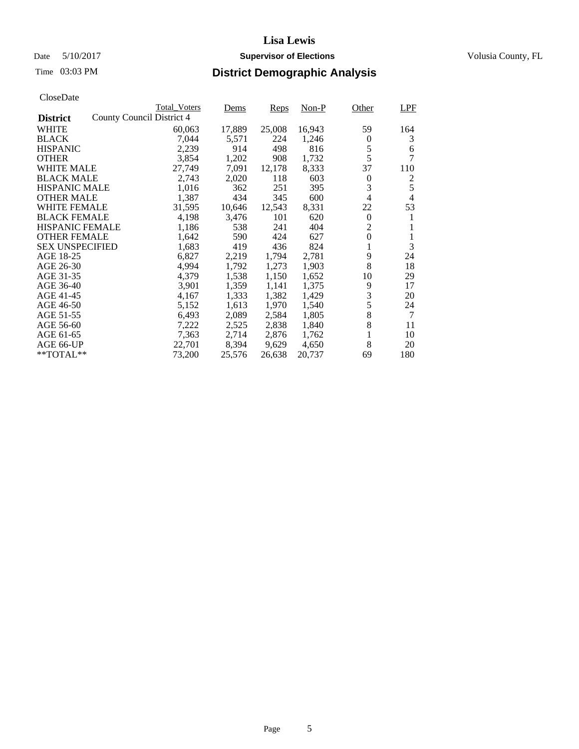# Date 5/10/2017 **Supervisor of Elections Supervisor of Elections** Volusia County, FL

# Time 03:03 PM **District Demographic Analysis**

| CloseDate              |                           |                     |        |             |         |                |                |
|------------------------|---------------------------|---------------------|--------|-------------|---------|----------------|----------------|
|                        |                           | <b>Total Voters</b> | Dems   | <u>Reps</u> | $Non-P$ | Other          | <b>LPF</b>     |
| <b>District</b>        | County Council District 4 |                     |        |             |         |                |                |
| <b>WHITE</b>           |                           | 60,063              | 17,889 | 25,008      | 16,943  | 59             | 164            |
| <b>BLACK</b>           |                           | 7,044               | 5,571  | 224         | 1,246   | $\theta$       | 3              |
| <b>HISPANIC</b>        |                           | 2,239               | 914    | 498         | 816     | 5              | 6              |
| <b>OTHER</b>           |                           | 3,854               | 1,202  | 908         | 1,732   | 5              | 7              |
| WHITE MALE             |                           | 27,749              | 7,091  | 12,178      | 8,333   | 37             | 110            |
| <b>BLACK MALE</b>      |                           | 2,743               | 2,020  | 118         | 603     | $\theta$       | 2              |
| <b>HISPANIC MALE</b>   |                           | 1,016               | 362    | 251         | 395     | 3              | 5              |
| <b>OTHER MALE</b>      |                           | 1,387               | 434    | 345         | 600     | 4              | $\overline{4}$ |
| <b>WHITE FEMALE</b>    |                           | 31,595              | 10,646 | 12,543      | 8,331   | 22             | 53             |
| <b>BLACK FEMALE</b>    |                           | 4,198               | 3,476  | 101         | 620     | $\Omega$       | 1              |
| <b>HISPANIC FEMALE</b> |                           | 1,186               | 538    | 241         | 404     | $\overline{c}$ | 1              |
| <b>OTHER FEMALE</b>    |                           | 1,642               | 590    | 424         | 627     | $\overline{0}$ | 1              |
| <b>SEX UNSPECIFIED</b> |                           | 1,683               | 419    | 436         | 824     | 1              | 3              |
| AGE 18-25              |                           | 6,827               | 2,219  | 1,794       | 2,781   | 9              | 24             |
| AGE 26-30              |                           | 4,994               | 1,792  | 1,273       | 1,903   | 8              | 18             |
| AGE 31-35              |                           | 4,379               | 1,538  | 1,150       | 1,652   | 10             | 29             |
| AGE 36-40              |                           | 3,901               | 1,359  | 1,141       | 1,375   | 9              | 17             |
| AGE 41-45              |                           | 4,167               | 1,333  | 1,382       | 1,429   | 3              | 20             |
| AGE 46-50              |                           | 5,152               | 1,613  | 1,970       | 1,540   | 5              | 24             |
| AGE 51-55              |                           | 6,493               | 2,089  | 2,584       | 1,805   | 8              | 7              |
| AGE 56-60              |                           | 7,222               | 2,525  | 2,838       | 1,840   | 8              | 11             |
| AGE 61-65              |                           | 7,363               | 2,714  | 2,876       | 1,762   | 1              | 10             |
| AGE 66-UP              |                           | 22,701              | 8,394  | 9,629       | 4,650   | 8              | 20             |
| $**TOTAL**$            |                           | 73,200              | 25,576 | 26,638      | 20,737  | 69             | 180            |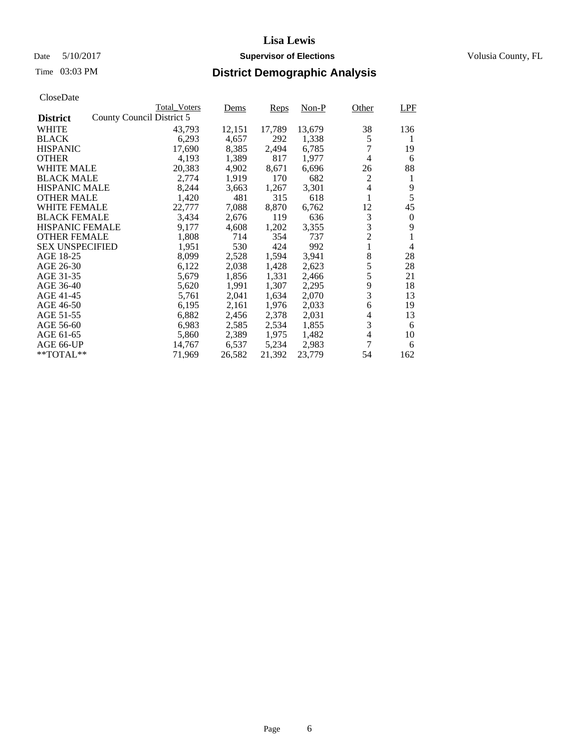# Date 5/10/2017 **Supervisor of Elections Supervisor of Elections** Volusia County, FL

|                        | <b>Total Voters</b>       | Dems   | Reps   | $Non-P$ | Other                    | LPF      |
|------------------------|---------------------------|--------|--------|---------|--------------------------|----------|
| <b>District</b>        | County Council District 5 |        |        |         |                          |          |
| <b>WHITE</b>           | 43,793                    | 12,151 | 17,789 | 13,679  | 38                       | 136      |
| <b>BLACK</b>           | 6,293                     | 4,657  | 292    | 1,338   | 5                        | 1        |
| <b>HISPANIC</b>        | 17,690                    | 8,385  | 2,494  | 6,785   | 7                        | 19       |
| <b>OTHER</b>           | 4,193                     | 1,389  | 817    | 1,977   | 4                        | 6        |
| <b>WHITE MALE</b>      | 20,383                    | 4,902  | 8,671  | 6,696   | 26                       | 88       |
| <b>BLACK MALE</b>      | 2,774                     | 1,919  | 170    | 682     | $\overline{c}$           | 1        |
| <b>HISPANIC MALE</b>   | 8,244                     | 3,663  | 1,267  | 3,301   | 4                        | 9        |
| <b>OTHER MALE</b>      | 1,420                     | 481    | 315    | 618     | $\mathbf{1}$             | 5        |
| <b>WHITE FEMALE</b>    | 22,777                    | 7,088  | 8,870  | 6,762   | 12                       | 45       |
| <b>BLACK FEMALE</b>    | 3,434                     | 2,676  | 119    | 636     | 3                        | $\theta$ |
| <b>HISPANIC FEMALE</b> | 9,177                     | 4,608  | 1,202  | 3,355   | 3                        | 9        |
| <b>OTHER FEMALE</b>    | 1,808                     | 714    | 354    | 737     | $\overline{c}$           |          |
| <b>SEX UNSPECIFIED</b> | 1,951                     | 530    | 424    | 992     | $\mathbf{1}$             | 4        |
| AGE 18-25              | 8,099                     | 2,528  | 1,594  | 3,941   | 8                        | 28       |
| AGE 26-30              | 6,122                     | 2,038  | 1,428  | 2,623   | 5                        | 28       |
| AGE 31-35              | 5,679                     | 1,856  | 1,331  | 2,466   | 5                        | 21       |
| AGE 36-40              | 5,620                     | 1,991  | 1,307  | 2,295   | 9                        | 18       |
| AGE 41-45              | 5,761                     | 2,041  | 1,634  | 2,070   | 3                        | 13       |
| AGE 46-50              | 6,195                     | 2,161  | 1,976  | 2,033   | 6                        | 19       |
| AGE 51-55              | 6,882                     | 2,456  | 2,378  | 2,031   | 4                        | 13       |
| AGE 56-60              | 6,983                     | 2,585  | 2,534  | 1,855   | 3                        | 6        |
| AGE 61-65              | 5,860                     | 2,389  | 1,975  | 1,482   | $\overline{\mathcal{L}}$ | 10       |
| AGE 66-UP              | 14,767                    | 6,537  | 5,234  | 2,983   | 7                        | 6        |
| $*$ TOTAL $**$         | 71,969                    | 26,582 | 21,392 | 23,779  | 54                       | 162      |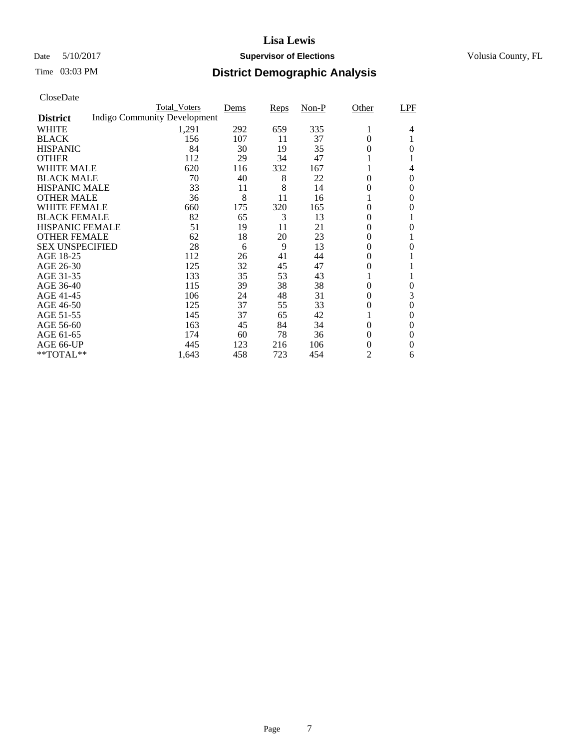# Date 5/10/2017 **Supervisor of Elections Supervisor of Elections** Volusia County, FL

# Time 03:03 PM **District Demographic Analysis**

|                        | <b>Total Voters</b>                 | Dems | Reps | $Non-P$ | Other          | LPF      |
|------------------------|-------------------------------------|------|------|---------|----------------|----------|
| <b>District</b>        | <b>Indigo Community Development</b> |      |      |         |                |          |
| WHITE                  | 1,291                               | 292  | 659  | 335     | 1              | 4        |
| <b>BLACK</b>           | 156                                 | 107  | 11   | 37      | 0              |          |
| <b>HISPANIC</b>        | 84                                  | 30   | 19   | 35      | 0              | $\theta$ |
| <b>OTHER</b>           | 112                                 | 29   | 34   | 47      |                |          |
| WHITE MALE             | 620                                 | 116  | 332  | 167     |                | 4        |
| <b>BLACK MALE</b>      | 70                                  | 40   | 8    | 22      | 0              | $\Omega$ |
| <b>HISPANIC MALE</b>   | 33                                  | 11   | 8    | 14      | 0              | $\Omega$ |
| <b>OTHER MALE</b>      | 36                                  | 8    | 11   | 16      |                | $\theta$ |
| <b>WHITE FEMALE</b>    | 660                                 | 175  | 320  | 165     | 0              | 0        |
| <b>BLACK FEMALE</b>    | 82                                  | 65   | 3    | 13      | 0              |          |
| <b>HISPANIC FEMALE</b> | 51                                  | 19   | 11   | 21      | $\theta$       | 0        |
| <b>OTHER FEMALE</b>    | 62                                  | 18   | 20   | 23      | 0              | 1        |
| <b>SEX UNSPECIFIED</b> | 28                                  | 6    | 9    | 13      | $\theta$       | $\theta$ |
| AGE 18-25              | 112                                 | 26   | 41   | 44      | 0              |          |
| AGE 26-30              | 125                                 | 32   | 45   | 47      | $\overline{0}$ |          |
| AGE 31-35              | 133                                 | 35   | 53   | 43      |                |          |
| AGE 36-40              | 115                                 | 39   | 38   | 38      | $\overline{0}$ | $\theta$ |
| AGE 41-45              | 106                                 | 24   | 48   | 31      | 0              | 3        |
| AGE 46-50              | 125                                 | 37   | 55   | 33      | $\overline{0}$ | $\theta$ |
| AGE 51-55              | 145                                 | 37   | 65   | 42      |                | $\theta$ |
| AGE 56-60              | 163                                 | 45   | 84   | 34      | 0              | $\Omega$ |
| AGE 61-65              | 174                                 | 60   | 78   | 36      | 0              | $\theta$ |
| AGE 66-UP              | 445                                 | 123  | 216  | 106     | 0              | 0        |
| **TOTAL**              | 1,643                               | 458  | 723  | 454     | 2              | 6        |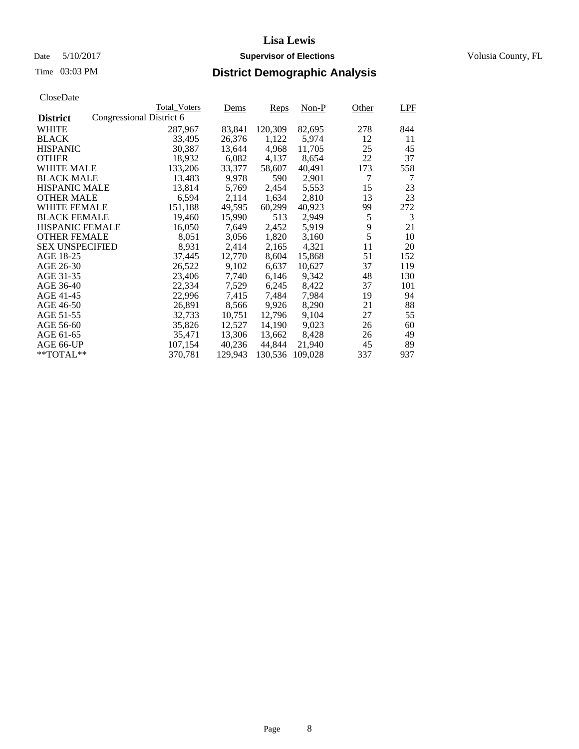# Date 5/10/2017 **Supervisor of Elections Supervisor of Elections** Volusia County, FL

|                        |                          | <b>Total Voters</b> | Dems    | Reps    | Non-P   | Other | LPF |
|------------------------|--------------------------|---------------------|---------|---------|---------|-------|-----|
| <b>District</b>        | Congressional District 6 |                     |         |         |         |       |     |
| <b>WHITE</b>           |                          | 287,967             | 83,841  | 120,309 | 82,695  | 278   | 844 |
| <b>BLACK</b>           |                          | 33,495              | 26,376  | 1,122   | 5,974   | 12    | 11  |
| <b>HISPANIC</b>        |                          | 30,387              | 13,644  | 4,968   | 11,705  | 25    | 45  |
| <b>OTHER</b>           |                          | 18,932              | 6,082   | 4,137   | 8,654   | 22    | 37  |
| <b>WHITE MALE</b>      |                          | 133,206             | 33,377  | 58,607  | 40,491  | 173   | 558 |
| <b>BLACK MALE</b>      |                          | 13,483              | 9,978   | 590     | 2,901   | 7     | 7   |
| <b>HISPANIC MALE</b>   |                          | 13,814              | 5,769   | 2,454   | 5,553   | 15    | 23  |
| <b>OTHER MALE</b>      |                          | 6,594               | 2,114   | 1,634   | 2,810   | 13    | 23  |
| <b>WHITE FEMALE</b>    |                          | 151,188             | 49,595  | 60,299  | 40,923  | 99    | 272 |
| <b>BLACK FEMALE</b>    |                          | 19,460              | 15,990  | 513     | 2,949   | 5     | 3   |
| <b>HISPANIC FEMALE</b> |                          | 16,050              | 7,649   | 2,452   | 5,919   | 9     | 21  |
| <b>OTHER FEMALE</b>    |                          | 8,051               | 3,056   | 1,820   | 3,160   | 5     | 10  |
| <b>SEX UNSPECIFIED</b> |                          | 8,931               | 2,414   | 2,165   | 4,321   | 11    | 20  |
| AGE 18-25              |                          | 37,445              | 12,770  | 8,604   | 15,868  | 51    | 152 |
| AGE 26-30              |                          | 26,522              | 9,102   | 6,637   | 10,627  | 37    | 119 |
| AGE 31-35              |                          | 23,406              | 7,740   | 6,146   | 9,342   | 48    | 130 |
| AGE 36-40              |                          | 22,334              | 7,529   | 6,245   | 8,422   | 37    | 101 |
| AGE 41-45              |                          | 22,996              | 7,415   | 7,484   | 7,984   | 19    | 94  |
| AGE 46-50              |                          | 26,891              | 8,566   | 9,926   | 8,290   | 21    | 88  |
| AGE 51-55              |                          | 32,733              | 10,751  | 12,796  | 9,104   | 27    | 55  |
| AGE 56-60              |                          | 35,826              | 12,527  | 14,190  | 9,023   | 26    | 60  |
| AGE 61-65              |                          | 35,471              | 13,306  | 13,662  | 8,428   | 26    | 49  |
| AGE 66-UP              |                          | 107,154             | 40,236  | 44,844  | 21,940  | 45    | 89  |
| $*$ TOTAL $**$         |                          | 370,781             | 129,943 | 130,536 | 109.028 | 337   | 937 |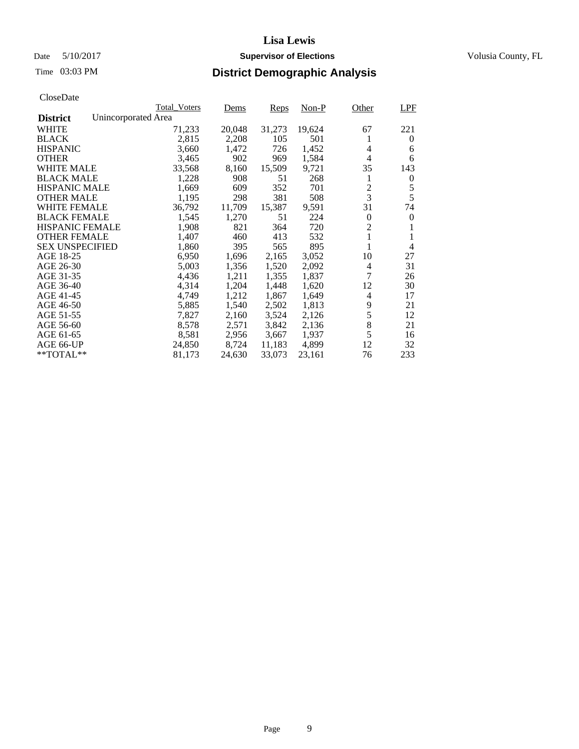# Date 5/10/2017 **Supervisor of Elections Supervisor of Elections** Volusia County, FL

# Time 03:03 PM **District Demographic Analysis**

|                                        | <b>Total Voters</b> | Dems   | Reps   | $Non-P$ | Other        | <b>LPF</b>       |
|----------------------------------------|---------------------|--------|--------|---------|--------------|------------------|
| Unincorporated Area<br><b>District</b> |                     |        |        |         |              |                  |
| <b>WHITE</b>                           | 71,233              | 20,048 | 31,273 | 19,624  | 67           | 221              |
| <b>BLACK</b>                           | 2,815               | 2,208  | 105    | 501     | 1            | $\theta$         |
| <b>HISPANIC</b>                        | 3,660               | 1,472  | 726    | 1,452   | 4            | 6                |
| <b>OTHER</b>                           | 3,465               | 902    | 969    | 1,584   | 4            | 6                |
| <b>WHITE MALE</b>                      | 33,568              | 8,160  | 15,509 | 9,721   | 35           | 143              |
| <b>BLACK MALE</b>                      | 1,228               | 908    | 51     | 268     | 1            | $\boldsymbol{0}$ |
| <b>HISPANIC MALE</b>                   | 1,669               | 609    | 352    | 701     | 2            | 5                |
| <b>OTHER MALE</b>                      | 1,195               | 298    | 381    | 508     | 3            | 5                |
| WHITE FEMALE                           | 36,792              | 11,709 | 15,387 | 9,591   | 31           | 74               |
| <b>BLACK FEMALE</b>                    | 1,545               | 1,270  | 51     | 224     | $\Omega$     | $\theta$         |
| <b>HISPANIC FEMALE</b>                 | 1,908               | 821    | 364    | 720     | 2            |                  |
| <b>OTHER FEMALE</b>                    | 1,407               | 460    | 413    | 532     | $\mathbf{1}$ | 1                |
| <b>SEX UNSPECIFIED</b>                 | 1,860               | 395    | 565    | 895     |              | $\overline{4}$   |
| AGE 18-25                              | 6,950               | 1,696  | 2,165  | 3,052   | 10           | 27               |
| AGE 26-30                              | 5,003               | 1,356  | 1,520  | 2,092   | 4            | 31               |
| AGE 31-35                              | 4,436               | 1,211  | 1,355  | 1,837   | 7            | 26               |
| AGE 36-40                              | 4,314               | 1,204  | 1,448  | 1,620   | 12           | 30               |
| AGE 41-45                              | 4,749               | 1,212  | 1,867  | 1,649   | 4            | 17               |
| AGE 46-50                              | 5,885               | 1,540  | 2,502  | 1,813   | 9            | 21               |
| AGE 51-55                              | 7,827               | 2,160  | 3,524  | 2,126   | 5            | 12               |
| AGE 56-60                              | 8,578               | 2,571  | 3,842  | 2,136   | 8            | 21               |
| AGE 61-65                              | 8,581               | 2,956  | 3,667  | 1,937   | 5            | 16               |
| AGE 66-UP                              | 24,850              | 8,724  | 11,183 | 4,899   | 12           | 32               |
| $*$ TOTAL $**$                         | 81,173              | 24,630 | 33,073 | 23,161  | 76           | 233              |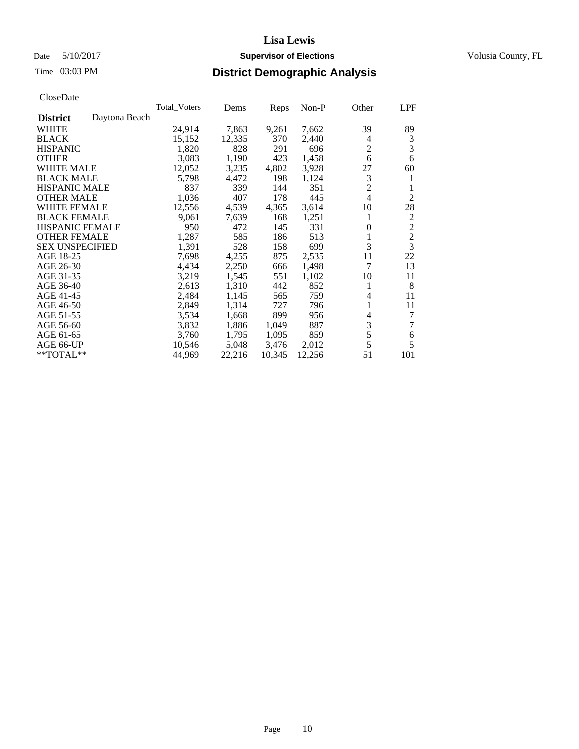# Date 5/10/2017 **Supervisor of Elections Supervisor of Elections** Volusia County, FL

# Time 03:03 PM **District Demographic Analysis**

|                        |               | <b>Total Voters</b> | Dems   | Reps   | $Non-P$ | Other                    | LPF            |
|------------------------|---------------|---------------------|--------|--------|---------|--------------------------|----------------|
| <b>District</b>        | Daytona Beach |                     |        |        |         |                          |                |
| WHITE                  |               | 24,914              | 7,863  | 9,261  | 7,662   | 39                       | 89             |
| <b>BLACK</b>           |               | 15,152              | 12,335 | 370    | 2,440   | 4                        | $\mathfrak{Z}$ |
| <b>HISPANIC</b>        |               | 1,820               | 828    | 291    | 696     | $\overline{2}$           | 3              |
| <b>OTHER</b>           |               | 3,083               | 1,190  | 423    | 1,458   | 6                        | 6              |
| WHITE MALE             |               | 12,052              | 3,235  | 4,802  | 3,928   | 27                       | 60             |
| <b>BLACK MALE</b>      |               | 5,798               | 4,472  | 198    | 1,124   | 3                        | 1              |
| <b>HISPANIC MALE</b>   |               | 837                 | 339    | 144    | 351     | $\overline{c}$           | 1              |
| <b>OTHER MALE</b>      |               | 1,036               | 407    | 178    | 445     | $\overline{\mathcal{L}}$ | $\overline{2}$ |
| WHITE FEMALE           |               | 12,556              | 4,539  | 4,365  | 3,614   | 10                       | 28             |
| <b>BLACK FEMALE</b>    |               | 9,061               | 7,639  | 168    | 1,251   | 1                        | $\overline{c}$ |
| HISPANIC FEMALE        |               | 950                 | 472    | 145    | 331     | $\overline{0}$           | $\overline{c}$ |
| <b>OTHER FEMALE</b>    |               | 1,287               | 585    | 186    | 513     | 1                        | $\overline{c}$ |
| <b>SEX UNSPECIFIED</b> |               | 1,391               | 528    | 158    | 699     | 3                        | $\overline{3}$ |
| AGE 18-25              |               | 7,698               | 4,255  | 875    | 2,535   | 11                       | 22             |
| AGE 26-30              |               | 4,434               | 2,250  | 666    | 1,498   | 7                        | 13             |
| AGE 31-35              |               | 3,219               | 1,545  | 551    | 1,102   | 10                       | 11             |
| AGE 36-40              |               | 2,613               | 1,310  | 442    | 852     | 1                        | 8              |
| AGE 41-45              |               | 2,484               | 1,145  | 565    | 759     | 4                        | 11             |
| AGE 46-50              |               | 2,849               | 1,314  | 727    | 796     | 1                        | 11             |
| AGE 51-55              |               | 3,534               | 1,668  | 899    | 956     | 4                        | 7              |
| AGE 56-60              |               | 3,832               | 1,886  | 1,049  | 887     | 3                        | 7              |
| AGE 61-65              |               | 3,760               | 1,795  | 1,095  | 859     | 5                        | 6              |
| AGE 66-UP              |               | 10,546              | 5,048  | 3,476  | 2,012   | 5                        | 5              |
| $*$ TOTAL $**$         |               | 44,969              | 22,216 | 10,345 | 12,256  | 51                       | 101            |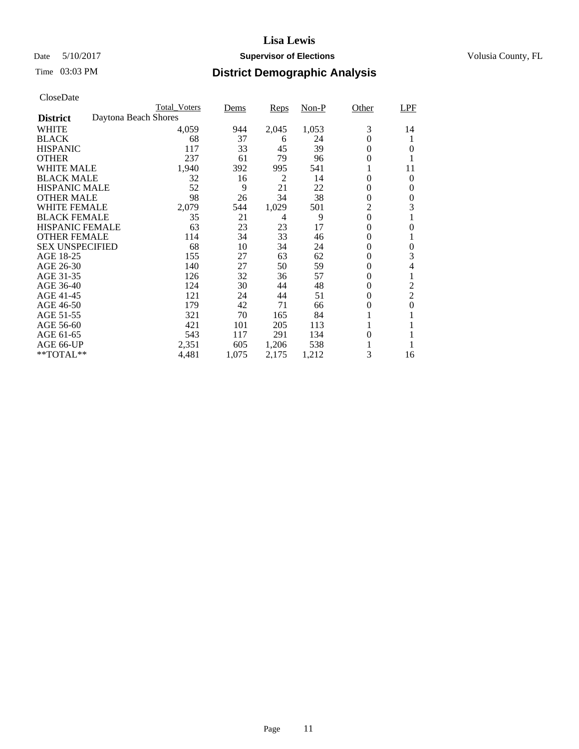# Date 5/10/2017 **Supervisor of Elections Supervisor of Elections** Volusia County, FL

|                        | <b>Total_Voters</b>  | Dems  | Reps  | Non-P | Other            | LPF            |
|------------------------|----------------------|-------|-------|-------|------------------|----------------|
| <b>District</b>        | Daytona Beach Shores |       |       |       |                  |                |
| <b>WHITE</b>           | 4,059                | 944   | 2,045 | 1,053 | 3                | 14             |
| <b>BLACK</b>           | 68                   | 37    | 6     | 24    | $\theta$         |                |
| <b>HISPANIC</b>        | 117                  | 33    | 45    | 39    | $\theta$         | 0              |
| <b>OTHER</b>           | 237                  | 61    | 79    | 96    | $\Omega$         |                |
| WHITE MALE             | 1,940                | 392   | 995   | 541   |                  | 11             |
| <b>BLACK MALE</b>      | 32                   | 16    | 2     | 14    | $\theta$         | $\theta$       |
| <b>HISPANIC MALE</b>   | 52                   | 9     | 21    | 22    | 0                | 0              |
| <b>OTHER MALE</b>      | 98                   | 26    | 34    | 38    | $\overline{0}$   | 0              |
| <b>WHITE FEMALE</b>    | 2,079                | 544   | 1,029 | 501   | $\overline{2}$   | 3              |
| <b>BLACK FEMALE</b>    | 35                   | 21    | 4     | 9     | $\theta$         |                |
| <b>HISPANIC FEMALE</b> | 63                   | 23    | 23    | 17    | $\overline{0}$   | 0              |
| <b>OTHER FEMALE</b>    | 114                  | 34    | 33    | 46    | $\overline{0}$   |                |
| <b>SEX UNSPECIFIED</b> | 68                   | 10    | 34    | 24    | $\overline{0}$   | 0              |
| AGE 18-25              | 155                  | 27    | 63    | 62    | $\theta$         | 3              |
| AGE 26-30              | 140                  | 27    | 50    | 59    | 0                | 4              |
| AGE 31-35              | 126                  | 32    | 36    | 57    | $\Omega$         |                |
| AGE 36-40              | 124                  | 30    | 44    | 48    | $\Omega$         | $\overline{2}$ |
| AGE 41-45              | 121                  | 24    | 44    | 51    | $\boldsymbol{0}$ | $\overline{2}$ |
| AGE 46-50              | 179                  | 42    | 71    | 66    | 0                | $\overline{0}$ |
| AGE 51-55              | 321                  | 70    | 165   | 84    |                  |                |
| AGE 56-60              | 421                  | 101   | 205   | 113   |                  |                |
| AGE 61-65              | 543                  | 117   | 291   | 134   | $\theta$         |                |
| AGE 66-UP              | 2,351                | 605   | 1,206 | 538   |                  |                |
| **TOTAL**              | 4,481                | 1,075 | 2,175 | 1,212 | 3                | 16             |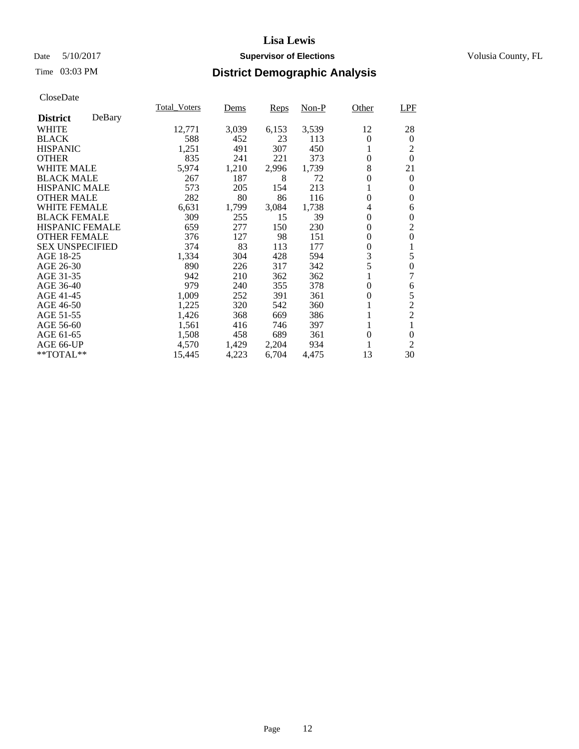# Date 5/10/2017 **Supervisor of Elections Supervisor of Elections** Volusia County, FL

# Time 03:03 PM **District Demographic Analysis**

|                        |        | <b>Total_Voters</b> | Dems  | Reps  | Non-P | Other            | LPF            |
|------------------------|--------|---------------------|-------|-------|-------|------------------|----------------|
| <b>District</b>        | DeBary |                     |       |       |       |                  |                |
| <b>WHITE</b>           |        | 12,771              | 3,039 | 6,153 | 3,539 | 12               | 28             |
| <b>BLACK</b>           |        | 588                 | 452   | 23    | 113   | $\theta$         | $\theta$       |
| <b>HISPANIC</b>        |        | 1,251               | 491   | 307   | 450   | 1                | 2              |
| <b>OTHER</b>           |        | 835                 | 241   | 221   | 373   | $\overline{0}$   | $\Omega$       |
| <b>WHITE MALE</b>      |        | 5,974               | 1,210 | 2,996 | 1,739 | 8                | 21             |
| <b>BLACK MALE</b>      |        | 267                 | 187   | 8     | 72    | $\overline{0}$   | $\theta$       |
| <b>HISPANIC MALE</b>   |        | 573                 | 205   | 154   | 213   |                  | 0              |
| <b>OTHER MALE</b>      |        | 282                 | 80    | 86    | 116   | $\theta$         | 0              |
| <b>WHITE FEMALE</b>    |        | 6,631               | 1,799 | 3,084 | 1,738 | 4                | 6              |
| <b>BLACK FEMALE</b>    |        | 309                 | 255   | 15    | 39    | $\Omega$         | $\theta$       |
| <b>HISPANIC FEMALE</b> |        | 659                 | 277   | 150   | 230   | $\theta$         | $\overline{2}$ |
| <b>OTHER FEMALE</b>    |        | 376                 | 127   | 98    | 151   | $\overline{0}$   | 0              |
| <b>SEX UNSPECIFIED</b> |        | 374                 | 83    | 113   | 177   | $\overline{0}$   |                |
| AGE 18-25              |        | 1,334               | 304   | 428   | 594   | 3                | 5              |
| AGE 26-30              |        | 890                 | 226   | 317   | 342   | 5                | $\overline{0}$ |
| AGE 31-35              |        | 942                 | 210   | 362   | 362   |                  | 7              |
| AGE 36-40              |        | 979                 | 240   | 355   | 378   | $\Omega$         | 6              |
| AGE 41-45              |        | 1,009               | 252   | 391   | 361   | $\boldsymbol{0}$ | 5              |
| AGE 46-50              |        | 1,225               | 320   | 542   | 360   |                  | $\overline{c}$ |
| AGE 51-55              |        | 1,426               | 368   | 669   | 386   |                  | $\overline{2}$ |
| AGE 56-60              |        | 1,561               | 416   | 746   | 397   | 1                | 1              |
| AGE 61-65              |        | 1,508               | 458   | 689   | 361   | $\overline{0}$   | $\theta$       |
| AGE 66-UP              |        | 4,570               | 1,429 | 2,204 | 934   |                  | 2              |
| **TOTAL**              |        | 15,445              | 4,223 | 6,704 | 4,475 | 13               | 30             |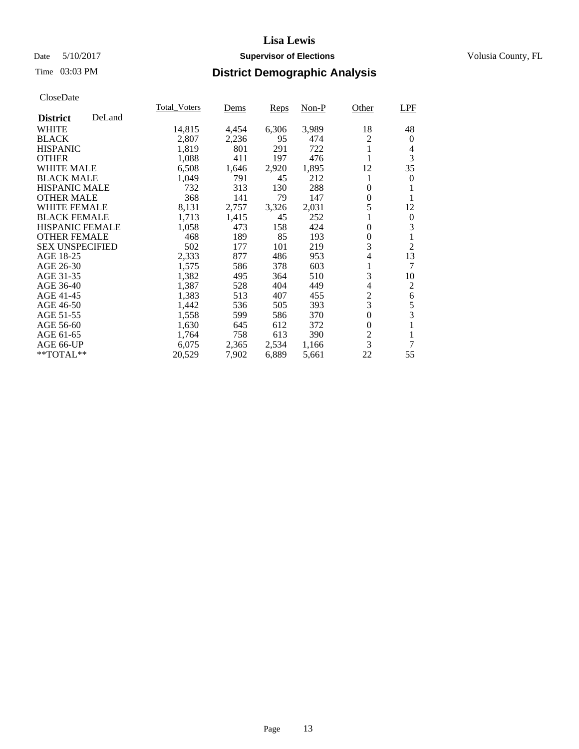# Date 5/10/2017 **Supervisor of Elections Supervisor of Elections** Volusia County, FL

# Time 03:03 PM **District Demographic Analysis**

|                        |        | <b>Total Voters</b> | Dems  | Reps  | Non-P | Other          | LPF            |
|------------------------|--------|---------------------|-------|-------|-------|----------------|----------------|
| <b>District</b>        | DeLand |                     |       |       |       |                |                |
| <b>WHITE</b>           |        | 14,815              | 4,454 | 6,306 | 3,989 | 18             | 48             |
| <b>BLACK</b>           |        | 2,807               | 2,236 | 95    | 474   | 2              | 0              |
| <b>HISPANIC</b>        |        | 1,819               | 801   | 291   | 722   | 1              | 4              |
| <b>OTHER</b>           |        | 1,088               | 411   | 197   | 476   |                | 3              |
| <b>WHITE MALE</b>      |        | 6,508               | 1,646 | 2,920 | 1,895 | 12             | 35             |
| <b>BLACK MALE</b>      |        | 1,049               | 791   | 45    | 212   | 1              | 0              |
| <b>HISPANIC MALE</b>   |        | 732                 | 313   | 130   | 288   | $\theta$       |                |
| <b>OTHER MALE</b>      |        | 368                 | 141   | 79    | 147   | 0              | 1              |
| <b>WHITE FEMALE</b>    |        | 8,131               | 2,757 | 3,326 | 2,031 | 5              | 12             |
| <b>BLACK FEMALE</b>    |        | 1,713               | 1,415 | 45    | 252   | 1              | 0              |
| HISPANIC FEMALE        |        | 1,058               | 473   | 158   | 424   | $\theta$       | 3              |
| <b>OTHER FEMALE</b>    |        | 468                 | 189   | 85    | 193   | 0              | 1              |
| <b>SEX UNSPECIFIED</b> |        | 502                 | 177   | 101   | 219   | 3              | $\overline{2}$ |
| AGE 18-25              |        | 2,333               | 877   | 486   | 953   | 4              | 13             |
| AGE 26-30              |        | 1,575               | 586   | 378   | 603   | 1              | 7              |
| AGE 31-35              |        | 1,382               | 495   | 364   | 510   | 3              | 10             |
| AGE 36-40              |        | 1,387               | 528   | 404   | 449   | 4              | 2              |
| AGE 41-45              |        | 1,383               | 513   | 407   | 455   | $\overline{c}$ | 6              |
| AGE 46-50              |        | 1,442               | 536   | 505   | 393   | 3              | 5              |
| AGE 51-55              |        | 1,558               | 599   | 586   | 370   | $\overline{0}$ | 3              |
| AGE 56-60              |        | 1,630               | 645   | 612   | 372   | $\theta$       | 1              |
| AGE 61-65              |        | 1,764               | 758   | 613   | 390   | 2              | 1              |
| AGE 66-UP              |        | 6,075               | 2,365 | 2,534 | 1,166 | 3              | 7              |
| $*$ TOTAL $**$         |        | 20,529              | 7,902 | 6,889 | 5,661 | 22             | 55             |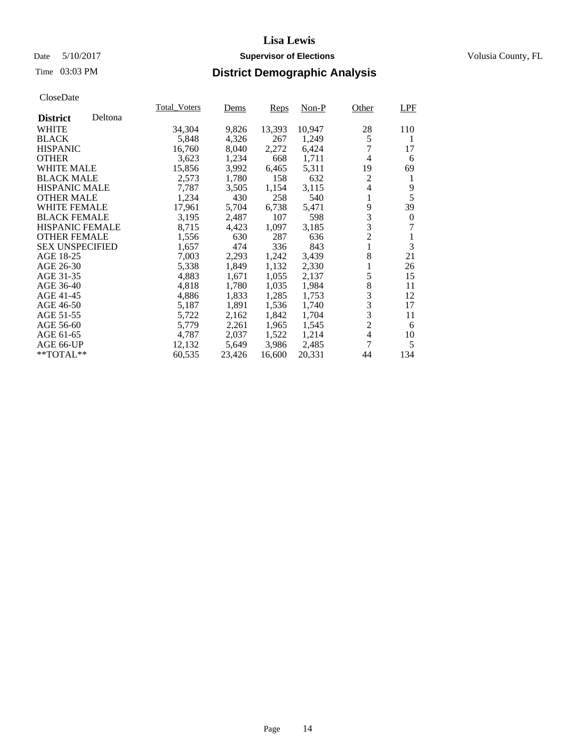# Date 5/10/2017 **Supervisor of Elections Supervisor of Elections** Volusia County, FL

# Time 03:03 PM **District Demographic Analysis**

|                        |         | <b>Total_Voters</b> | <u>Dems</u> | Reps   | Non-P  | Other          | LPF              |
|------------------------|---------|---------------------|-------------|--------|--------|----------------|------------------|
| <b>District</b>        | Deltona |                     |             |        |        |                |                  |
| WHITE                  |         | 34,304              | 9,826       | 13,393 | 10,947 | 28             | 110              |
| <b>BLACK</b>           |         | 5,848               | 4,326       | 267    | 1,249  | 5              | 1                |
| <b>HISPANIC</b>        |         | 16,760              | 8,040       | 2,272  | 6,424  | 7              | 17               |
| <b>OTHER</b>           |         | 3,623               | 1,234       | 668    | 1,711  | $\overline{4}$ | 6                |
| <b>WHITE MALE</b>      |         | 15,856              | 3,992       | 6,465  | 5,311  | 19             | 69               |
| <b>BLACK MALE</b>      |         | 2,573               | 1,780       | 158    | 632    | $\overline{c}$ | 1                |
| <b>HISPANIC MALE</b>   |         | 7.787               | 3,505       | 1,154  | 3,115  | 4              | 9                |
| <b>OTHER MALE</b>      |         | 1,234               | 430         | 258    | 540    | 1              | 5                |
| <b>WHITE FEMALE</b>    |         | 17,961              | 5,704       | 6,738  | 5,471  | 9              | 39               |
| <b>BLACK FEMALE</b>    |         | 3,195               | 2,487       | 107    | 598    | 3              | $\boldsymbol{0}$ |
| <b>HISPANIC FEMALE</b> |         | 8,715               | 4,423       | 1,097  | 3,185  | 3              | 7                |
| <b>OTHER FEMALE</b>    |         | 1,556               | 630         | 287    | 636    | $\overline{c}$ | 1                |
| <b>SEX UNSPECIFIED</b> |         | 1,657               | 474         | 336    | 843    | 1              | 3                |
| AGE 18-25              |         | 7,003               | 2,293       | 1,242  | 3,439  | 8              | 21               |
| AGE 26-30              |         | 5,338               | 1,849       | 1,132  | 2,330  |                | 26               |
| AGE 31-35              |         | 4,883               | 1,671       | 1,055  | 2,137  | 5              | 15               |
| AGE 36-40              |         | 4,818               | 1,780       | 1,035  | 1,984  | 8              | 11               |
| AGE 41-45              |         | 4,886               | 1,833       | 1,285  | 1,753  | 3              | 12               |
| AGE 46-50              |         | 5,187               | 1,891       | 1,536  | 1,740  | 3              | 17               |
| AGE 51-55              |         | 5,722               | 2,162       | 1,842  | 1,704  | $\frac{3}{2}$  | 11               |
| AGE 56-60              |         | 5,779               | 2,261       | 1,965  | 1,545  |                | 6                |
| AGE 61-65              |         | 4,787               | 2,037       | 1,522  | 1,214  | $\overline{4}$ | 10               |
| AGE 66-UP              |         | 12,132              | 5,649       | 3,986  | 2,485  | 7              | 5                |
| $*$ TOTAL $*$          |         | 60,535              | 23,426      | 16,600 | 20,331 | 44             | 134              |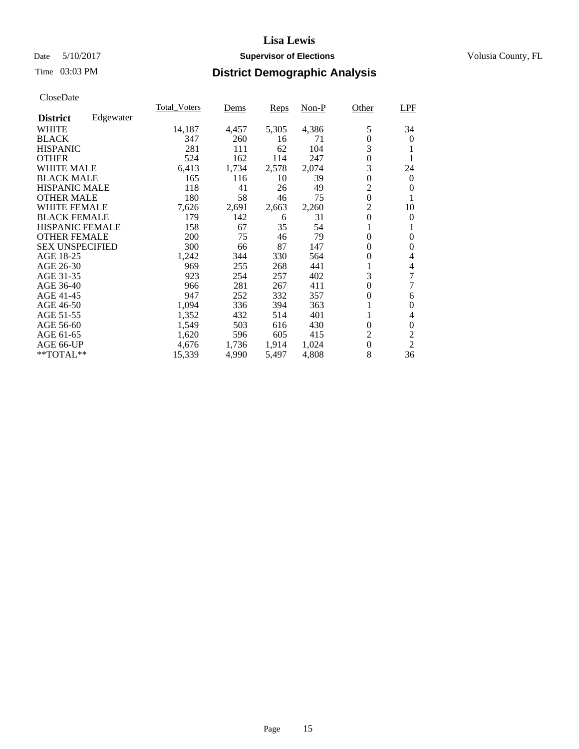# Date 5/10/2017 **Supervisor of Elections Supervisor of Elections** Volusia County, FL

# Time 03:03 PM **District Demographic Analysis**

|                        |           | <b>Total Voters</b> | Dems  | Reps  | $Non-P$ | Other            | LPF            |
|------------------------|-----------|---------------------|-------|-------|---------|------------------|----------------|
| <b>District</b>        | Edgewater |                     |       |       |         |                  |                |
| <b>WHITE</b>           |           | 14,187              | 4,457 | 5,305 | 4,386   | 5                | 34             |
| <b>BLACK</b>           |           | 347                 | 260   | 16    | 71      | $\overline{0}$   | 0              |
| <b>HISPANIC</b>        |           | 281                 | 111   | 62    | 104     | 3                |                |
| <b>OTHER</b>           |           | 524                 | 162   | 114   | 247     | $\overline{0}$   |                |
| WHITE MALE             |           | 6,413               | 1,734 | 2,578 | 2,074   | 3                | 24             |
| <b>BLACK MALE</b>      |           | 165                 | 116   | 10    | 39      | $\boldsymbol{0}$ | $\theta$       |
| <b>HISPANIC MALE</b>   |           | 118                 | 41    | 26    | 49      | 2                | $\theta$       |
| <b>OTHER MALE</b>      |           | 180                 | 58    | 46    | 75      | $\boldsymbol{0}$ |                |
| <b>WHITE FEMALE</b>    |           | 7,626               | 2,691 | 2,663 | 2,260   | $\overline{c}$   | 10             |
| <b>BLACK FEMALE</b>    |           | 179                 | 142   | 6     | 31      | $\overline{0}$   | $\Omega$       |
| <b>HISPANIC FEMALE</b> |           | 158                 | 67    | 35    | 54      | 1                | 1              |
| <b>OTHER FEMALE</b>    |           | 200                 | 75    | 46    | 79      | $\overline{0}$   | 0              |
| <b>SEX UNSPECIFIED</b> |           | 300                 | 66    | 87    | 147     | $\overline{0}$   | $\overline{0}$ |
| AGE 18-25              |           | 1,242               | 344   | 330   | 564     | $\theta$         | 4              |
| AGE 26-30              |           | 969                 | 255   | 268   | 441     |                  | 4              |
| AGE 31-35              |           | 923                 | 254   | 257   | 402     | 3                | 7              |
| AGE 36-40              |           | 966                 | 281   | 267   | 411     | $\overline{0}$   | 7              |
| AGE 41-45              |           | 947                 | 252   | 332   | 357     | $\boldsymbol{0}$ | 6              |
| AGE 46-50              |           | 1,094               | 336   | 394   | 363     |                  | $\theta$       |
| AGE 51-55              |           | 1,352               | 432   | 514   | 401     |                  | 4              |
| AGE 56-60              |           | 1,549               | 503   | 616   | 430     | $\overline{0}$   | $\theta$       |
| AGE 61-65              |           | 1,620               | 596   | 605   | 415     | 2                | $\overline{c}$ |
| AGE 66-UP              |           | 4,676               | 1,736 | 1,914 | 1,024   | $\boldsymbol{0}$ | $\overline{2}$ |
| **TOTAL**              |           | 15,339              | 4,990 | 5,497 | 4,808   | 8                | 36             |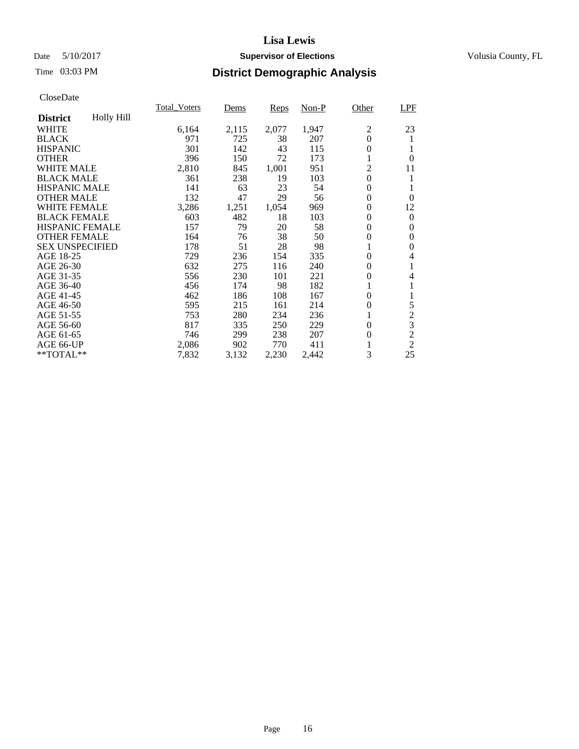# Date 5/10/2017 **Supervisor of Elections Supervisor of Elections** Volusia County, FL

# Time 03:03 PM **District Demographic Analysis**

|                        |            | <b>Total_Voters</b> | Dems  | Reps  | $Non-P$ | Other          | LPF            |
|------------------------|------------|---------------------|-------|-------|---------|----------------|----------------|
| <b>District</b>        | Holly Hill |                     |       |       |         |                |                |
| WHITE                  |            | 6,164               | 2,115 | 2,077 | 1,947   | 2              | 23             |
| <b>BLACK</b>           |            | 971                 | 725   | 38    | 207     | $\overline{0}$ | 1              |
| <b>HISPANIC</b>        |            | 301                 | 142   | 43    | 115     | 0              | 1              |
| <b>OTHER</b>           |            | 396                 | 150   | 72    | 173     |                | $\theta$       |
| WHITE MALE             |            | 2,810               | 845   | 1,001 | 951     | $\overline{2}$ | 11             |
| <b>BLACK MALE</b>      |            | 361                 | 238   | 19    | 103     | $\theta$       | 1              |
| <b>HISPANIC MALE</b>   |            | 141                 | 63    | 23    | 54      | 0              | 1              |
| <b>OTHER MALE</b>      |            | 132                 | 47    | 29    | 56      | 0              | $\Omega$       |
| WHITE FEMALE           |            | 3,286               | 1,251 | 1,054 | 969     | 0              | 12             |
| <b>BLACK FEMALE</b>    |            | 603                 | 482   | 18    | 103     | 0              | $\theta$       |
| <b>HISPANIC FEMALE</b> |            | 157                 | 79    | 20    | 58      | $\theta$       | $\theta$       |
| <b>OTHER FEMALE</b>    |            | 164                 | 76    | 38    | 50      | $\overline{0}$ | 0              |
| <b>SEX UNSPECIFIED</b> |            | 178                 | 51    | 28    | 98      |                | 0              |
| AGE 18-25              |            | 729                 | 236   | 154   | 335     | 0              | 4              |
| AGE 26-30              |            | 632                 | 275   | 116   | 240     | 0              | 1              |
| AGE 31-35              |            | 556                 | 230   | 101   | 221     | 0              | 4              |
| AGE 36-40              |            | 456                 | 174   | 98    | 182     |                | 1              |
| AGE 41-45              |            | 462                 | 186   | 108   | 167     | 0              | 1              |
| AGE 46-50              |            | 595                 | 215   | 161   | 214     | 0              | 5              |
| AGE 51-55              |            | 753                 | 280   | 234   | 236     |                | $\overline{c}$ |
| AGE 56-60              |            | 817                 | 335   | 250   | 229     | 0              | $\overline{3}$ |
| AGE 61-65              |            | 746                 | 299   | 238   | 207     | 0              | $\overline{c}$ |
| AGE 66-UP              |            | 2,086               | 902   | 770   | 411     |                | $\overline{2}$ |
| $*$ TOTAL $**$         |            | 7,832               | 3,132 | 2,230 | 2,442   | 3              | 25             |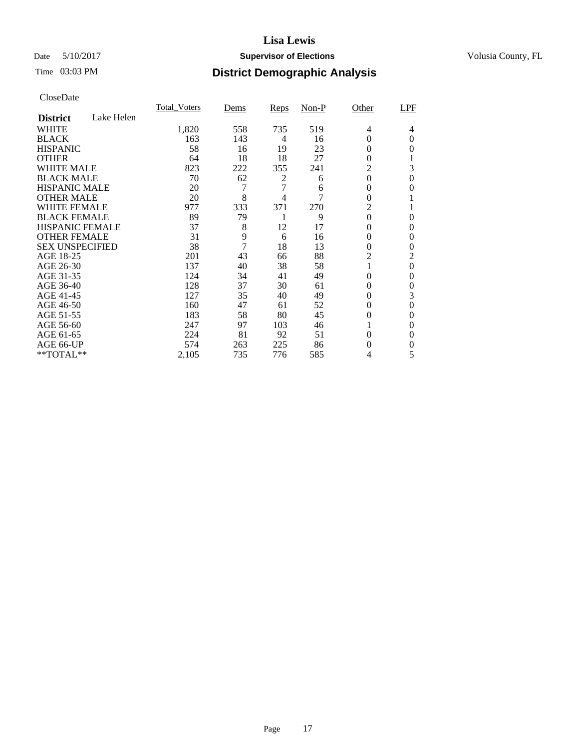# Date 5/10/2017 **Supervisor of Elections Supervisor of Elections** Volusia County, FL

# Time 03:03 PM **District Demographic Analysis**

|                        |            | <b>Total Voters</b> | Dems           | Reps | $Non-P$ | Other          | LPF            |
|------------------------|------------|---------------------|----------------|------|---------|----------------|----------------|
| <b>District</b>        | Lake Helen |                     |                |      |         |                |                |
| WHITE                  |            | 1,820               | 558            | 735  | 519     | 4              | 4              |
| <b>BLACK</b>           |            | 163                 | 143            | 4    | 16      | 0              | $\Omega$       |
| <b>HISPANIC</b>        |            | 58                  | 16             | 19   | 23      | 0              | 0              |
| <b>OTHER</b>           |            | 64                  | 18             | 18   | 27      | 0              |                |
| WHITE MALE             |            | 823                 | 222            | 355  | 241     | $\overline{2}$ | 3              |
| <b>BLACK MALE</b>      |            | 70                  | 62             | 2    | 6       | 0              | $\Omega$       |
| <b>HISPANIC MALE</b>   |            | 20                  | 7              | 7    | 6       | 0              | 0              |
| <b>OTHER MALE</b>      |            | 20                  | 8              | 4    | 7       | $\overline{0}$ |                |
| <b>WHITE FEMALE</b>    |            | 977                 | 333            | 371  | 270     | $\overline{2}$ | 1              |
| <b>BLACK FEMALE</b>    |            | 89                  | 79             | 1    | 9       | $\overline{0}$ | 0              |
| <b>HISPANIC FEMALE</b> |            | 37                  | 8              | 12   | 17      | $\theta$       | 0              |
| <b>OTHER FEMALE</b>    |            | 31                  | 9              | 6    | 16      | $\overline{0}$ | 0              |
| <b>SEX UNSPECIFIED</b> |            | 38                  | $\overline{7}$ | 18   | 13      | $\theta$       | 0              |
| AGE 18-25              |            | 201                 | 43             | 66   | 88      | 2              | $\overline{c}$ |
| AGE 26-30              |            | 137                 | 40             | 38   | 58      | 1              | $\Omega$       |
| AGE 31-35              |            | 124                 | 34             | 41   | 49      | $\theta$       | $\theta$       |
| AGE 36-40              |            | 128                 | 37             | 30   | 61      | $\overline{0}$ | $\theta$       |
| AGE 41-45              |            | 127                 | 35             | 40   | 49      | 0              | 3              |
| AGE 46-50              |            | 160                 | 47             | 61   | 52      | $\theta$       | $\Omega$       |
| AGE 51-55              |            | 183                 | 58             | 80   | 45      | 0              | 0              |
| AGE 56-60              |            | 247                 | 97             | 103  | 46      |                | $\Omega$       |
| AGE 61-65              |            | 224                 | 81             | 92   | 51      | 0              | $\Omega$       |
| AGE 66-UP              |            | 574                 | 263            | 225  | 86      | 0              | 0              |
| **TOTAL**              |            | 2,105               | 735            | 776  | 585     | 4              | 5              |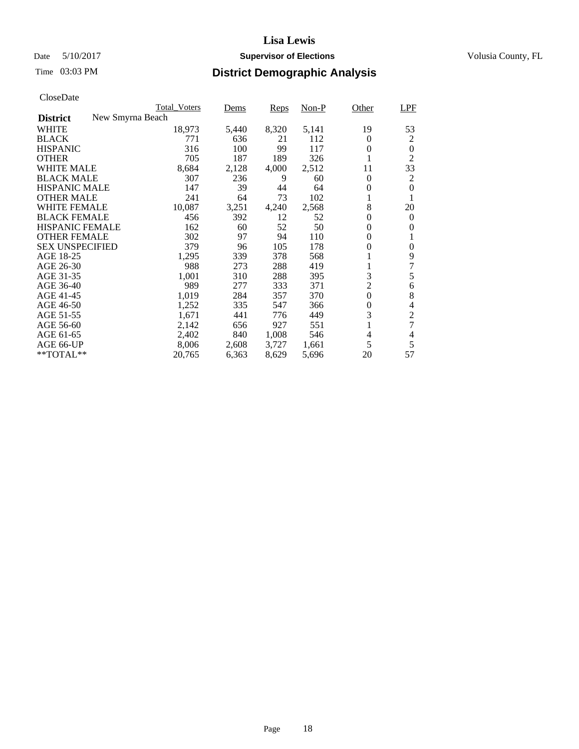# Date 5/10/2017 **Supervisor of Elections Supervisor of Elections** Volusia County, FL

| CloseDate |
|-----------|
|-----------|

|                                     | <b>Total Voters</b> | Dems  | Reps  | $Non-P$ | Other          | LPF            |
|-------------------------------------|---------------------|-------|-------|---------|----------------|----------------|
| New Smyrna Beach<br><b>District</b> |                     |       |       |         |                |                |
| <b>WHITE</b>                        | 18,973              | 5,440 | 8,320 | 5,141   | 19             | 53             |
| <b>BLACK</b>                        | 771                 | 636   | 21    | 112     | $\theta$       | 2              |
| <b>HISPANIC</b>                     | 316                 | 100   | 99    | 117     | $\theta$       | 0              |
| <b>OTHER</b>                        | 705                 | 187   | 189   | 326     | 1              | $\overline{2}$ |
| <b>WHITE MALE</b>                   | 8,684               | 2,128 | 4,000 | 2,512   | 11             | 33             |
| <b>BLACK MALE</b>                   | 307                 | 236   | 9     | 60      | $\overline{0}$ | $\overline{c}$ |
| <b>HISPANIC MALE</b>                | 147                 | 39    | 44    | 64      | $\theta$       | 0              |
| <b>OTHER MALE</b>                   | 241                 | 64    | 73    | 102     | 1              | 1              |
| <b>WHITE FEMALE</b>                 | 10,087              | 3,251 | 4,240 | 2,568   | 8              | 20             |
| <b>BLACK FEMALE</b>                 | 456                 | 392   | 12    | 52      | $\theta$       | $\theta$       |
| HISPANIC FEMALE                     | 162                 | 60    | 52    | 50      | $\overline{0}$ | 0              |
| <b>OTHER FEMALE</b>                 | 302                 | 97    | 94    | 110     | $\theta$       | 1              |
| <b>SEX UNSPECIFIED</b>              | 379                 | 96    | 105   | 178     | $\theta$       | 0              |
| AGE 18-25                           | 1,295               | 339   | 378   | 568     | 1              | 9              |
| AGE 26-30                           | 988                 | 273   | 288   | 419     | 1              | $\overline{7}$ |
| AGE 31-35                           | 1,001               | 310   | 288   | 395     | 3              | 5              |
| AGE 36-40                           | 989                 | 277   | 333   | 371     | $\overline{c}$ | 6              |
| AGE 41-45                           | 1,019               | 284   | 357   | 370     | $\overline{0}$ | 8              |
| AGE 46-50                           | 1,252               | 335   | 547   | 366     | $\theta$       | 4              |
| AGE 51-55                           | 1,671               | 441   | 776   | 449     | 3              | $\overline{c}$ |
| AGE 56-60                           | 2,142               | 656   | 927   | 551     |                | $\overline{7}$ |
| AGE 61-65                           | 2,402               | 840   | 1,008 | 546     | 4              | 4              |
| AGE 66-UP                           | 8,006               | 2,608 | 3,727 | 1,661   | 5              | 5              |
| $*$ TOTAL $**$                      | 20,765              | 6,363 | 8,629 | 5,696   | 20             | 57             |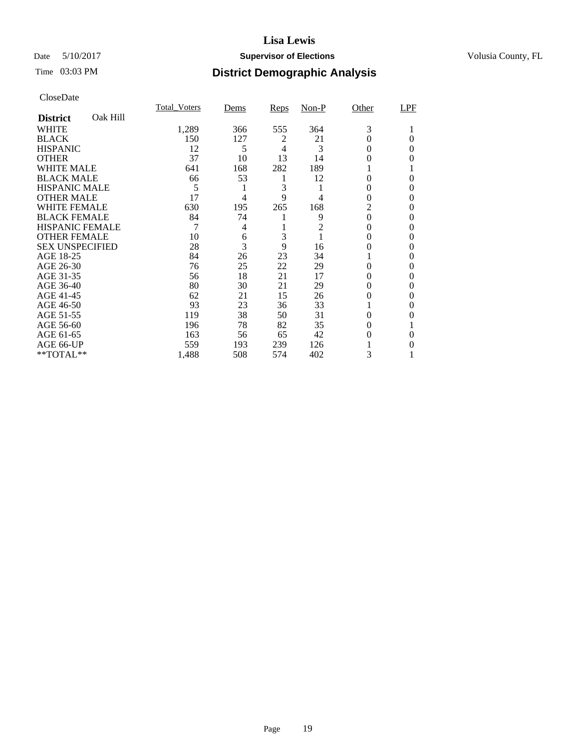# Date 5/10/2017 **Supervisor of Elections Supervisor of Elections** Volusia County, FL

# Time 03:03 PM **District Demographic Analysis**

|                        |          | <b>Total Voters</b> | Dems | Reps | $Non-P$ | Other    | LPF      |
|------------------------|----------|---------------------|------|------|---------|----------|----------|
| <b>District</b>        | Oak Hill |                     |      |      |         |          |          |
| WHITE                  |          | 1,289               | 366  | 555  | 364     | 3        |          |
| <b>BLACK</b>           |          | 150                 | 127  | 2    | 21      | 0        | $\Omega$ |
| <b>HISPANIC</b>        |          | 12                  | 5    | 4    | 3       | $\theta$ | 0        |
| <b>OTHER</b>           |          | 37                  | 10   | 13   | 14      | 0        | 0        |
| WHITE MALE             |          | 641                 | 168  | 282  | 189     |          |          |
| <b>BLACK MALE</b>      |          | 66                  | 53   | 1    | 12      | 0        | $\Omega$ |
| <b>HISPANIC MALE</b>   |          | 5                   | 1    | 3    | 1       | 0        | 0        |
| <b>OTHER MALE</b>      |          | 17                  | 4    | 9    | 4       | 0        | 0        |
| <b>WHITE FEMALE</b>    |          | 630                 | 195  | 265  | 168     | 2        | 0        |
| <b>BLACK FEMALE</b>    |          | 84                  | 74   |      | 9       | $\theta$ | 0        |
| <b>HISPANIC FEMALE</b> |          | 7                   | 4    |      | 2       | 0        | 0        |
| <b>OTHER FEMALE</b>    |          | 10                  | 6    | 3    | 1       | 0        | 0        |
| <b>SEX UNSPECIFIED</b> |          | 28                  | 3    | 9    | 16      | 0        | 0        |
| AGE 18-25              |          | 84                  | 26   | 23   | 34      |          | 0        |
| AGE 26-30              |          | 76                  | 25   | 22   | 29      | 0        | 0        |
| AGE 31-35              |          | 56                  | 18   | 21   | 17      | 0        | $\theta$ |
| AGE 36-40              |          | 80                  | 30   | 21   | 29      | 0        | $\Omega$ |
| AGE 41-45              |          | 62                  | 21   | 15   | 26      | 0        | 0        |
| AGE 46-50              |          | 93                  | 23   | 36   | 33      |          | $\Omega$ |
| AGE 51-55              |          | 119                 | 38   | 50   | 31      | 0        | 0        |
| AGE 56-60              |          | 196                 | 78   | 82   | 35      | 0        |          |
| AGE 61-65              |          | 163                 | 56   | 65   | 42      | 0        | $\Omega$ |
| AGE 66-UP              |          | 559                 | 193  | 239  | 126     |          | 0        |
| **TOTAL**              |          | 1,488               | 508  | 574  | 402     | 3        | 1        |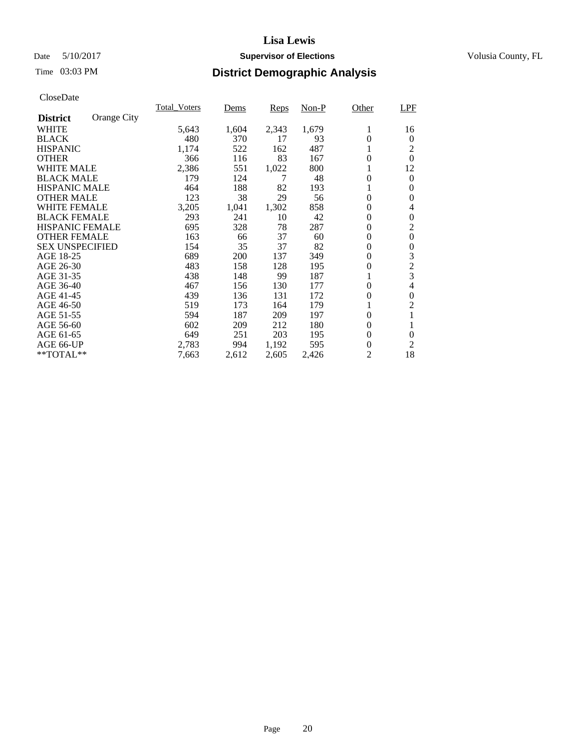# Date 5/10/2017 **Supervisor of Elections Supervisor of Elections** Volusia County, FL

# Time 03:03 PM **District Demographic Analysis**

|                        |             | <b>Total Voters</b> | Dems  | <b>Reps</b> | $Non-P$ | Other            | LPF            |
|------------------------|-------------|---------------------|-------|-------------|---------|------------------|----------------|
| <b>District</b>        | Orange City |                     |       |             |         |                  |                |
| WHITE                  |             | 5,643               | 1,604 | 2,343       | 1,679   | 1                | 16             |
| <b>BLACK</b>           |             | 480                 | 370   | 17          | 93      | $\theta$         | 0              |
| <b>HISPANIC</b>        |             | 1,174               | 522   | 162         | 487     | 1                | 2              |
| <b>OTHER</b>           |             | 366                 | 116   | 83          | 167     | $\theta$         | $\Omega$       |
| WHITE MALE             |             | 2,386               | 551   | 1,022       | 800     |                  | 12             |
| <b>BLACK MALE</b>      |             | 179                 | 124   | 7           | 48      | $\theta$         | $\theta$       |
| <b>HISPANIC MALE</b>   |             | 464                 | 188   | 82          | 193     |                  | $\Omega$       |
| <b>OTHER MALE</b>      |             | 123                 | 38    | 29          | 56      | 0                | $\theta$       |
| <b>WHITE FEMALE</b>    |             | 3,205               | 1,041 | 1,302       | 858     | $\theta$         | 4              |
| <b>BLACK FEMALE</b>    |             | 293                 | 241   | 10          | 42      | $\Omega$         | $\Omega$       |
| <b>HISPANIC FEMALE</b> |             | 695                 | 328   | 78          | 287     | $\theta$         | 2              |
| <b>OTHER FEMALE</b>    |             | 163                 | 66    | 37          | 60      | $\theta$         | $\overline{0}$ |
| <b>SEX UNSPECIFIED</b> |             | 154                 | 35    | 37          | 82      | $\overline{0}$   | $\theta$       |
| AGE 18-25              |             | 689                 | 200   | 137         | 349     | $\theta$         | 3              |
| AGE 26-30              |             | 483                 | 158   | 128         | 195     | 0                | $\overline{2}$ |
| AGE 31-35              |             | 438                 | 148   | 99          | 187     |                  | 3              |
| AGE 36-40              |             | 467                 | 156   | 130         | 177     | $\Omega$         | 4              |
| AGE 41-45              |             | 439                 | 136   | 131         | 172     | $\theta$         | $\theta$       |
| AGE 46-50              |             | 519                 | 173   | 164         | 179     |                  | $\overline{c}$ |
| AGE 51-55              |             | 594                 | 187   | 209         | 197     | 0                | 1              |
| AGE 56-60              |             | 602                 | 209   | 212         | 180     | $\theta$         | 1              |
| AGE 61-65              |             | 649                 | 251   | 203         | 195     | $\theta$         | $\theta$       |
| AGE 66-UP              |             | 2,783               | 994   | 1,192       | 595     | $\boldsymbol{0}$ | 2              |
| **TOTAL**              |             | 7,663               | 2,612 | 2,605       | 2,426   | 2                | 18             |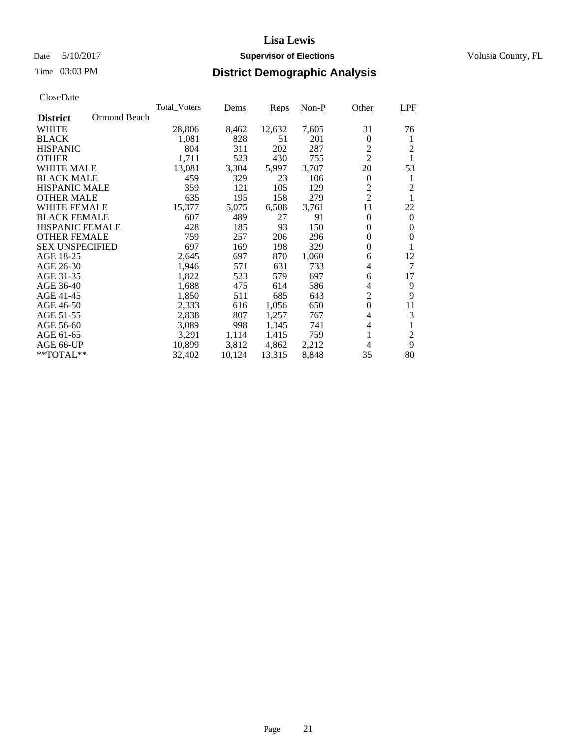# Date 5/10/2017 **Supervisor of Elections Supervisor of Elections** Volusia County, FL

# Time 03:03 PM **District Demographic Analysis**

|                                 | <b>Total Voters</b> | Dems   | Reps   | Non-P | Other          | <b>LPF</b>     |
|---------------------------------|---------------------|--------|--------|-------|----------------|----------------|
| Ormond Beach<br><b>District</b> |                     |        |        |       |                |                |
| WHITE                           | 28,806              | 8,462  | 12,632 | 7,605 | 31             | 76             |
| <b>BLACK</b>                    | 1,081               | 828    | 51     | 201   | 0              | 1              |
| <b>HISPANIC</b>                 | 804                 | 311    | 202    | 287   | 2              | 2              |
| <b>OTHER</b>                    | 1,711               | 523    | 430    | 755   | $\overline{2}$ | 1              |
| WHITE MALE                      | 13,081              | 3,304  | 5,997  | 3,707 | 20             | 53             |
| <b>BLACK MALE</b>               | 459                 | 329    | 23     | 106   | $\theta$       | 1              |
| <b>HISPANIC MALE</b>            | 359                 | 121    | 105    | 129   | $\overline{c}$ | 2              |
| <b>OTHER MALE</b>               | 635                 | 195    | 158    | 279   | $\overline{2}$ |                |
| WHITE FEMALE                    | 15,377              | 5,075  | 6,508  | 3,761 | 11             | 22             |
| <b>BLACK FEMALE</b>             | 607                 | 489    | 27     | 91    | $\Omega$       | $\Omega$       |
| <b>HISPANIC FEMALE</b>          | 428                 | 185    | 93     | 150   | 0              | 0              |
| <b>OTHER FEMALE</b>             | 759                 | 257    | 206    | 296   | 0              | 0              |
| <b>SEX UNSPECIFIED</b>          | 697                 | 169    | 198    | 329   | $\theta$       |                |
| AGE 18-25                       | 2,645               | 697    | 870    | 1,060 | 6              | 12             |
| AGE 26-30                       | 1,946               | 571    | 631    | 733   | 4              | 7              |
| AGE 31-35                       | 1,822               | 523    | 579    | 697   | 6              | 17             |
| AGE 36-40                       | 1,688               | 475    | 614    | 586   | 4              | 9              |
| AGE 41-45                       | 1,850               | 511    | 685    | 643   | $\overline{2}$ | 9              |
| AGE 46-50                       | 2,333               | 616    | 1,056  | 650   | $\theta$       | 11             |
| AGE 51-55                       | 2,838               | 807    | 1,257  | 767   | 4              | 3              |
| AGE 56-60                       | 3,089               | 998    | 1,345  | 741   | 4              | 1              |
| AGE 61-65                       | 3,291               | 1,114  | 1,415  | 759   | 1              | $\overline{c}$ |
| AGE 66-UP                       | 10,899              | 3,812  | 4,862  | 2,212 | 4              | 9              |
| **TOTAL**                       | 32,402              | 10,124 | 13,315 | 8,848 | 35             | 80             |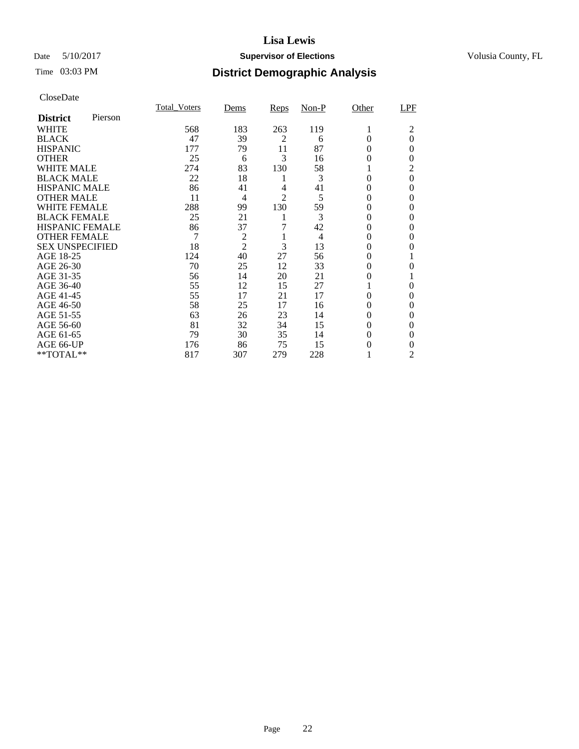# Date 5/10/2017 **Supervisor of Elections Supervisor of Elections** Volusia County, FL

# Time 03:03 PM **District Demographic Analysis**

|                        |         | <b>Total Voters</b> | Dems           | Reps           | $Non-P$        | Other    | LPF      |
|------------------------|---------|---------------------|----------------|----------------|----------------|----------|----------|
| <b>District</b>        | Pierson |                     |                |                |                |          |          |
| WHITE                  |         | 568                 | 183            | 263            | 119            | 1        | 2        |
| <b>BLACK</b>           |         | 47                  | 39             | $\overline{2}$ | 6              | $\theta$ | $\theta$ |
| <b>HISPANIC</b>        |         | 177                 | 79             | 11             | 87             | $\Omega$ | $\Omega$ |
| <b>OTHER</b>           |         | 25                  | 6              | 3              | 16             | 0        | $\Omega$ |
| WHITE MALE             |         | 274                 | 83             | 130            | 58             |          | 2        |
| <b>BLACK MALE</b>      |         | 22                  | 18             | 1              | 3              | 0        | $\theta$ |
| <b>HISPANIC MALE</b>   |         | 86                  | 41             | 4              | 41             | 0        | $\Omega$ |
| <b>OTHER MALE</b>      |         | 11                  | $\overline{4}$ | $\overline{2}$ | 5              | 0        | $\Omega$ |
| WHITE FEMALE           |         | 288                 | 99             | 130            | 59             | 0        | 0        |
| <b>BLACK FEMALE</b>    |         | 25                  | 21             | 1              | 3              | $\Omega$ | $\Omega$ |
| <b>HISPANIC FEMALE</b> |         | 86                  | 37             | 7              | 42             | 0        | 0        |
| <b>OTHER FEMALE</b>    |         | 7                   | $\overline{c}$ | 1              | $\overline{4}$ | 0        | 0        |
| <b>SEX UNSPECIFIED</b> |         | 18                  | $\overline{2}$ | 3              | 13             | 0        | 0        |
| AGE 18-25              |         | 124                 | 40             | 27             | 56             | 0        |          |
| AGE 26-30              |         | 70                  | 25             | 12             | 33             | 0        | $\theta$ |
| AGE 31-35              |         | 56                  | 14             | 20             | 21             | 0        |          |
| AGE 36-40              |         | 55                  | 12             | 15             | 27             |          | $\Omega$ |
| AGE 41-45              |         | 55                  | 17             | 21             | 17             | 0        | $\Omega$ |
| AGE 46-50              |         | 58                  | 25             | 17             | 16             | 0        | $\Omega$ |
| AGE 51-55              |         | 63                  | 26             | 23             | 14             | 0        | $\Omega$ |
| AGE 56-60              |         | 81                  | 32             | 34             | 15             | 0        | $\Omega$ |
| AGE 61-65              |         | 79                  | 30             | 35             | 14             | 0        | 0        |
| AGE 66-UP              |         | 176                 | 86             | 75             | 15             | 0        | 0        |
| **TOTAL**              |         | 817                 | 307            | 279            | 228            |          | 2        |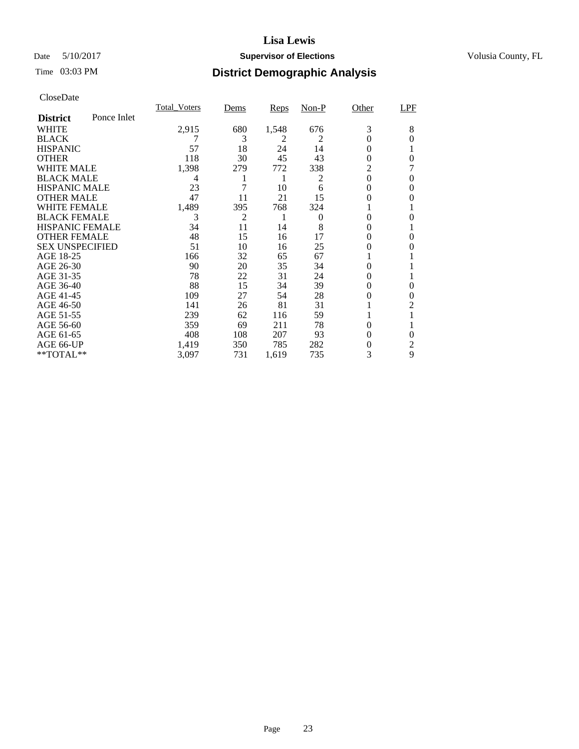# Date 5/10/2017 **Supervisor of Elections Supervisor of Elections** Volusia County, FL

# Time 03:03 PM **District Demographic Analysis**

| Cioscizaio             |             |                     |                |       |                |          |     |
|------------------------|-------------|---------------------|----------------|-------|----------------|----------|-----|
|                        |             | <b>Total Voters</b> | Dems           | Reps  | Non-P          | Other    | LPF |
| <b>District</b>        | Ponce Inlet |                     |                |       |                |          |     |
| WHITE                  |             | 2,915               | 680            | 1,548 | 676            | 3        | 8   |
| <b>BLACK</b>           |             |                     | 3              | 2     | $\overline{2}$ | 0        | 0   |
| <b>HISPANIC</b>        |             | 57                  | 18             | 24    | 14             | 0        |     |
| <b>OTHER</b>           |             | 118                 | 30             | 45    | 43             | $\theta$ | 0   |
| WHITE MALE             |             | 1,398               | 279            | 772   | 338            | 2        |     |
| <b>BLACK MALE</b>      |             | 4                   | 1              | 1     | 2              | $\theta$ | 0   |
| <b>HISPANIC MALE</b>   |             | 23                  | 7              | 10    | 6              | $\theta$ | 0   |
| <b>OTHER MALE</b>      |             | 47                  | 11             | 21    | 15             | 0        | 0   |
| WHITE FEMALE           |             | 1,489               | 395            | 768   | 324            |          |     |
| <b>BLACK FEMALE</b>    |             | 3                   | $\overline{c}$ | 1     | 0              | $\theta$ | 0   |
| <b>HISPANIC FEMALE</b> |             | 34                  | 11             | 14    | 8              | 0        |     |
| <b>OTHER FEMALE</b>    |             | 48                  | 15             | 16    | 17             | 0        | 0   |
| <b>SEX UNSPECIFIED</b> |             | 51                  | 10             | 16    | 25             | 0        | 0   |
| AGE 18-25              |             | 166                 | 32             | 65    | 67             |          |     |
| AGE 26-30              |             | 90                  | 20             | 35    | 34             | $\Omega$ |     |
| AGE 31-35              |             | 78                  | 22             | 31    | 24             | $\Omega$ |     |
| AGE 36-40              |             | 88                  | 15             | 34    | 39             | 0        | 0   |
| AGE 41-45              |             | 109                 | 27             | 54    | 28             | 0        | 0   |
| AGE 46-50              |             | 141                 | 26             | 81    | 31             |          | 2   |
| AGE 51-55              |             | 239                 | 62             | 116   | 59             |          |     |
| AGE 56-60              |             | 359                 | 69             | 211   | 78             | $\Omega$ |     |
| AGE 61-65              |             | 408                 | 108            | 207   | 93             | 0        | 0   |
| AGE 66-UP              |             | 1,419               | 350            | 785   | 282            | 0        | 2   |
| **TOTAL**              |             | 3,097               | 731            | 1,619 | 735            | 3        | 9   |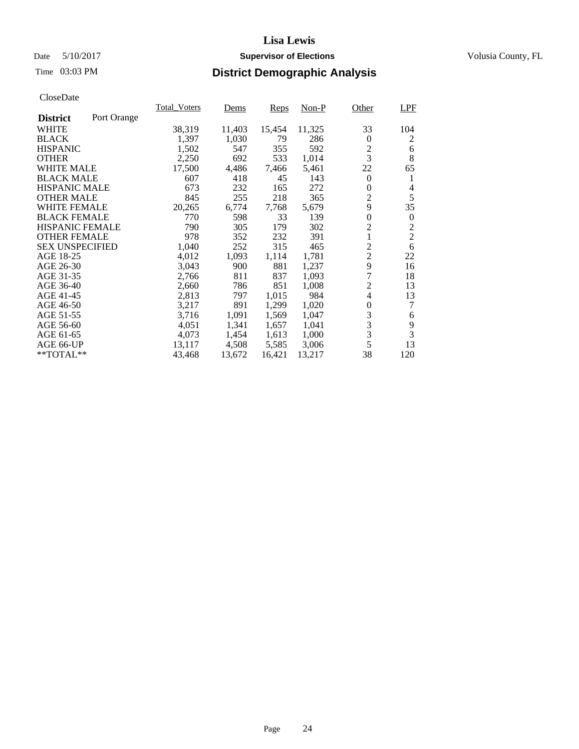# Date 5/10/2017 **Supervisor of Elections Supervisor of Elections** Volusia County, FL

# Time 03:03 PM **District Demographic Analysis**

|                        |             | <b>Total_Voters</b> | <u>Dems</u> | Reps   | Non-P  | Other            | LPF            |
|------------------------|-------------|---------------------|-------------|--------|--------|------------------|----------------|
| <b>District</b>        | Port Orange |                     |             |        |        |                  |                |
| WHITE                  |             | 38,319              | 11,403      | 15,454 | 11,325 | 33               | 104            |
| <b>BLACK</b>           |             | 1,397               | 1,030       | 79     | 286    | 0                | 2              |
| <b>HISPANIC</b>        |             | 1,502               | 547         | 355    | 592    | 2                | 6              |
| <b>OTHER</b>           |             | 2,250               | 692         | 533    | 1,014  | 3                | 8              |
| <b>WHITE MALE</b>      |             | 17,500              | 4,486       | 7,466  | 5,461  | 22               | 65             |
| <b>BLACK MALE</b>      |             | 607                 | 418         | 45     | 143    | $\theta$         | 1              |
| <b>HISPANIC MALE</b>   |             | 673                 | 232         | 165    | 272    | $\theta$         | 4              |
| <b>OTHER MALE</b>      |             | 845                 | 255         | 218    | 365    | $\overline{2}$   | 5              |
| <b>WHITE FEMALE</b>    |             | 20,265              | 6,774       | 7,768  | 5,679  | 9                | 35             |
| <b>BLACK FEMALE</b>    |             | 770                 | 598         | 33     | 139    | $\boldsymbol{0}$ | 0              |
| HISPANIC FEMALE        |             | 790                 | 305         | 179    | 302    | $\overline{2}$   | $\overline{c}$ |
| <b>OTHER FEMALE</b>    |             | 978                 | 352         | 232    | 391    | 1                | $\overline{2}$ |
| <b>SEX UNSPECIFIED</b> |             | 1,040               | 252         | 315    | 465    | $\overline{c}$   | 6              |
| AGE 18-25              |             | 4,012               | 1,093       | 1,114  | 1,781  | $\overline{2}$   | 22             |
| AGE 26-30              |             | 3,043               | 900         | 881    | 1,237  | 9                | 16             |
| AGE 31-35              |             | 2,766               | 811         | 837    | 1,093  | 7                | 18             |
| AGE 36-40              |             | 2,660               | 786         | 851    | 1,008  | $\overline{2}$   | 13             |
| AGE 41-45              |             | 2,813               | 797         | 1,015  | 984    | 4                | 13             |
| AGE 46-50              |             | 3,217               | 891         | 1,299  | 1,020  | $\boldsymbol{0}$ | 7              |
| AGE 51-55              |             | 3,716               | 1,091       | 1,569  | 1,047  | 3                | 6              |
| AGE 56-60              |             | 4,051               | 1,341       | 1,657  | 1,041  | 3                | 9              |
| AGE 61-65              |             | 4,073               | 1,454       | 1,613  | 1,000  | 3                | 3              |
| AGE 66-UP              |             | 13,117              | 4,508       | 5,585  | 3,006  | 5                | 13             |
| $*$ TOTAL $**$         |             | 43,468              | 13,672      | 16,421 | 13,217 | 38               | 120            |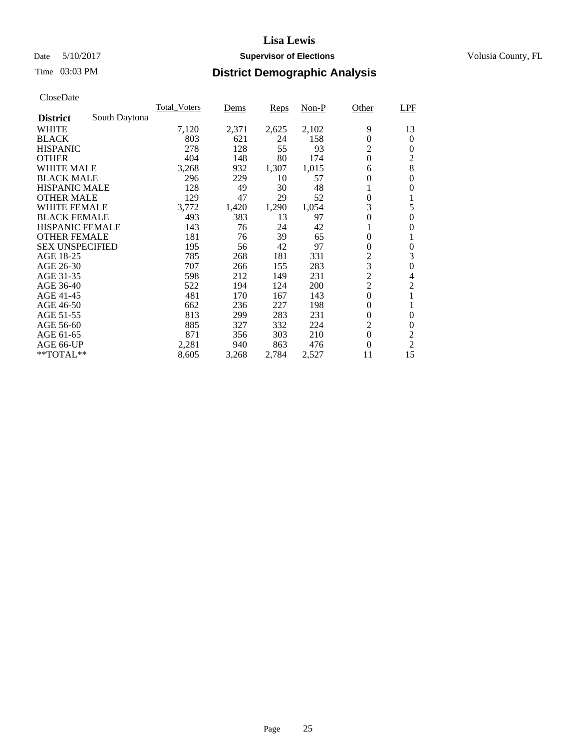# Date 5/10/2017 **Supervisor of Elections Supervisor of Elections** Volusia County, FL

# Time 03:03 PM **District Demographic Analysis**

|                        |               | <b>Total Voters</b> | Dems  | Reps  | $Non-P$ | Other            | LPF              |
|------------------------|---------------|---------------------|-------|-------|---------|------------------|------------------|
| <b>District</b>        | South Daytona |                     |       |       |         |                  |                  |
| WHITE                  |               | 7,120               | 2,371 | 2,625 | 2,102   | 9                | 13               |
| <b>BLACK</b>           |               | 803                 | 621   | 24    | 158     | $\boldsymbol{0}$ | $\theta$         |
| <b>HISPANIC</b>        |               | 278                 | 128   | 55    | 93      | $\overline{2}$   | $\theta$         |
| <b>OTHER</b>           |               | 404                 | 148   | 80    | 174     | $\theta$         | $\overline{2}$   |
| WHITE MALE             |               | 3,268               | 932   | 1,307 | 1,015   | 6                | 8                |
| <b>BLACK MALE</b>      |               | 296                 | 229   | 10    | 57      | $\boldsymbol{0}$ | $\boldsymbol{0}$ |
| <b>HISPANIC MALE</b>   |               | 128                 | 49    | 30    | 48      | 1                | $\overline{0}$   |
| <b>OTHER MALE</b>      |               | 129                 | 47    | 29    | 52      | $\boldsymbol{0}$ | 1                |
| <b>WHITE FEMALE</b>    |               | 3,772               | 1,420 | 1,290 | 1,054   | 3                | 5                |
| <b>BLACK FEMALE</b>    |               | 493                 | 383   | 13    | 97      | $\overline{0}$   | $\theta$         |
| <b>HISPANIC FEMALE</b> |               | 143                 | 76    | 24    | 42      | 1                | $\overline{0}$   |
| <b>OTHER FEMALE</b>    |               | 181                 | 76    | 39    | 65      | $\overline{0}$   | 1                |
| <b>SEX UNSPECIFIED</b> |               | 195                 | 56    | 42    | 97      | $\boldsymbol{0}$ | $\overline{0}$   |
| AGE 18-25              |               | 785                 | 268   | 181   | 331     | $\sqrt{2}$       | 3                |
| AGE 26-30              |               | 707                 | 266   | 155   | 283     | 3                | $\overline{0}$   |
| AGE 31-35              |               | 598                 | 212   | 149   | 231     | $\overline{c}$   | 4                |
| AGE 36-40              |               | 522                 | 194   | 124   | 200     | $\overline{2}$   | $\overline{2}$   |
| AGE 41-45              |               | 481                 | 170   | 167   | 143     | $\boldsymbol{0}$ | 1                |
| AGE 46-50              |               | 662                 | 236   | 227   | 198     | $\theta$         |                  |
| AGE 51-55              |               | 813                 | 299   | 283   | 231     | $\theta$         | $\theta$         |
| AGE 56-60              |               | 885                 | 327   | 332   | 224     | $\overline{2}$   | $\overline{0}$   |
| AGE 61-65              |               | 871                 | 356   | 303   | 210     | $\theta$         | $\overline{2}$   |
| AGE 66-UP              |               | 2,281               | 940   | 863   | 476     | $\theta$         | $\overline{2}$   |
| **TOTAL**              |               | 8,605               | 3,268 | 2,784 | 2,527   | 11               | 15               |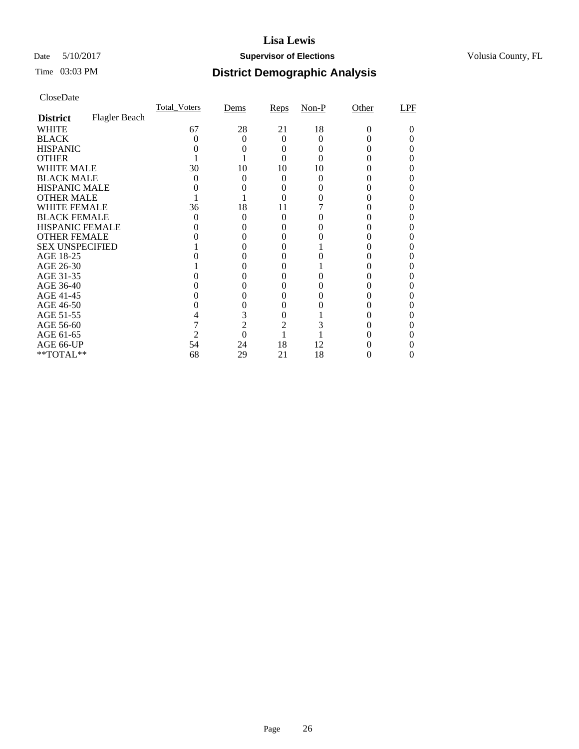# Date 5/10/2017 **Supervisor of Elections Supervisor of Elections** Volusia County, FL

# Time 03:03 PM **District Demographic Analysis**

| Cioscizaio             |               |                     |                |          |       |          |     |
|------------------------|---------------|---------------------|----------------|----------|-------|----------|-----|
|                        |               | <b>Total_Voters</b> | Dems           | Reps     | Non-P | Other    | LPF |
| <b>District</b>        | Flagler Beach |                     |                |          |       |          |     |
| WHITE                  |               | 67                  | 28             | 21       | 18    | $\Omega$ |     |
| <b>BLACK</b>           |               | 0                   | 0              | $\Omega$ | 0     |          |     |
| <b>HISPANIC</b>        |               |                     |                | 0        |       |          |     |
| <b>OTHER</b>           |               |                     |                | 0        |       |          |     |
| WHITE MALE             |               | 30                  | 10             | 10       | 10    |          |     |
| <b>BLACK MALE</b>      |               | 0                   | $_{0}$         | 0        | 0     |          |     |
| <b>HISPANIC MALE</b>   |               |                     |                |          |       |          |     |
| <b>OTHER MALE</b>      |               |                     |                |          |       |          |     |
| WHITE FEMALE           |               | 36                  | 18             | 11       |       |          |     |
| <b>BLACK FEMALE</b>    |               |                     | $\theta$       | $\Omega$ |       |          |     |
| <b>HISPANIC FEMALE</b> |               |                     | 0              | $_{0}$   |       |          |     |
| <b>OTHER FEMALE</b>    |               |                     |                |          |       |          |     |
| <b>SEX UNSPECIFIED</b> |               |                     |                | $\Omega$ |       |          |     |
| AGE 18-25              |               |                     |                | 0        |       |          | 0   |
| AGE 26-30              |               |                     |                | $\theta$ |       |          |     |
| AGE 31-35              |               |                     | 0              | $\Omega$ | 0     |          |     |
| AGE 36-40              |               |                     |                |          |       |          |     |
| AGE 41-45              |               |                     |                | 0        |       |          |     |
| AGE 46-50              |               |                     | 0              | 0        |       |          |     |
| AGE 51-55              |               |                     | 3              | $\Omega$ |       |          |     |
| AGE 56-60              |               |                     | $\overline{2}$ | 2        |       |          |     |
| AGE 61-65              |               |                     | 0              |          |       |          |     |
| AGE 66-UP              |               | 54                  | 24             | 18       | 12    |          |     |
| **TOTAL**              |               | 68                  | 29             | 21       | 18    |          | 0   |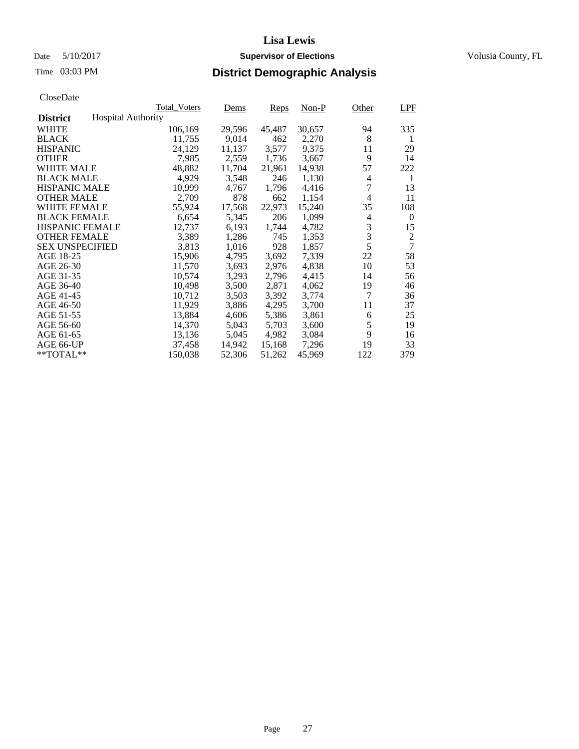# Date 5/10/2017 **Supervisor of Elections Supervisor of Elections** Volusia County, FL

# Time 03:03 PM **District Demographic Analysis**

|                        |                           | <b>Total Voters</b> | Dems   | Reps   | Non-P  | Other | LPF            |
|------------------------|---------------------------|---------------------|--------|--------|--------|-------|----------------|
| <b>District</b>        | <b>Hospital Authority</b> |                     |        |        |        |       |                |
| WHITE                  |                           | 106,169             | 29,596 | 45,487 | 30,657 | 94    | 335            |
| <b>BLACK</b>           |                           | 11,755              | 9,014  | 462    | 2,270  | 8     | 1              |
| <b>HISPANIC</b>        |                           | 24,129              | 11,137 | 3,577  | 9,375  | 11    | 29             |
| <b>OTHER</b>           |                           | 7,985               | 2,559  | 1,736  | 3,667  | 9     | 14             |
| WHITE MALE             |                           | 48,882              | 11,704 | 21,961 | 14.938 | 57    | 222            |
| <b>BLACK MALE</b>      |                           | 4,929               | 3,548  | 246    | 1,130  | 4     | 1              |
| <b>HISPANIC MALE</b>   |                           | 10,999              | 4,767  | 1,796  | 4,416  | 7     | 13             |
| <b>OTHER MALE</b>      |                           | 2,709               | 878    | 662    | 1,154  | 4     | 11             |
| <b>WHITE FEMALE</b>    |                           | 55,924              | 17,568 | 22,973 | 15,240 | 35    | 108            |
| <b>BLACK FEMALE</b>    |                           | 6,654               | 5,345  | 206    | 1,099  | 4     | $\theta$       |
| <b>HISPANIC FEMALE</b> |                           | 12,737              | 6,193  | 1,744  | 4,782  | 3     | 15             |
| <b>OTHER FEMALE</b>    |                           | 3.389               | 1,286  | 745    | 1,353  | 3     | 2              |
| <b>SEX UNSPECIFIED</b> |                           | 3,813               | 1,016  | 928    | 1,857  | 5     | $\overline{7}$ |
| AGE 18-25              |                           | 15,906              | 4,795  | 3,692  | 7,339  | 22    | 58             |
| AGE 26-30              |                           | 11,570              | 3,693  | 2,976  | 4.838  | 10    | 53             |
| AGE 31-35              |                           | 10,574              | 3,293  | 2,796  | 4,415  | 14    | 56             |
| AGE 36-40              |                           | 10,498              | 3,500  | 2,871  | 4,062  | 19    | 46             |
| AGE 41-45              |                           | 10,712              | 3,503  | 3,392  | 3,774  | 7     | 36             |
| AGE 46-50              |                           | 11,929              | 3,886  | 4,295  | 3,700  | 11    | 37             |
| AGE 51-55              |                           | 13,884              | 4,606  | 5,386  | 3,861  | 6     | 25             |
| AGE 56-60              |                           | 14,370              | 5,043  | 5,703  | 3,600  | 5     | 19             |
| AGE 61-65              |                           | 13,136              | 5,045  | 4,982  | 3,084  | 9     | 16             |
| AGE 66-UP              |                           | 37,458              | 14,942 | 15,168 | 7,296  | 19    | 33             |
| $*$ $TOTAL**$          |                           | 150,038             | 52,306 | 51,262 | 45,969 | 122   | 379            |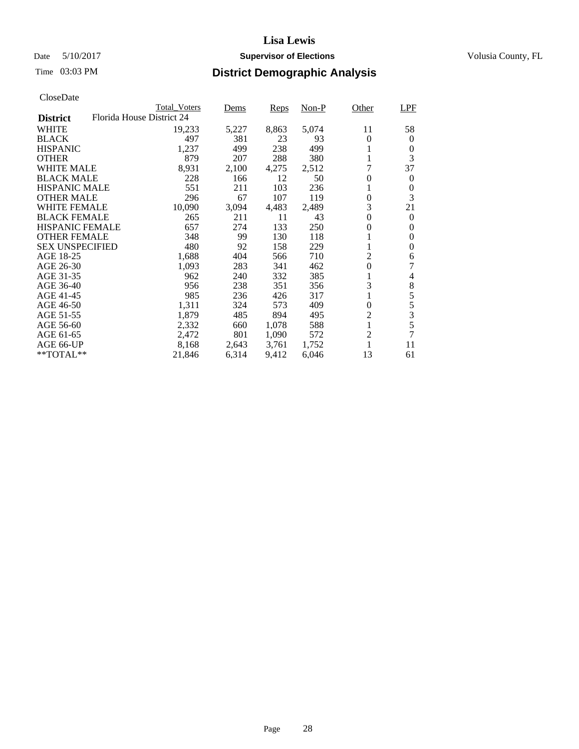# Date 5/10/2017 **Supervisor of Elections Supervisor of Elections** Volusia County, FL

| <b>Total Voters</b>       | Dems  | Reps  | $Non-P$ | Other            | LPF                              |
|---------------------------|-------|-------|---------|------------------|----------------------------------|
| Florida House District 24 |       |       |         |                  |                                  |
| 19,233                    | 5,227 | 8,863 | 5,074   | 11               | 58                               |
| 497                       | 381   | 23    | 93      | 0                | $\theta$                         |
| 1,237                     | 499   | 238   | 499     |                  | 0                                |
| 879                       | 207   | 288   | 380     |                  | 3                                |
| 8,931                     | 2,100 | 4,275 | 2,512   | 7                | 37                               |
| 228                       | 166   | 12    | 50      | $\boldsymbol{0}$ | $\theta$                         |
| 551                       | 211   | 103   | 236     |                  | 0                                |
| 296                       | 67    | 107   | 119     | 0                | 3                                |
| 10,090                    | 3,094 | 4,483 | 2,489   | 3                | 21                               |
| 265                       | 211   | 11    | 43      | 0                | $\theta$                         |
| 657                       | 274   | 133   | 250     | 0                | $\theta$                         |
| 348                       | 99    | 130   | 118     |                  | $\Omega$                         |
| 480                       | 92    | 158   | 229     |                  | $\theta$                         |
| 1,688                     | 404   | 566   | 710     | 2                | 6                                |
| 1,093                     | 283   | 341   | 462     | $\overline{0}$   | 7                                |
| 962                       | 240   | 332   | 385     |                  | 4                                |
| 956                       | 238   | 351   | 356     | 3                | $\,8\,$                          |
| 985                       | 236   | 426   | 317     |                  | 5                                |
| 1,311                     | 324   | 573   | 409     | $\theta$         | 5                                |
| 1,879                     | 485   | 894   | 495     |                  | $\mathfrak{Z}$                   |
| 2,332                     | 660   |       | 588     |                  | 5                                |
| 2,472                     | 801   | 1,090 | 572     |                  | 7                                |
| 8,168                     | 2,643 | 3,761 | 1,752   |                  | 11                               |
| 21,846                    | 6,314 | 9,412 | 6,046   | 13               | 61                               |
|                           |       |       | 1,078   |                  | $\overline{c}$<br>$\overline{c}$ |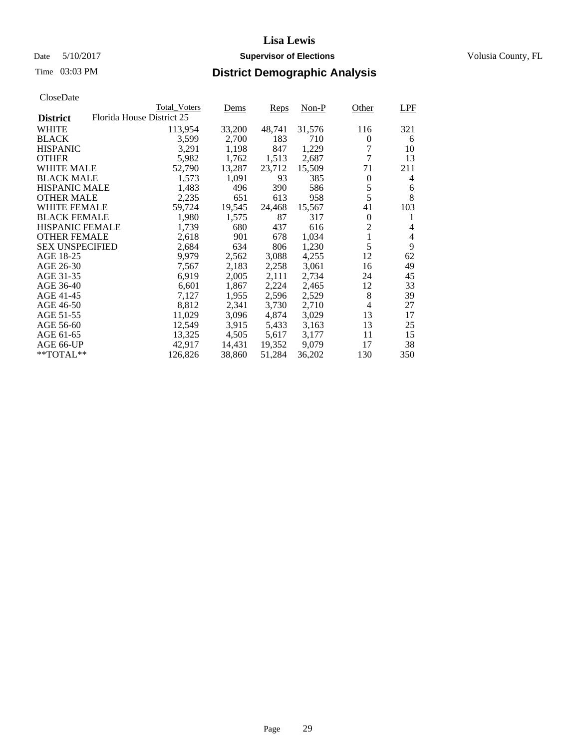# Date 5/10/2017 **Supervisor of Elections Supervisor of Elections** Volusia County, FL

# Time 03:03 PM **District Demographic Analysis**

| Cioscizaio             |                           |                     |        |        |        |                |            |
|------------------------|---------------------------|---------------------|--------|--------|--------|----------------|------------|
|                        |                           | <b>Total Voters</b> | Dems   | Reps   | Non-P  | Other          | <b>LPF</b> |
| <b>District</b>        | Florida House District 25 |                     |        |        |        |                |            |
| WHITE                  |                           | 113,954             | 33,200 | 48,741 | 31,576 | 116            | 321        |
| <b>BLACK</b>           |                           | 3,599               | 2,700  | 183    | 710    | 0              | 6          |
| <b>HISPANIC</b>        |                           | 3,291               | 1,198  | 847    | 1,229  | 7              | 10         |
| <b>OTHER</b>           |                           | 5,982               | 1,762  | 1,513  | 2,687  | 7              | 13         |
| WHITE MALE             |                           | 52,790              | 13,287 | 23,712 | 15,509 | 71             | 211        |
| <b>BLACK MALE</b>      |                           | 1,573               | 1,091  | 93     | 385    | $\theta$       | 4          |
| <b>HISPANIC MALE</b>   |                           | 1,483               | 496    | 390    | 586    | 5              | 6          |
| <b>OTHER MALE</b>      |                           | 2,235               | 651    | 613    | 958    | 5              | 8          |
| WHITE FEMALE           |                           | 59,724              | 19,545 | 24,468 | 15,567 | 41             | 103        |
| <b>BLACK FEMALE</b>    |                           | 1,980               | 1,575  | 87     | 317    | $\Omega$       | 1          |
| <b>HISPANIC FEMALE</b> |                           | 1,739               | 680    | 437    | 616    | $\overline{2}$ | 4          |
| <b>OTHER FEMALE</b>    |                           | 2,618               | 901    | 678    | 1,034  | 1              | 4          |
| <b>SEX UNSPECIFIED</b> |                           | 2,684               | 634    | 806    | 1,230  | 5              | 9          |
| AGE 18-25              |                           | 9,979               | 2,562  | 3,088  | 4,255  | 12             | 62         |
| AGE 26-30              |                           | 7,567               | 2,183  | 2,258  | 3,061  | 16             | 49         |
| AGE 31-35              |                           | 6,919               | 2,005  | 2,111  | 2,734  | 24             | 45         |
| AGE 36-40              |                           | 6,601               | 1,867  | 2,224  | 2,465  | 12             | 33         |
| AGE 41-45              |                           | 7,127               | 1,955  | 2,596  | 2,529  | 8              | 39         |
| AGE 46-50              |                           | 8,812               | 2,341  | 3,730  | 2,710  | 4              | 27         |
| AGE 51-55              |                           | 11,029              | 3,096  | 4,874  | 3,029  | 13             | 17         |
| AGE 56-60              |                           | 12,549              | 3,915  | 5,433  | 3,163  | 13             | 25         |
| AGE 61-65              |                           | 13,325              | 4,505  | 5,617  | 3,177  | 11             | 15         |
| AGE 66-UP              |                           | 42,917              | 14,431 | 19,352 | 9,079  | 17             | 38         |
| $*$ TOTAL $**$         |                           | 126,826             | 38,860 | 51,284 | 36,202 | 130            | 350        |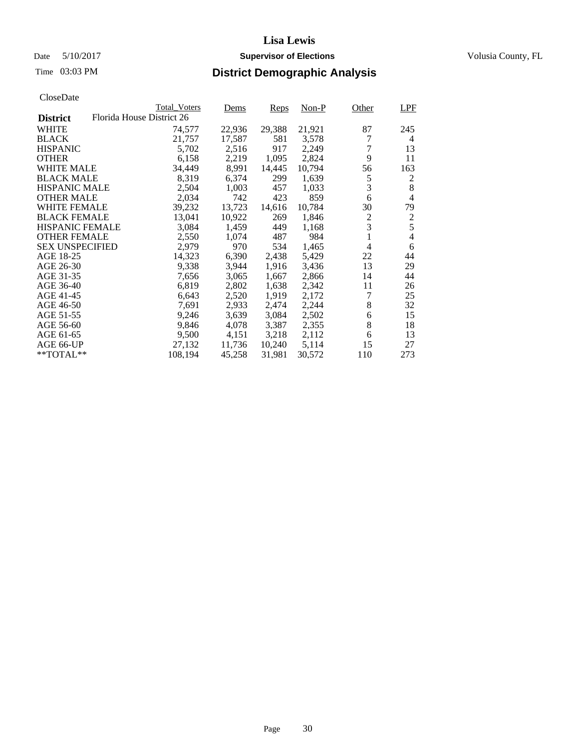# Date 5/10/2017 **Supervisor of Elections Supervisor of Elections** Volusia County, FL

|                        |                           | <b>Total_Voters</b> | Dems   | Reps   | Non-P  | Other            | LPF            |
|------------------------|---------------------------|---------------------|--------|--------|--------|------------------|----------------|
| <b>District</b>        | Florida House District 26 |                     |        |        |        |                  |                |
| <b>WHITE</b>           |                           | 74,577              | 22,936 | 29,388 | 21,921 | 87               | 245            |
| <b>BLACK</b>           |                           | 21,757              | 17,587 | 581    | 3,578  | 7                | $\overline{4}$ |
| <b>HISPANIC</b>        |                           | 5,702               | 2,516  | 917    | 2,249  | 7                | 13             |
| <b>OTHER</b>           |                           | 6,158               | 2,219  | 1,095  | 2,824  | 9                | 11             |
| <b>WHITE MALE</b>      |                           | 34,449              | 8,991  | 14,445 | 10,794 | 56               | 163            |
| <b>BLACK MALE</b>      |                           | 8,319               | 6,374  | 299    | 1,639  | 5                | 2              |
| <b>HISPANIC MALE</b>   |                           | 2,504               | 1,003  | 457    | 1,033  | 3                | 8              |
| <b>OTHER MALE</b>      |                           | 2,034               | 742    | 423    | 859    | 6                | $\overline{4}$ |
| <b>WHITE FEMALE</b>    |                           | 39,232              | 13,723 | 14,616 | 10,784 | 30               | 79             |
| <b>BLACK FEMALE</b>    |                           | 13,041              | 10,922 | 269    | 1,846  | $\boldsymbol{2}$ | $rac{2}{5}$    |
| <b>HISPANIC FEMALE</b> |                           | 3,084               | 1,459  | 449    | 1,168  | 3                |                |
| <b>OTHER FEMALE</b>    |                           | 2,550               | 1,074  | 487    | 984    | 1                | $\overline{4}$ |
| <b>SEX UNSPECIFIED</b> |                           | 2,979               | 970    | 534    | 1,465  | 4                | 6              |
| AGE 18-25              |                           | 14,323              | 6,390  | 2,438  | 5,429  | 22               | 44             |
| AGE 26-30              |                           | 9,338               | 3,944  | 1,916  | 3,436  | 13               | 29             |
| AGE 31-35              |                           | 7,656               | 3,065  | 1,667  | 2,866  | 14               | 44             |
| AGE 36-40              |                           | 6,819               | 2,802  | 1,638  | 2,342  | 11               | 26             |
| AGE 41-45              |                           | 6,643               | 2,520  | 1,919  | 2,172  | 7                | 25             |
| AGE 46-50              |                           | 7,691               | 2,933  | 2,474  | 2,244  | 8                | 32             |
| AGE 51-55              |                           | 9,246               | 3,639  | 3,084  | 2,502  | 6                | 15             |
| AGE 56-60              |                           | 9,846               | 4,078  | 3,387  | 2,355  | 8                | 18             |
| AGE 61-65              |                           | 9,500               | 4,151  | 3,218  | 2,112  | 6                | 13             |
| AGE 66-UP              |                           | 27,132              | 11,736 | 10,240 | 5,114  | 15               | 27             |
| $*$ TOTAL $**$         |                           | 108,194             | 45,258 | 31,981 | 30,572 | 110              | 273            |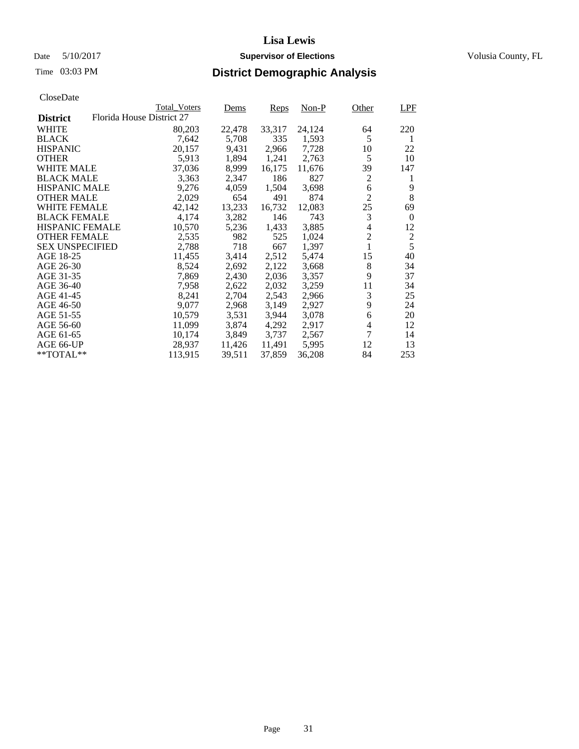# Date 5/10/2017 **Supervisor of Elections Supervisor of Elections** Volusia County, FL

|                        |                           | <b>Total Voters</b> | Dems   | Reps   | $Non-P$ | Other          | LPF              |
|------------------------|---------------------------|---------------------|--------|--------|---------|----------------|------------------|
| <b>District</b>        | Florida House District 27 |                     |        |        |         |                |                  |
| WHITE                  |                           | 80,203              | 22,478 | 33,317 | 24,124  | 64             | 220              |
| <b>BLACK</b>           |                           | 7,642               | 5,708  | 335    | 1,593   | 5              | 1                |
| <b>HISPANIC</b>        |                           | 20,157              | 9,431  | 2,966  | 7,728   | 10             | 22               |
| <b>OTHER</b>           |                           | 5,913               | 1,894  | 1,241  | 2,763   | 5              | 10               |
| WHITE MALE             |                           | 37,036              | 8,999  | 16,175 | 11,676  | 39             | 147              |
| <b>BLACK MALE</b>      |                           | 3,363               | 2,347  | 186    | 827     | $\mathfrak{2}$ | 1                |
| <b>HISPANIC MALE</b>   |                           | 9,276               | 4,059  | 1,504  | 3,698   | 6              | 9                |
| <b>OTHER MALE</b>      |                           | 2,029               | 654    | 491    | 874     | $\overline{2}$ | $8\,$            |
| <b>WHITE FEMALE</b>    |                           | 42,142              | 13,233 | 16,732 | 12,083  | 25             | 69               |
| <b>BLACK FEMALE</b>    |                           | 4,174               | 3,282  | 146    | 743     | 3              | $\boldsymbol{0}$ |
| <b>HISPANIC FEMALE</b> |                           | 10,570              | 5,236  | 1,433  | 3,885   | 4              | 12               |
| <b>OTHER FEMALE</b>    |                           | 2,535               | 982    | 525    | 1,024   | $\overline{2}$ | $\overline{c}$   |
| <b>SEX UNSPECIFIED</b> |                           | 2,788               | 718    | 667    | 1,397   | $\mathbf{1}$   | 5                |
| AGE 18-25              |                           | 11,455              | 3,414  | 2,512  | 5,474   | 15             | 40               |
| AGE 26-30              |                           | 8,524               | 2,692  | 2,122  | 3,668   | 8              | 34               |
| AGE 31-35              |                           | 7,869               | 2,430  | 2,036  | 3,357   | 9              | 37               |
| AGE 36-40              |                           | 7,958               | 2,622  | 2,032  | 3,259   | 11             | 34               |
| AGE 41-45              |                           | 8,241               | 2,704  | 2,543  | 2,966   | 3              | 25               |
| AGE 46-50              |                           | 9,077               | 2,968  | 3,149  | 2,927   | 9              | 24               |
| AGE 51-55              |                           | 10,579              | 3,531  | 3,944  | 3,078   | 6              | 20               |
| AGE 56-60              |                           | 11,099              | 3,874  | 4,292  | 2,917   | 4              | 12               |
| AGE 61-65              |                           | 10,174              | 3,849  | 3,737  | 2,567   | 7              | 14               |
| AGE 66-UP              |                           | 28,937              | 11,426 | 11,491 | 5,995   | 12             | 13               |
| **TOTAL**              |                           | 113,915             | 39,511 | 37,859 | 36,208  | 84             | 253              |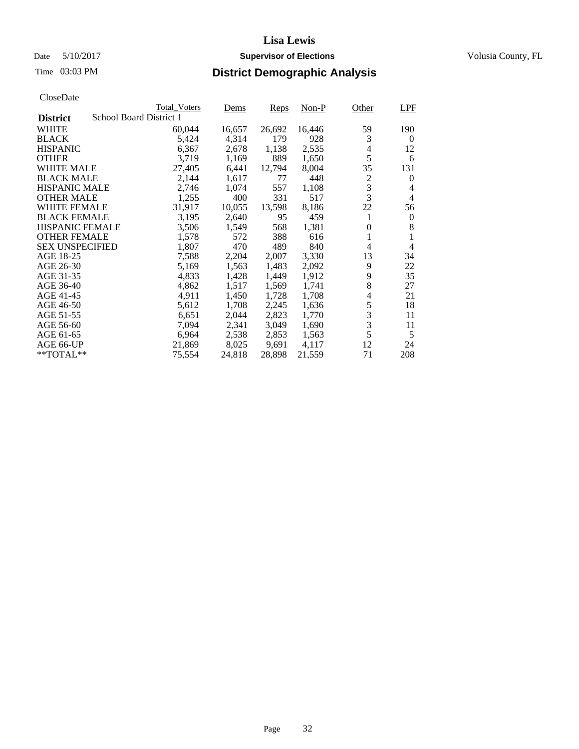# Date 5/10/2017 **Supervisor of Elections Supervisor of Elections** Volusia County, FL

| CloseDate |
|-----------|
|-----------|

|                        |                         | <b>Total Voters</b> | Dems   | Reps   | Non-P  | Other          | LPF              |
|------------------------|-------------------------|---------------------|--------|--------|--------|----------------|------------------|
| <b>District</b>        | School Board District 1 |                     |        |        |        |                |                  |
| <b>WHITE</b>           |                         | 60,044              | 16,657 | 26,692 | 16,446 | 59             | 190              |
| <b>BLACK</b>           |                         | 5,424               | 4,314  | 179    | 928    | 3              | $\theta$         |
| <b>HISPANIC</b>        |                         | 6,367               | 2,678  | 1,138  | 2,535  | 4              | 12               |
| <b>OTHER</b>           |                         | 3,719               | 1,169  | 889    | 1,650  | 5              | 6                |
| <b>WHITE MALE</b>      |                         | 27,405              | 6,441  | 12,794 | 8,004  | 35             | 131              |
| <b>BLACK MALE</b>      |                         | 2,144               | 1,617  | 77     | 448    | $\overline{c}$ | $\theta$         |
| <b>HISPANIC MALE</b>   |                         | 2,746               | 1,074  | 557    | 1,108  | 3              | 4                |
| <b>OTHER MALE</b>      |                         | 1,255               | 400    | 331    | 517    | 3              | $\overline{4}$   |
| <b>WHITE FEMALE</b>    |                         | 31,917              | 10,055 | 13,598 | 8,186  | 22             | 56               |
| <b>BLACK FEMALE</b>    |                         | 3,195               | 2,640  | 95     | 459    | 1              | $\boldsymbol{0}$ |
| <b>HISPANIC FEMALE</b> |                         | 3,506               | 1,549  | 568    | 1,381  | $\theta$       | 8                |
| <b>OTHER FEMALE</b>    |                         | 1,578               | 572    | 388    | 616    | 1              | 1                |
| <b>SEX UNSPECIFIED</b> |                         | 1,807               | 470    | 489    | 840    | 4              | 4                |
| AGE 18-25              |                         | 7,588               | 2,204  | 2,007  | 3,330  | 13             | 34               |
| AGE 26-30              |                         | 5,169               | 1,563  | 1,483  | 2,092  | 9              | 22               |
| AGE 31-35              |                         | 4,833               | 1,428  | 1,449  | 1,912  | 9              | 35               |
| AGE 36-40              |                         | 4,862               | 1,517  | 1,569  | 1,741  | 8              | 27               |
| AGE 41-45              |                         | 4,911               | 1,450  | 1,728  | 1,708  | 4              | 21               |
| AGE 46-50              |                         | 5,612               | 1,708  | 2,245  | 1,636  | 5              | 18               |
| AGE 51-55              |                         | 6,651               | 2,044  | 2,823  | 1,770  | 3              | 11               |
| AGE 56-60              |                         | 7,094               | 2,341  | 3,049  | 1,690  | 3              | 11               |
| AGE 61-65              |                         | 6,964               | 2,538  | 2,853  | 1,563  | 5              | 5                |
| AGE 66-UP              |                         | 21,869              | 8,025  | 9,691  | 4,117  | 12             | 24               |
| $*$ TOTAL $**$         |                         | 75,554              | 24,818 | 28,898 | 21,559 | 71             | 208              |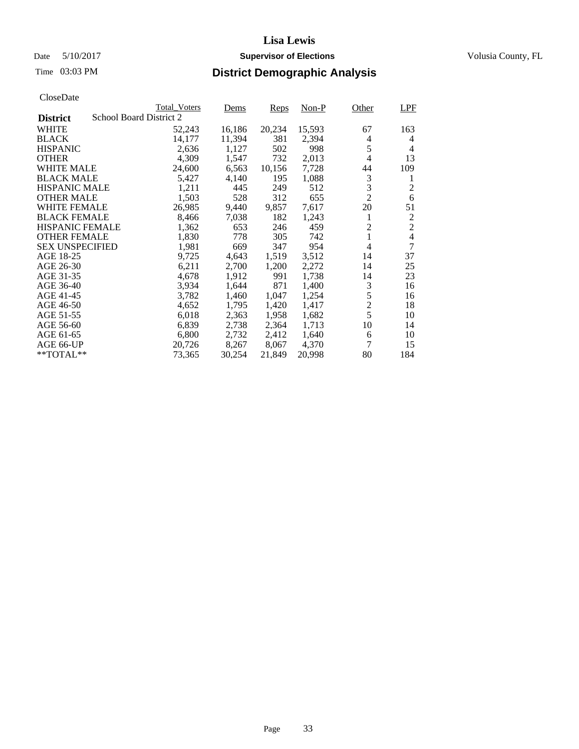# Date 5/10/2017 **Supervisor of Elections Supervisor of Elections** Volusia County, FL

| CloseDate |
|-----------|
|-----------|

|                        | <b>Total Voters</b>     |        | Dems   | Reps   | $Non-P$ | Other          | LPF            |
|------------------------|-------------------------|--------|--------|--------|---------|----------------|----------------|
| <b>District</b>        | School Board District 2 |        |        |        |         |                |                |
| WHITE                  |                         | 52,243 | 16,186 | 20,234 | 15,593  | 67             | 163            |
| <b>BLACK</b>           |                         | 14,177 | 11,394 | 381    | 2,394   | 4              | 4              |
| <b>HISPANIC</b>        |                         | 2,636  | 1,127  | 502    | 998     | 5              | 4              |
| <b>OTHER</b>           |                         | 4,309  | 1,547  | 732    | 2,013   | 4              | 13             |
| WHITE MALE             |                         | 24,600 | 6,563  | 10,156 | 7,728   | 44             | 109            |
| <b>BLACK MALE</b>      |                         | 5,427  | 4,140  | 195    | 1,088   | 3              | 1              |
| <b>HISPANIC MALE</b>   |                         | 1,211  | 445    | 249    | 512     | 3              | $\overline{c}$ |
| <b>OTHER MALE</b>      |                         | 1,503  | 528    | 312    | 655     | $\overline{2}$ | 6              |
| <b>WHITE FEMALE</b>    |                         | 26,985 | 9,440  | 9,857  | 7,617   | 20             | 51             |
| <b>BLACK FEMALE</b>    |                         | 8,466  | 7,038  | 182    | 1,243   | 1              | 2              |
| <b>HISPANIC FEMALE</b> |                         | 1,362  | 653    | 246    | 459     | $\overline{c}$ | $\overline{2}$ |
| <b>OTHER FEMALE</b>    |                         | 1,830  | 778    | 305    | 742     | 1              | $\overline{4}$ |
| <b>SEX UNSPECIFIED</b> |                         | 1,981  | 669    | 347    | 954     | 4              | 7              |
| AGE 18-25              |                         | 9,725  | 4,643  | 1,519  | 3,512   | 14             | 37             |
| AGE 26-30              |                         | 6,211  | 2,700  | 1,200  | 2,272   | 14             | 25             |
| AGE 31-35              |                         | 4,678  | 1,912  | 991    | 1,738   | 14             | 23             |
| AGE 36-40              |                         | 3,934  | 1,644  | 871    | 1,400   | 3              | 16             |
| AGE 41-45              |                         | 3,782  | 1,460  | 1,047  | 1,254   | 5              | 16             |
| AGE 46-50              |                         | 4,652  | 1,795  | 1,420  | 1,417   | $\overline{c}$ | 18             |
| AGE 51-55              |                         | 6,018  | 2,363  | 1,958  | 1,682   | 5              | 10             |
| AGE 56-60              |                         | 6,839  | 2,738  | 2,364  | 1,713   | 10             | 14             |
| AGE 61-65              |                         | 6,800  | 2,732  | 2,412  | 1,640   | 6              | 10             |
| AGE 66-UP              |                         | 20,726 | 8,267  | 8,067  | 4,370   | 7              | 15             |
| $*$ TOTAL $*$          |                         | 73,365 | 30,254 | 21,849 | 20,998  | 80             | 184            |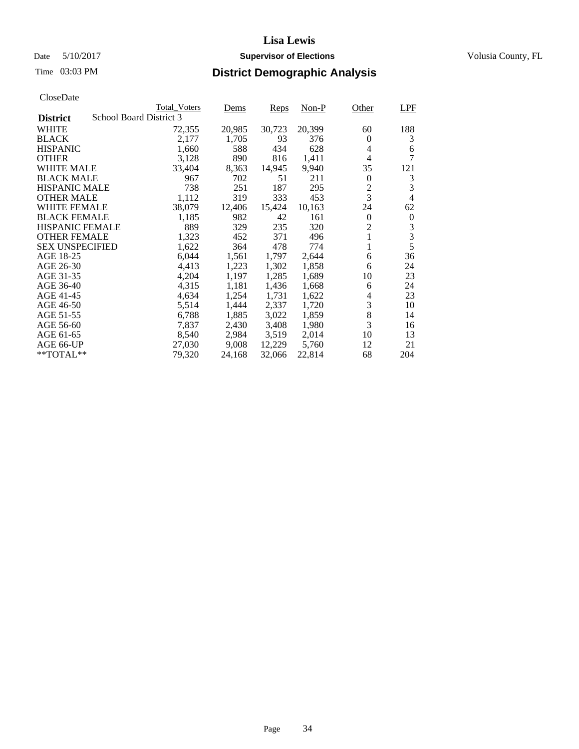# Date 5/10/2017 **Supervisor of Elections Supervisor of Elections** Volusia County, FL

# Time 03:03 PM **District Demographic Analysis**

|                                            | <b>Total Voters</b> | Dems   | Reps   | $Non-P$ | Other          | <b>LPF</b>       |
|--------------------------------------------|---------------------|--------|--------|---------|----------------|------------------|
| School Board District 3<br><b>District</b> |                     |        |        |         |                |                  |
| <b>WHITE</b>                               | 72,355              | 20,985 | 30,723 | 20,399  | 60             | 188              |
| <b>BLACK</b>                               | 2,177               | 1,705  | 93     | 376     | $\theta$       | 3                |
| <b>HISPANIC</b>                            | 1,660               | 588    | 434    | 628     | 4              | 6                |
| <b>OTHER</b>                               | 3,128               | 890    | 816    | 1,411   | 4              | 7                |
| <b>WHITE MALE</b>                          | 33,404              | 8,363  | 14,945 | 9,940   | 35             | 121              |
| <b>BLACK MALE</b>                          | 967                 | 702    | 51     | 211     | $\theta$       | 3                |
| <b>HISPANIC MALE</b>                       | 738                 | 251    | 187    | 295     | 2              | 3                |
| <b>OTHER MALE</b>                          | 1,112               | 319    | 333    | 453     | 3              | $\overline{4}$   |
| WHITE FEMALE                               | 38,079              | 12,406 | 15,424 | 10,163  | 24             | 62               |
| <b>BLACK FEMALE</b>                        | 1,185               | 982    | 42     | 161     | $\Omega$       | $\boldsymbol{0}$ |
| <b>HISPANIC FEMALE</b>                     | 889                 | 329    | 235    | 320     | $\overline{2}$ | 3                |
| <b>OTHER FEMALE</b>                        | 1,323               | 452    | 371    | 496     | 1              | 3                |
| <b>SEX UNSPECIFIED</b>                     | 1,622               | 364    | 478    | 774     |                | 5                |
| AGE 18-25                                  | 6,044               | 1,561  | 1,797  | 2,644   | 6              | 36               |
| AGE 26-30                                  | 4,413               | 1,223  | 1,302  | 1,858   | 6              | 24               |
| AGE 31-35                                  | 4,204               | 1,197  | 1,285  | 1,689   | 10             | 23               |
| AGE 36-40                                  | 4,315               | 1,181  | 1,436  | 1,668   | 6              | 24               |
| AGE 41-45                                  | 4,634               | 1,254  | 1,731  | 1,622   | 4              | 23               |
| AGE 46-50                                  | 5,514               | 1,444  | 2,337  | 1,720   | 3              | 10               |
| AGE 51-55                                  | 6,788               | 1,885  | 3,022  | 1,859   | 8              | 14               |
| AGE 56-60                                  | 7,837               | 2,430  | 3,408  | 1,980   | 3              | 16               |
| AGE 61-65                                  | 8,540               | 2,984  | 3,519  | 2,014   | 10             | 13               |
| AGE 66-UP                                  | 27,030              | 9,008  | 12,229 | 5,760   | 12             | 21               |
| $*$ TOTAL $**$                             | 79,320              | 24,168 | 32,066 | 22,814  | 68             | 204              |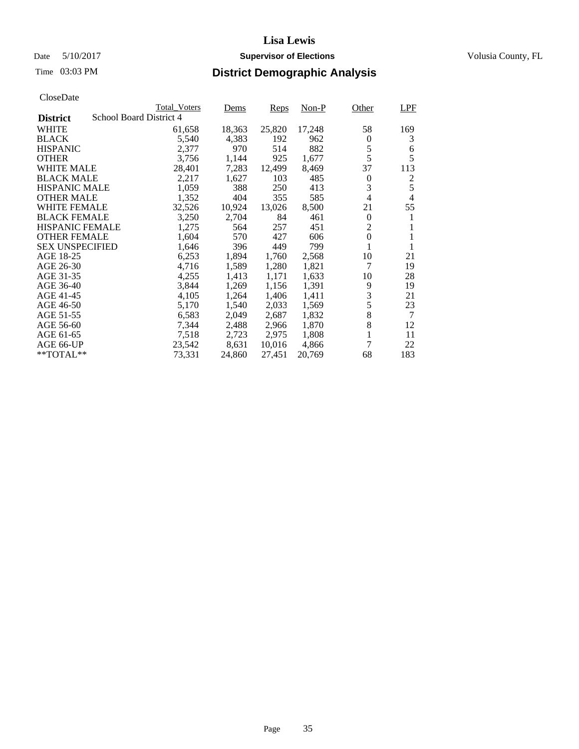# Date 5/10/2017 **Supervisor of Elections Supervisor of Elections** Volusia County, FL

| CloseDate |
|-----------|
|-----------|

|                        |                         | <b>Total Voters</b> | Dems   | Reps   | Non-P  | Other                    | LPF            |
|------------------------|-------------------------|---------------------|--------|--------|--------|--------------------------|----------------|
| <b>District</b>        | School Board District 4 |                     |        |        |        |                          |                |
| WHITE                  |                         | 61,658              | 18,363 | 25,820 | 17,248 | 58                       | 169            |
| <b>BLACK</b>           |                         | 5,540               | 4,383  | 192    | 962    | $\boldsymbol{0}$         | 3              |
| <b>HISPANIC</b>        |                         | 2,377               | 970    | 514    | 882    | 5                        | 6              |
| <b>OTHER</b>           |                         | 3,756               | 1,144  | 925    | 1,677  | 5                        | 5              |
| <b>WHITE MALE</b>      |                         | 28,401              | 7,283  | 12,499 | 8,469  | 37                       | 113            |
| <b>BLACK MALE</b>      |                         | 2,217               | 1,627  | 103    | 485    | 0                        | 2              |
| <b>HISPANIC MALE</b>   |                         | 1,059               | 388    | 250    | 413    | 3                        | 5              |
| <b>OTHER MALE</b>      |                         | 1,352               | 404    | 355    | 585    | $\overline{\mathcal{L}}$ | $\overline{4}$ |
| <b>WHITE FEMALE</b>    |                         | 32,526              | 10,924 | 13,026 | 8,500  | 21                       | 55             |
| <b>BLACK FEMALE</b>    |                         | 3,250               | 2,704  | 84     | 461    | $\boldsymbol{0}$         | 1              |
| <b>HISPANIC FEMALE</b> |                         | 1,275               | 564    | 257    | 451    | $\overline{c}$           |                |
| <b>OTHER FEMALE</b>    |                         | 1,604               | 570    | 427    | 606    | $\mathbf{0}$             | 1              |
| <b>SEX UNSPECIFIED</b> |                         | 1,646               | 396    | 449    | 799    | 1                        |                |
| AGE 18-25              |                         | 6,253               | 1,894  | 1,760  | 2,568  | 10                       | 21             |
| AGE 26-30              |                         | 4,716               | 1,589  | 1,280  | 1,821  | 7                        | 19             |
| AGE 31-35              |                         | 4,255               | 1,413  | 1,171  | 1,633  | 10                       | 28             |
| AGE 36-40              |                         | 3,844               | 1,269  | 1,156  | 1,391  | 9                        | 19             |
| AGE 41-45              |                         | 4,105               | 1,264  | 1,406  | 1,411  | 3                        | 21             |
| AGE 46-50              |                         | 5,170               | 1,540  | 2,033  | 1,569  | 5                        | 23             |
| AGE 51-55              |                         | 6,583               | 2,049  | 2,687  | 1,832  | 8                        | $\overline{7}$ |
| AGE 56-60              |                         | 7,344               | 2,488  | 2,966  | 1,870  | 8                        | 12             |
| AGE 61-65              |                         | 7,518               | 2,723  | 2,975  | 1,808  | 1                        | 11             |
| AGE 66-UP              |                         | 23,542              | 8,631  | 10,016 | 4,866  | 7                        | 22             |
| $*$ TOTAL $**$         |                         | 73,331              | 24,860 | 27,451 | 20,769 | 68                       | 183            |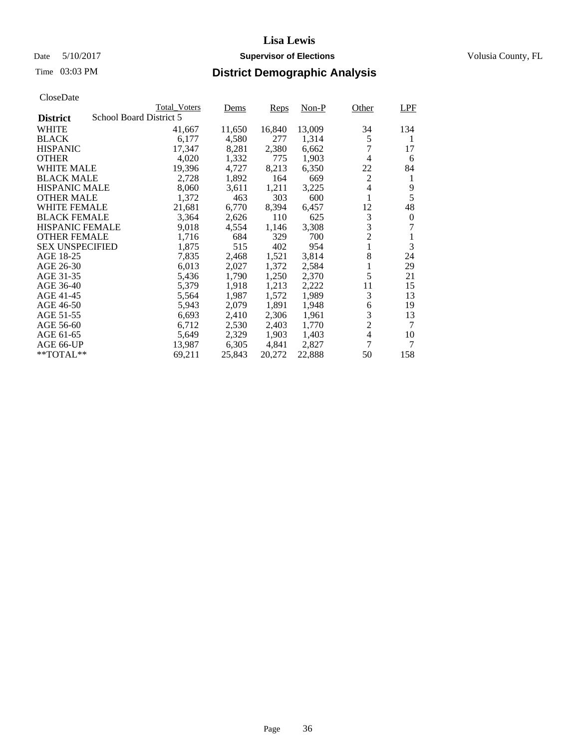# Date 5/10/2017 **Supervisor of Elections Supervisor of Elections** Volusia County, FL

|                        |                         | <b>Total Voters</b> | Dems   | Reps   | Non-P  | Other          | LPF      |
|------------------------|-------------------------|---------------------|--------|--------|--------|----------------|----------|
| <b>District</b>        | School Board District 5 |                     |        |        |        |                |          |
| <b>WHITE</b>           |                         | 41,667              | 11,650 | 16,840 | 13,009 | 34             | 134      |
| <b>BLACK</b>           |                         | 6,177               | 4,580  | 277    | 1,314  | 5              | 1        |
| <b>HISPANIC</b>        |                         | 17,347              | 8,281  | 2,380  | 6,662  | 7              | 17       |
| <b>OTHER</b>           |                         | 4,020               | 1,332  | 775    | 1,903  | 4              | 6        |
| <b>WHITE MALE</b>      |                         | 19,396              | 4,727  | 8,213  | 6,350  | 22             | 84       |
| <b>BLACK MALE</b>      |                         | 2,728               | 1,892  | 164    | 669    | $\overline{c}$ | 1        |
| <b>HISPANIC MALE</b>   |                         | 8,060               | 3,611  | 1,211  | 3,225  | 4              | 9        |
| <b>OTHER MALE</b>      |                         | 1,372               | 463    | 303    | 600    | 1              | 5        |
| <b>WHITE FEMALE</b>    |                         | 21,681              | 6,770  | 8,394  | 6,457  | 12             | 48       |
| <b>BLACK FEMALE</b>    |                         | 3,364               | 2,626  | 110    | 625    | 3              | $\theta$ |
| <b>HISPANIC FEMALE</b> |                         | 9,018               | 4,554  | 1,146  | 3,308  | 3              | 7        |
| <b>OTHER FEMALE</b>    |                         | 1,716               | 684    | 329    | 700    | $\overline{2}$ | 1        |
| <b>SEX UNSPECIFIED</b> |                         | 1,875               | 515    | 402    | 954    | $\mathbf{1}$   | 3        |
| AGE 18-25              |                         | 7,835               | 2,468  | 1,521  | 3,814  | 8              | 24       |
| AGE 26-30              |                         | 6,013               | 2,027  | 1,372  | 2,584  | 1              | 29       |
| AGE 31-35              |                         | 5,436               | 1,790  | 1,250  | 2,370  | 5              | 21       |
| AGE 36-40              |                         | 5,379               | 1,918  | 1,213  | 2,222  | 11             | 15       |
| AGE 41-45              |                         | 5,564               | 1,987  | 1,572  | 1,989  | 3              | 13       |
| AGE 46-50              |                         | 5,943               | 2,079  | 1,891  | 1,948  | 6              | 19       |
| AGE 51-55              |                         | 6,693               | 2,410  | 2,306  | 1,961  | 3              | 13       |
| AGE 56-60              |                         | 6,712               | 2,530  | 2,403  | 1,770  | $\overline{2}$ | 7        |
| AGE 61-65              |                         | 5,649               | 2,329  | 1,903  | 1,403  | $\overline{4}$ | 10       |
| AGE 66-UP              |                         | 13,987              | 6,305  | 4,841  | 2,827  | 7              | 7        |
| $*$ TOTAL $**$         |                         | 69,211              | 25,843 | 20,272 | 22,888 | 50             | 158      |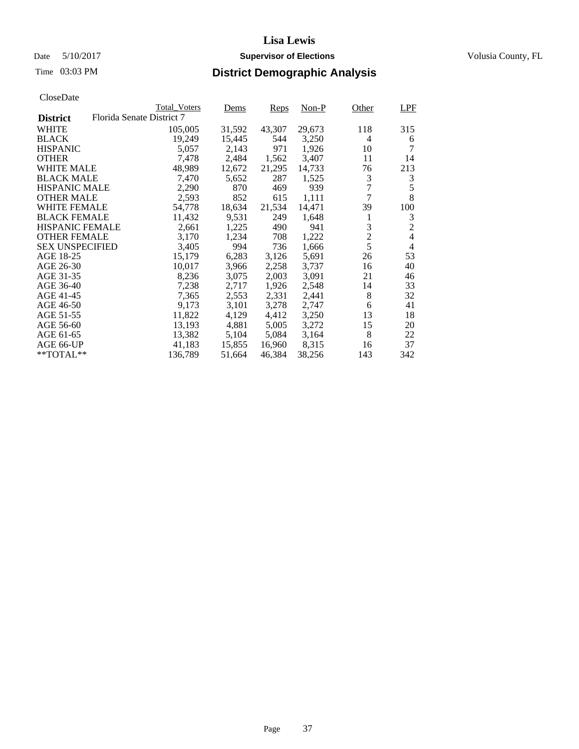## Date 5/10/2017 **Supervisor of Elections Supervisor of Elections** Volusia County, FL

|                        |                           | <b>Total Voters</b> | Dems   | Reps   | Non-P  | Other          | LPF            |
|------------------------|---------------------------|---------------------|--------|--------|--------|----------------|----------------|
| <b>District</b>        | Florida Senate District 7 |                     |        |        |        |                |                |
| <b>WHITE</b>           |                           | 105,005             | 31,592 | 43,307 | 29,673 | 118            | 315            |
| <b>BLACK</b>           |                           | 19,249              | 15,445 | 544    | 3,250  | 4              | 6              |
| <b>HISPANIC</b>        |                           | 5,057               | 2,143  | 971    | 1,926  | 10             | 7              |
| <b>OTHER</b>           |                           | 7,478               | 2,484  | 1,562  | 3,407  | 11             | 14             |
| <b>WHITE MALE</b>      |                           | 48,989              | 12,672 | 21,295 | 14,733 | 76             | 213            |
| <b>BLACK MALE</b>      |                           | 7,470               | 5,652  | 287    | 1,525  | 3              | 3              |
| <b>HISPANIC MALE</b>   |                           | 2,290               | 870    | 469    | 939    | $\overline{7}$ | 5              |
| <b>OTHER MALE</b>      |                           | 2,593               | 852    | 615    | 1,111  | 7              | 8              |
| <b>WHITE FEMALE</b>    |                           | 54,778              | 18,634 | 21,534 | 14,471 | 39             | 100            |
| <b>BLACK FEMALE</b>    |                           | 11,432              | 9,531  | 249    | 1,648  | 1              | 3              |
| <b>HISPANIC FEMALE</b> |                           | 2,661               | 1,225  | 490    | 941    | 3              | $\overline{2}$ |
| <b>OTHER FEMALE</b>    |                           | 3,170               | 1,234  | 708    | 1,222  | $\overline{c}$ | $\overline{4}$ |
| <b>SEX UNSPECIFIED</b> |                           | 3,405               | 994    | 736    | 1,666  | 5              | $\overline{4}$ |
| AGE 18-25              |                           | 15,179              | 6,283  | 3,126  | 5,691  | 26             | 53             |
| AGE 26-30              |                           | 10,017              | 3,966  | 2,258  | 3,737  | 16             | 40             |
| AGE 31-35              |                           | 8,236               | 3,075  | 2,003  | 3,091  | 21             | 46             |
| AGE 36-40              |                           | 7,238               | 2,717  | 1,926  | 2,548  | 14             | 33             |
| AGE 41-45              |                           | 7,365               | 2,553  | 2,331  | 2,441  | 8              | 32             |
| AGE 46-50              |                           | 9,173               | 3,101  | 3,278  | 2,747  | 6              | 41             |
| AGE 51-55              |                           | 11,822              | 4,129  | 4,412  | 3,250  | 13             | 18             |
| AGE 56-60              |                           | 13,193              | 4,881  | 5,005  | 3,272  | 15             | 20             |
| AGE 61-65              |                           | 13,382              | 5,104  | 5,084  | 3,164  | 8              | 22             |
| AGE 66-UP              |                           | 41,183              | 15,855 | 16,960 | 8,315  | 16             | 37             |
| $*$ TOTAL $**$         |                           | 136,789             | 51,664 | 46,384 | 38,256 | 143            | 342            |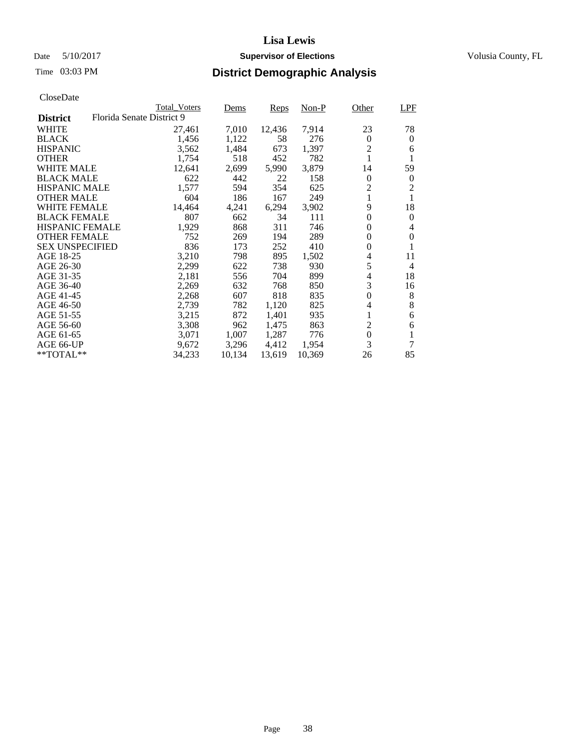## Date 5/10/2017 **Supervisor of Elections Supervisor of Elections** Volusia County, FL

|                        |                           | <b>Total Voters</b> | Dems   | Reps   | $Non-P$ | Other            | LPF            |
|------------------------|---------------------------|---------------------|--------|--------|---------|------------------|----------------|
| <b>District</b>        | Florida Senate District 9 |                     |        |        |         |                  |                |
| <b>WHITE</b>           |                           | 27,461              | 7,010  | 12,436 | 7,914   | 23               | 78             |
| <b>BLACK</b>           |                           | 1,456               | 1,122  | 58     | 276     | 0                | $\theta$       |
| <b>HISPANIC</b>        |                           | 3,562               | 1,484  | 673    | 1,397   | $\overline{2}$   | 6              |
| <b>OTHER</b>           |                           | 1.754               | 518    | 452    | 782     | 1                | 1              |
| <b>WHITE MALE</b>      |                           | 12,641              | 2,699  | 5,990  | 3,879   | 14               | 59             |
| <b>BLACK MALE</b>      |                           | 622                 | 442    | 22     | 158     | $\boldsymbol{0}$ | $\bf{0}$       |
| <b>HISPANIC MALE</b>   |                           | 1,577               | 594    | 354    | 625     | 2                | $\overline{2}$ |
| <b>OTHER MALE</b>      |                           | 604                 | 186    | 167    | 249     | $\mathbf{1}$     | $\mathbf{1}$   |
| <b>WHITE FEMALE</b>    |                           | 14,464              | 4,241  | 6,294  | 3,902   | 9                | 18             |
| <b>BLACK FEMALE</b>    |                           | 807                 | 662    | 34     | 111     | $\theta$         | $\theta$       |
| <b>HISPANIC FEMALE</b> |                           | 1,929               | 868    | 311    | 746     | 0                | 4              |
| <b>OTHER FEMALE</b>    |                           | 752                 | 269    | 194    | 289     | $\theta$         | $\theta$       |
| <b>SEX UNSPECIFIED</b> |                           | 836                 | 173    | 252    | 410     | 0                | 1              |
| AGE 18-25              |                           | 3,210               | 798    | 895    | 1,502   | 4                | 11             |
| AGE 26-30              |                           | 2,299               | 622    | 738    | 930     | 5                | $\overline{4}$ |
| AGE 31-35              |                           | 2,181               | 556    | 704    | 899     | $\overline{4}$   | 18             |
| AGE 36-40              |                           | 2,269               | 632    | 768    | 850     | 3                | 16             |
| AGE 41-45              |                           | 2,268               | 607    | 818    | 835     | $\overline{0}$   | 8              |
| AGE 46-50              |                           | 2,739               | 782    | 1,120  | 825     | 4                | 8              |
| AGE 51-55              |                           | 3,215               | 872    | 1,401  | 935     | 1                | 6              |
| AGE 56-60              |                           | 3,308               | 962    | 1,475  | 863     | $\overline{c}$   | 6              |
| AGE 61-65              |                           | 3,071               | 1,007  | 1,287  | 776     | $\boldsymbol{0}$ | 1              |
| AGE 66-UP              |                           | 9,672               | 3,296  | 4,412  | 1,954   | 3                | 7              |
| **TOTAL**              |                           | 34,233              | 10,134 | 13,619 | 10,369  | 26               | 85             |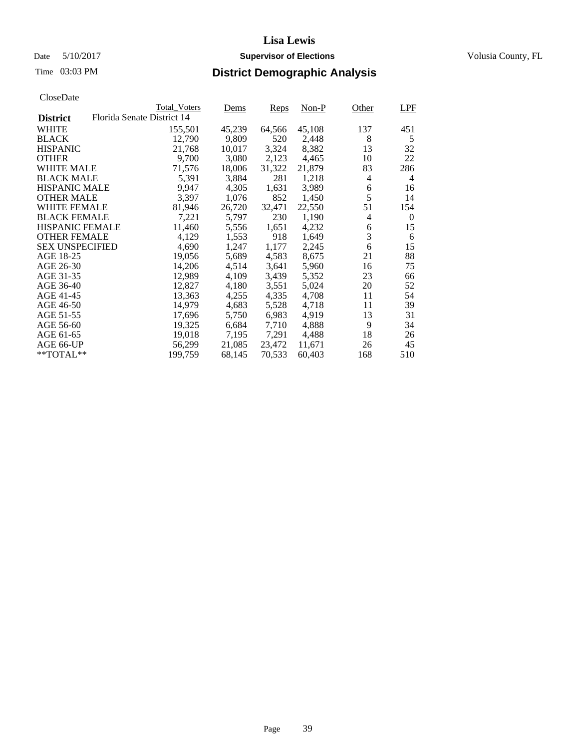## Date 5/10/2017 **Supervisor of Elections Supervisor of Elections** Volusia County, FL

|                        | <b>Total Voters</b>        | Dems   | Reps   | Non-P  | Other | LPF            |
|------------------------|----------------------------|--------|--------|--------|-------|----------------|
| <b>District</b>        | Florida Senate District 14 |        |        |        |       |                |
| WHITE                  | 155,501                    | 45,239 | 64,566 | 45,108 | 137   | 451            |
| <b>BLACK</b>           | 12,790                     | 9,809  | 520    | 2,448  | 8     | 5              |
| <b>HISPANIC</b>        | 21,768                     | 10,017 | 3,324  | 8,382  | 13    | 32             |
| <b>OTHER</b>           | 9,700                      | 3,080  | 2,123  | 4,465  | 10    | 22             |
| <b>WHITE MALE</b>      | 71,576                     | 18,006 | 31,322 | 21,879 | 83    | 286            |
| <b>BLACK MALE</b>      | 5,391                      | 3,884  | 281    | 1,218  | 4     | 4              |
| <b>HISPANIC MALE</b>   | 9,947                      | 4,305  | 1,631  | 3,989  | 6     | 16             |
| <b>OTHER MALE</b>      | 3,397                      | 1,076  | 852    | 1,450  | 5     | 14             |
| <b>WHITE FEMALE</b>    | 81,946                     | 26,720 | 32,471 | 22,550 | 51    | 154            |
| <b>BLACK FEMALE</b>    | 7,221                      | 5,797  | 230    | 1,190  | 4     | $\overline{0}$ |
| <b>HISPANIC FEMALE</b> | 11,460                     | 5,556  | 1,651  | 4,232  | 6     | 15             |
| <b>OTHER FEMALE</b>    | 4,129                      | 1,553  | 918    | 1,649  | 3     | 6              |
| <b>SEX UNSPECIFIED</b> | 4,690                      | 1,247  | 1,177  | 2,245  | 6     | 15             |
| AGE 18-25              | 19,056                     | 5,689  | 4,583  | 8,675  | 21    | 88             |
| AGE 26-30              | 14,206                     | 4,514  | 3,641  | 5,960  | 16    | 75             |
| AGE 31-35              | 12,989                     | 4,109  | 3,439  | 5,352  | 23    | 66             |
| AGE 36-40              | 12,827                     | 4,180  | 3,551  | 5,024  | 20    | 52             |
| AGE 41-45              | 13,363                     | 4,255  | 4,335  | 4,708  | 11    | 54             |
| AGE 46-50              | 14,979                     | 4,683  | 5,528  | 4,718  | 11    | 39             |
| AGE 51-55              | 17,696                     | 5,750  | 6,983  | 4.919  | 13    | 31             |
| AGE 56-60              | 19,325                     | 6,684  | 7,710  | 4,888  | 9     | 34             |
| AGE 61-65              | 19,018                     | 7,195  | 7,291  | 4,488  | 18    | 26             |
| AGE 66-UP              | 56,299                     | 21,085 | 23,472 | 11,671 | 26    | 45             |
| $*$ TOTAL $*$          | 199,759                    | 68,145 | 70,533 | 60,403 | 168   | 510            |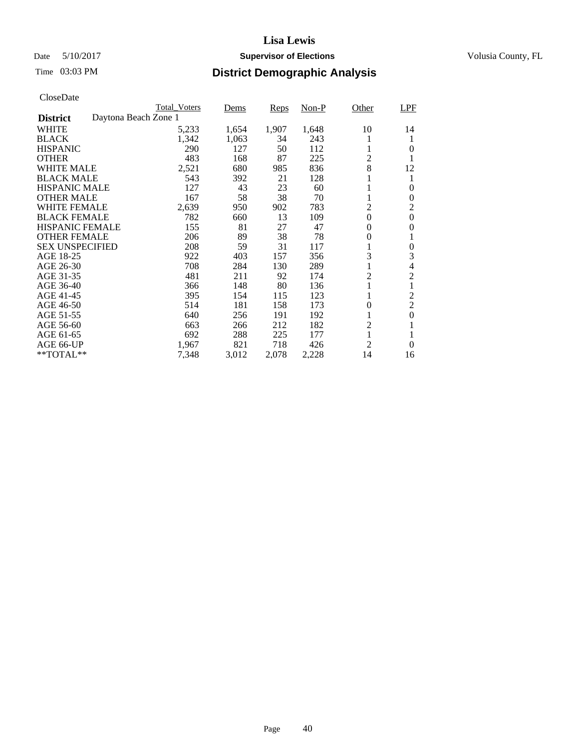## Date 5/10/2017 **Supervisor of Elections Supervisor of Elections** Volusia County, FL

|                        |                      | <b>Total Voters</b> | Dems  | Reps  | $Non-P$ | Other          | LPF            |
|------------------------|----------------------|---------------------|-------|-------|---------|----------------|----------------|
| <b>District</b>        | Daytona Beach Zone 1 |                     |       |       |         |                |                |
| <b>WHITE</b>           |                      | 5,233               | 1,654 | 1,907 | 1,648   | 10             | 14             |
| <b>BLACK</b>           |                      | 1,342               | 1,063 | 34    | 243     |                |                |
| <b>HISPANIC</b>        |                      | 290                 | 127   | 50    | 112     | 1              | 0              |
| <b>OTHER</b>           |                      | 483                 | 168   | 87    | 225     | $\overline{c}$ |                |
| <b>WHITE MALE</b>      |                      | 2,521               | 680   | 985   | 836     | 8              | 12             |
| <b>BLACK MALE</b>      |                      | 543                 | 392   | 21    | 128     |                | 1              |
| <b>HISPANIC MALE</b>   |                      | 127                 | 43    | 23    | 60      |                | 0              |
| <b>OTHER MALE</b>      |                      | 167                 | 58    | 38    | 70      |                | 0              |
| <b>WHITE FEMALE</b>    |                      | 2,639               | 950   | 902   | 783     | $\overline{c}$ | 2              |
| <b>BLACK FEMALE</b>    |                      | 782                 | 660   | 13    | 109     | $\theta$       | $\theta$       |
| <b>HISPANIC FEMALE</b> |                      | 155                 | 81    | 27    | 47      | 0              | 0              |
| <b>OTHER FEMALE</b>    |                      | 206                 | 89    | 38    | 78      | 0              | 1              |
| <b>SEX UNSPECIFIED</b> |                      | 208                 | 59    | 31    | 117     |                | 0              |
| AGE 18-25              |                      | 922                 | 403   | 157   | 356     | 3              | 3              |
| AGE 26-30              |                      | 708                 | 284   | 130   | 289     | 1              | 4              |
| AGE 31-35              |                      | 481                 | 211   | 92    | 174     | $\overline{c}$ | $\overline{c}$ |
| AGE 36-40              |                      | 366                 | 148   | 80    | 136     | 1              | 1              |
| AGE 41-45              |                      | 395                 | 154   | 115   | 123     | 1              | 2              |
| AGE 46-50              |                      | 514                 | 181   | 158   | 173     | 0              | $\overline{2}$ |
| AGE 51-55              |                      | 640                 | 256   | 191   | 192     |                | $\theta$       |
| AGE 56-60              |                      | 663                 | 266   | 212   | 182     | $\overline{c}$ |                |
| AGE 61-65              |                      | 692                 | 288   | 225   | 177     |                |                |
| AGE 66-UP              |                      | 1,967               | 821   | 718   | 426     | 2              | $\Omega$       |
| **TOTAL**              |                      | 7,348               | 3,012 | 2,078 | 2,228   | 14             | 16             |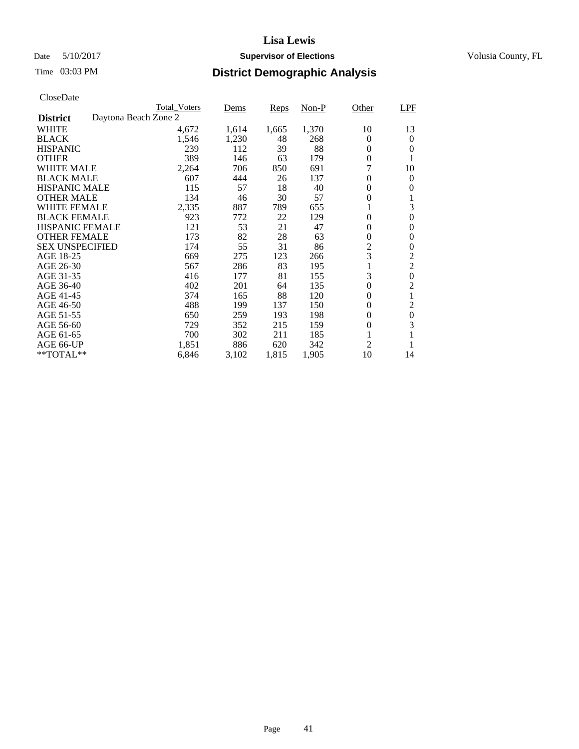## Date 5/10/2017 **Supervisor of Elections Supervisor of Elections** Volusia County, FL

|                        |                      | <b>Total Voters</b> | Dems  | Reps  | $Non-P$ | Other          | <b>LPF</b>       |
|------------------------|----------------------|---------------------|-------|-------|---------|----------------|------------------|
| <b>District</b>        | Daytona Beach Zone 2 |                     |       |       |         |                |                  |
| <b>WHITE</b>           |                      | 4,672               | 1,614 | 1,665 | 1,370   | 10             | 13               |
| <b>BLACK</b>           |                      | 1,546               | 1,230 | 48    | 268     | 0              | $\theta$         |
| <b>HISPANIC</b>        |                      | 239                 | 112   | 39    | 88      | $\theta$       | $\Omega$         |
| <b>OTHER</b>           |                      | 389                 | 146   | 63    | 179     | $\overline{0}$ | 1                |
| <b>WHITE MALE</b>      |                      | 2,264               | 706   | 850   | 691     | 7              | 10               |
| <b>BLACK MALE</b>      |                      | 607                 | 444   | 26    | 137     | 0              | $\theta$         |
| <b>HISPANIC MALE</b>   |                      | 115                 | 57    | 18    | 40      | 0              | 0                |
| <b>OTHER MALE</b>      |                      | 134                 | 46    | 30    | 57      | 0              | 1                |
| <b>WHITE FEMALE</b>    |                      | 2,335               | 887   | 789   | 655     |                | 3                |
| <b>BLACK FEMALE</b>    |                      | 923                 | 772   | 22    | 129     | $\theta$       | $\mathbf{0}$     |
| <b>HISPANIC FEMALE</b> |                      | 121                 | 53    | 21    | 47      | 0              | 0                |
| <b>OTHER FEMALE</b>    |                      | 173                 | 82    | 28    | 63      | 0              | $\mathbf{0}$     |
| <b>SEX UNSPECIFIED</b> |                      | 174                 | 55    | 31    | 86      | $\overline{2}$ | $\theta$         |
| AGE 18-25              |                      | 669                 | 275   | 123   | 266     | 3              | $\overline{2}$   |
| AGE 26-30              |                      | 567                 | 286   | 83    | 195     |                | $\overline{2}$   |
| AGE 31-35              |                      | 416                 | 177   | 81    | 155     | 3              | $\boldsymbol{0}$ |
| AGE 36-40              |                      | 402                 | 201   | 64    | 135     | $\overline{0}$ | $\overline{c}$   |
| AGE 41-45              |                      | 374                 | 165   | 88    | 120     | 0              | 1                |
| AGE 46-50              |                      | 488                 | 199   | 137   | 150     | 0              | $\overline{2}$   |
| AGE 51-55              |                      | 650                 | 259   | 193   | 198     | 0              | $\boldsymbol{0}$ |
| AGE 56-60              |                      | 729                 | 352   | 215   | 159     | 0              | 3                |
| AGE 61-65              |                      | 700                 | 302   | 211   | 185     |                | 1                |
| AGE 66-UP              |                      | 1,851               | 886   | 620   | 342     | $\mathfrak{2}$ |                  |
| **TOTAL**              |                      | 6,846               | 3,102 | 1,815 | 1,905   | 10             | 14               |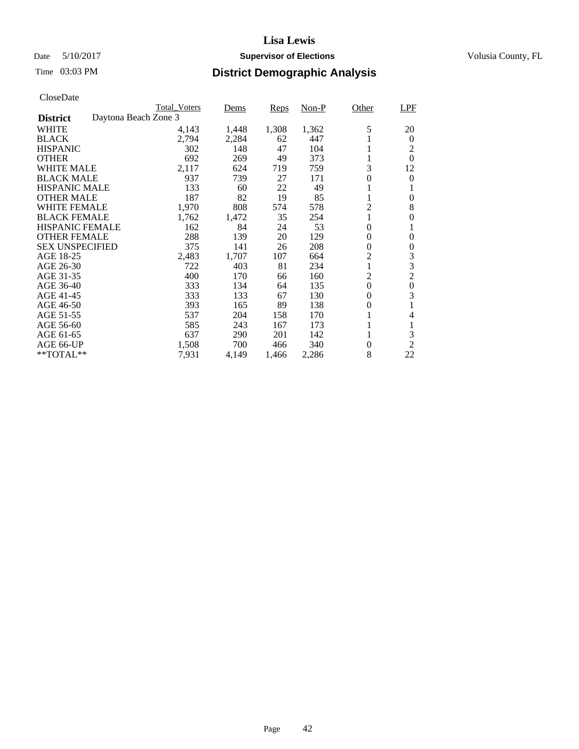## Date 5/10/2017 **Supervisor of Elections Supervisor of Elections** Volusia County, FL

|                        |                      | <b>Total Voters</b> | Dems  | Reps  | $Non-P$ | Other          | <b>LPF</b>       |
|------------------------|----------------------|---------------------|-------|-------|---------|----------------|------------------|
| <b>District</b>        | Daytona Beach Zone 3 |                     |       |       |         |                |                  |
| <b>WHITE</b>           |                      | 4,143               | 1,448 | 1,308 | 1,362   | 5              | 20               |
| <b>BLACK</b>           |                      | 2,794               | 2,284 | 62    | 447     |                | 0                |
| <b>HISPANIC</b>        |                      | 302                 | 148   | 47    | 104     |                | 2                |
| <b>OTHER</b>           |                      | 692                 | 269   | 49    | 373     | 1              | $\Omega$         |
| <b>WHITE MALE</b>      |                      | 2,117               | 624   | 719   | 759     | 3              | 12               |
| <b>BLACK MALE</b>      |                      | 937                 | 739   | 27    | 171     | 0              | $\Omega$         |
| <b>HISPANIC MALE</b>   |                      | 133                 | 60    | 22    | 49      |                |                  |
| <b>OTHER MALE</b>      |                      | 187                 | 82    | 19    | 85      | 1              | 0                |
| <b>WHITE FEMALE</b>    |                      | 1,970               | 808   | 574   | 578     | $\overline{c}$ | 8                |
| <b>BLACK FEMALE</b>    |                      | 1,762               | 1,472 | 35    | 254     |                | 0                |
| <b>HISPANIC FEMALE</b> |                      | 162                 | 84    | 24    | 53      | $\overline{0}$ |                  |
| <b>OTHER FEMALE</b>    |                      | 288                 | 139   | 20    | 129     | 0              | $\Omega$         |
| <b>SEX UNSPECIFIED</b> |                      | 375                 | 141   | 26    | 208     | 0              | 0                |
| AGE 18-25              |                      | 2,483               | 1,707 | 107   | 664     | 2              | 3                |
| AGE 26-30              |                      | 722                 | 403   | 81    | 234     | 1              | 3                |
| AGE 31-35              |                      | 400                 | 170   | 66    | 160     | 2              | $\overline{2}$   |
| AGE 36-40              |                      | 333                 | 134   | 64    | 135     | $\overline{0}$ | $\boldsymbol{0}$ |
| AGE 41-45              |                      | 333                 | 133   | 67    | 130     | 0              | 3                |
| AGE 46-50              |                      | 393                 | 165   | 89    | 138     | 0              | 1                |
| AGE 51-55              |                      | 537                 | 204   | 158   | 170     | 1              | 4                |
| AGE 56-60              |                      | 585                 | 243   | 167   | 173     | 1              | 1                |
| AGE 61-65              |                      | 637                 | 290   | 201   | 142     | 1              | 3                |
| AGE 66-UP              |                      | 1,508               | 700   | 466   | 340     | 0              | $\overline{2}$   |
| **TOTAL**              |                      | 7,931               | 4,149 | 1,466 | 2,286   | 8              | 22               |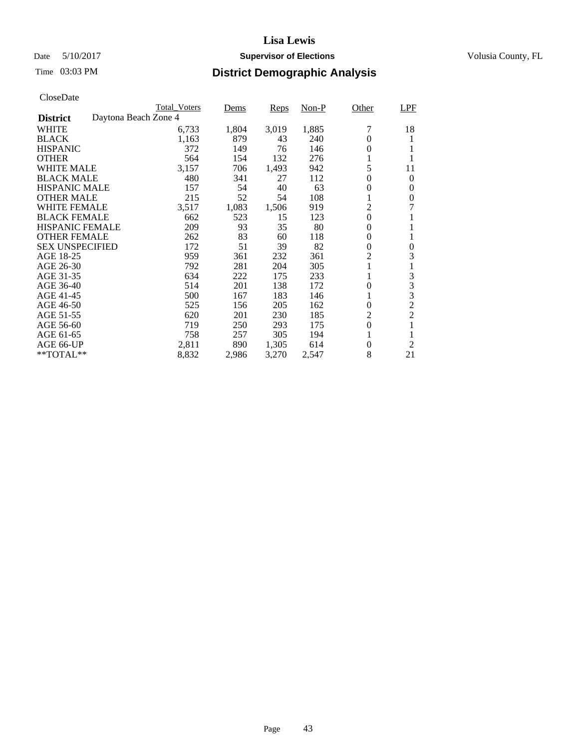## Date 5/10/2017 **Supervisor of Elections Supervisor of Elections** Volusia County, FL

|                                         | <b>Total Voters</b> | Dems  | Reps  | $Non-P$ | Other            | LPF            |
|-----------------------------------------|---------------------|-------|-------|---------|------------------|----------------|
| Daytona Beach Zone 4<br><b>District</b> |                     |       |       |         |                  |                |
| <b>WHITE</b>                            | 6,733               | 1,804 | 3,019 | 1,885   |                  | 18             |
| <b>BLACK</b>                            | 1,163               | 879   | 43    | 240     | 0                |                |
| <b>HISPANIC</b>                         | 372                 | 149   | 76    | 146     | $\theta$         |                |
| <b>OTHER</b>                            | 564                 | 154   | 132   | 276     |                  |                |
| <b>WHITE MALE</b>                       | 3,157               | 706   | 1,493 | 942     | 5                | 11             |
| <b>BLACK MALE</b>                       | 480                 | 341   | 27    | 112     | $\theta$         | $\mathbf{0}$   |
| <b>HISPANIC MALE</b>                    | 157                 | 54    | 40    | 63      | 0                | 0              |
| <b>OTHER MALE</b>                       | 215                 | 52    | 54    | 108     | 1                | 0              |
| <b>WHITE FEMALE</b>                     | 3,517               | 1,083 | 1,506 | 919     | $\overline{c}$   | 7              |
| <b>BLACK FEMALE</b>                     | 662                 | 523   | 15    | 123     | $\overline{0}$   |                |
| <b>HISPANIC FEMALE</b>                  | 209                 | 93    | 35    | 80      | 0                |                |
| <b>OTHER FEMALE</b>                     | 262                 | 83    | 60    | 118     | $\theta$         |                |
| <b>SEX UNSPECIFIED</b>                  | 172                 | 51    | 39    | 82      | $\boldsymbol{0}$ | 0              |
| AGE 18-25                               | 959                 | 361   | 232   | 361     | 2                | 3              |
| AGE 26-30                               | 792                 | 281   | 204   | 305     |                  |                |
| AGE 31-35                               | 634                 | 222   | 175   | 233     |                  | 3              |
| AGE 36-40                               | 514                 | 201   | 138   | 172     | $\overline{0}$   | 3              |
| AGE 41-45                               | 500                 | 167   | 183   | 146     | 1                | 3              |
| AGE 46-50                               | 525                 | 156   | 205   | 162     | $\theta$         | $\overline{2}$ |
| AGE 51-55                               | 620                 | 201   | 230   | 185     | 2                | $\overline{2}$ |
| AGE 56-60                               | 719                 | 250   | 293   | 175     | $\overline{0}$   |                |
| AGE 61-65                               | 758                 | 257   | 305   | 194     |                  |                |
| AGE 66-UP                               | 2,811               | 890   | 1,305 | 614     | 0                | $\mathfrak{2}$ |
| $*$ TOTAL $**$                          | 8,832               | 2,986 | 3,270 | 2,547   | 8                | 21             |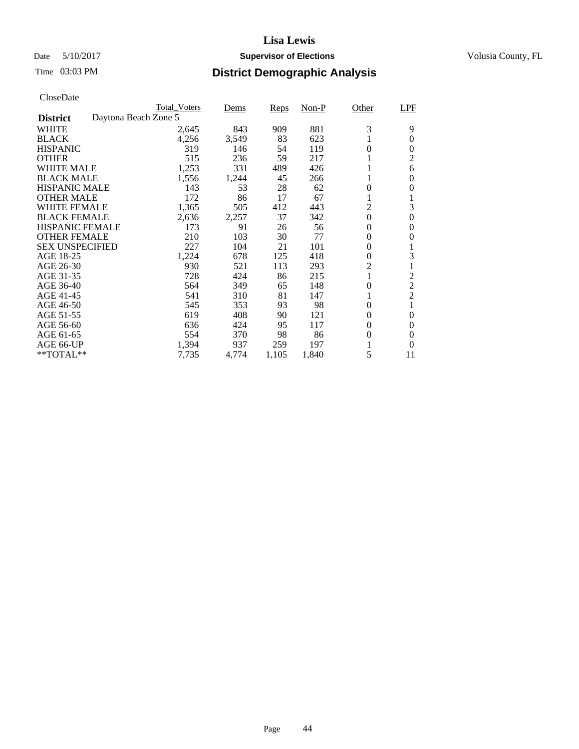## Date 5/10/2017 **Supervisor of Elections Supervisor of Elections** Volusia County, FL

| CloseDate |
|-----------|
|-----------|

|                        |                      | <b>Total Voters</b> | Dems  | Reps  | $Non-P$ | Other          | <b>LPF</b>     |
|------------------------|----------------------|---------------------|-------|-------|---------|----------------|----------------|
| <b>District</b>        | Daytona Beach Zone 5 |                     |       |       |         |                |                |
| <b>WHITE</b>           |                      | 2,645               | 843   | 909   | 881     | 3              | 9              |
| <b>BLACK</b>           |                      | 4,256               | 3,549 | 83    | 623     |                | $\theta$       |
| <b>HISPANIC</b>        |                      | 319                 | 146   | 54    | 119     | $\theta$       | $\Omega$       |
| <b>OTHER</b>           |                      | 515                 | 236   | 59    | 217     |                | $\overline{2}$ |
| <b>WHITE MALE</b>      |                      | 1,253               | 331   | 489   | 426     |                | 6              |
| <b>BLACK MALE</b>      |                      | 1,556               | 1,244 | 45    | 266     | 1              | 0              |
| <b>HISPANIC MALE</b>   |                      | 143                 | 53    | 28    | 62      | 0              | 0              |
| <b>OTHER MALE</b>      |                      | 172                 | 86    | 17    | 67      | 1              | 1              |
| WHITE FEMALE           |                      | 1,365               | 505   | 412   | 443     | $\overline{c}$ | 3              |
| <b>BLACK FEMALE</b>    |                      | 2,636               | 2,257 | 37    | 342     | $\overline{0}$ | $\mathbf{0}$   |
| <b>HISPANIC FEMALE</b> |                      | 173                 | 91    | 26    | 56      | 0              | $\Omega$       |
| <b>OTHER FEMALE</b>    |                      | 210                 | 103   | 30    | 77      | 0              | $\Omega$       |
| <b>SEX UNSPECIFIED</b> |                      | 227                 | 104   | 21    | 101     | 0              | 1              |
| AGE 18-25              |                      | 1,224               | 678   | 125   | 418     | 0              | 3              |
| AGE 26-30              |                      | 930                 | 521   | 113   | 293     | 2              | 1              |
| AGE 31-35              |                      | 728                 | 424   | 86    | 215     |                | 2              |
| AGE 36-40              |                      | 564                 | 349   | 65    | 148     | $\overline{0}$ | $\overline{2}$ |
| AGE 41-45              |                      | 541                 | 310   | 81    | 147     | 1              | $\overline{c}$ |
| AGE 46-50              |                      | 545                 | 353   | 93    | 98      | 0              | 1              |
| AGE 51-55              |                      | 619                 | 408   | 90    | 121     | 0              | 0              |
| AGE 56-60              |                      | 636                 | 424   | 95    | 117     | 0              | $\Omega$       |
| AGE 61-65              |                      | 554                 | 370   | 98    | 86      | 0              | $\theta$       |
| AGE 66-UP              |                      | 1,394               | 937   | 259   | 197     |                | $\Omega$       |
| $*$ TOTAL $**$         |                      | 7,735               | 4,774 | 1,105 | 1,840   | 5              | 11             |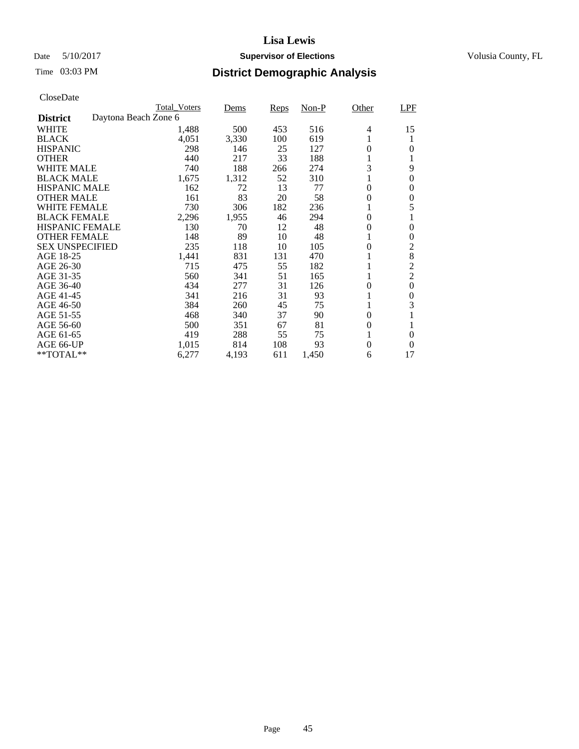## Date 5/10/2017 **Supervisor of Elections Supervisor of Elections** Volusia County, FL

|                        |                      | <b>Total Voters</b> | Dems  | Reps | $Non-P$ | Other            | <b>LPF</b>     |
|------------------------|----------------------|---------------------|-------|------|---------|------------------|----------------|
| <b>District</b>        | Daytona Beach Zone 6 |                     |       |      |         |                  |                |
| <b>WHITE</b>           |                      | 1,488               | 500   | 453  | 516     | 4                | 15             |
| <b>BLACK</b>           |                      | 4,051               | 3,330 | 100  | 619     | 1                | 1              |
| <b>HISPANIC</b>        |                      | 298                 | 146   | 25   | 127     | $\Omega$         | $\Omega$       |
| <b>OTHER</b>           |                      | 440                 | 217   | 33   | 188     | 1                | 1              |
| <b>WHITE MALE</b>      |                      | 740                 | 188   | 266  | 274     | 3                | 9              |
| <b>BLACK MALE</b>      |                      | 1,675               | 1,312 | 52   | 310     | 1                | $\theta$       |
| <b>HISPANIC MALE</b>   |                      | 162                 | 72    | 13   | 77      | $\theta$         | $\Omega$       |
| <b>OTHER MALE</b>      |                      | 161                 | 83    | 20   | 58      | $\theta$         | 0              |
| <b>WHITE FEMALE</b>    |                      | 730                 | 306   | 182  | 236     |                  | 5              |
| <b>BLACK FEMALE</b>    |                      | 2,296               | 1,955 | 46   | 294     | $\theta$         | 1              |
| <b>HISPANIC FEMALE</b> |                      | 130                 | 70    | 12   | 48      | $\theta$         | $\Omega$       |
| <b>OTHER FEMALE</b>    |                      | 148                 | 89    | 10   | 48      | 1                | $\theta$       |
| <b>SEX UNSPECIFIED</b> |                      | 235                 | 118   | 10   | 105     | $\theta$         | $\overline{2}$ |
| AGE 18-25              |                      | 1,441               | 831   | 131  | 470     |                  | 8              |
| AGE 26-30              |                      | 715                 | 475   | 55   | 182     |                  | $\overline{2}$ |
| AGE 31-35              |                      | 560                 | 341   | 51   | 165     |                  | $\overline{2}$ |
| AGE 36-40              |                      | 434                 | 277   | 31   | 126     | $\theta$         | $\theta$       |
| AGE 41-45              |                      | 341                 | 216   | 31   | 93      |                  | $\theta$       |
| AGE 46-50              |                      | 384                 | 260   | 45   | 75      | 1                | 3              |
| AGE 51-55              |                      | 468                 | 340   | 37   | 90      | $\boldsymbol{0}$ | 1              |
| AGE 56-60              |                      | 500                 | 351   | 67   | 81      | $\theta$         |                |
| AGE 61-65              |                      | 419                 | 288   | 55   | 75      | 1                | $\theta$       |
| AGE 66-UP              |                      | 1,015               | 814   | 108  | 93      | $\overline{0}$   | $\Omega$       |
| $*$ TOTAL $**$         |                      | 6,277               | 4,193 | 611  | 1,450   | 6                | 17             |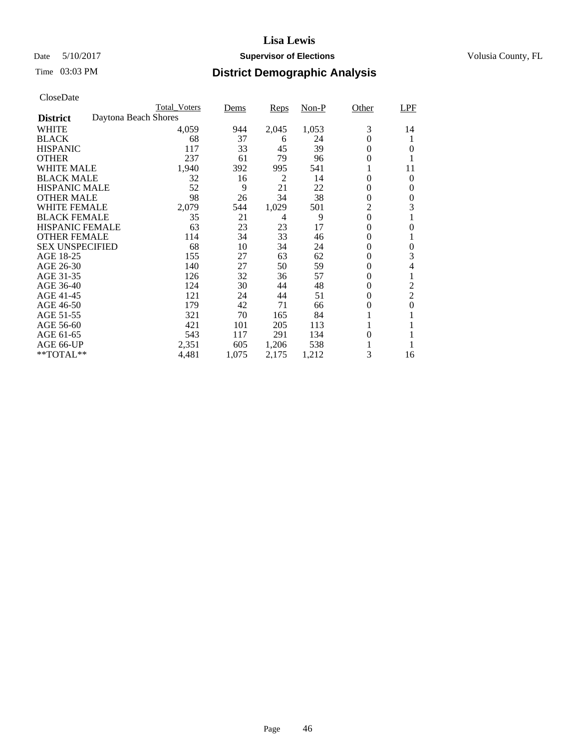## Date 5/10/2017 **Supervisor of Elections Supervisor of Elections** Volusia County, FL

|                        |                      | <b>Total Voters</b> | Dems  | Reps  | $Non-P$ | Other            | LPF            |
|------------------------|----------------------|---------------------|-------|-------|---------|------------------|----------------|
| <b>District</b>        | Daytona Beach Shores |                     |       |       |         |                  |                |
| <b>WHITE</b>           |                      | 4,059               | 944   | 2,045 | 1,053   | 3                | 14             |
| <b>BLACK</b>           |                      | 68                  | 37    | 6     | 24      | $\Omega$         | 1              |
| <b>HISPANIC</b>        |                      | 117                 | 33    | 45    | 39      | $\theta$         | $\Omega$       |
| <b>OTHER</b>           |                      | 237                 | 61    | 79    | 96      | $\Omega$         |                |
| <b>WHITE MALE</b>      |                      | 1,940               | 392   | 995   | 541     | 1                | 11             |
| <b>BLACK MALE</b>      |                      | 32                  | 16    | 2     | 14      | $\theta$         | $\Omega$       |
| <b>HISPANIC MALE</b>   |                      | 52                  | 9     | 21    | 22      | $\theta$         | 0              |
| <b>OTHER MALE</b>      |                      | 98                  | 26    | 34    | 38      | $\boldsymbol{0}$ | 0              |
| WHITE FEMALE           |                      | 2,079               | 544   | 1,029 | 501     | $\overline{c}$   | 3              |
| <b>BLACK FEMALE</b>    |                      | 35                  | 21    | 4     | 9       | $\theta$         |                |
| <b>HISPANIC FEMALE</b> |                      | 63                  | 23    | 23    | 17      | $\theta$         | $\Omega$       |
| <b>OTHER FEMALE</b>    |                      | 114                 | 34    | 33    | 46      | 0                |                |
| <b>SEX UNSPECIFIED</b> |                      | 68                  | 10    | 34    | 24      | $\theta$         | $\theta$       |
| AGE 18-25              |                      | 155                 | 27    | 63    | 62      | 0                | 3              |
| AGE 26-30              |                      | 140                 | 27    | 50    | 59      | $\boldsymbol{0}$ | 4              |
| AGE 31-35              |                      | 126                 | 32    | 36    | 57      | 0                |                |
| AGE 36-40              |                      | 124                 | 30    | 44    | 48      | $\theta$         | 2              |
| AGE 41-45              |                      | 121                 | 24    | 44    | 51      | $\theta$         | $\overline{2}$ |
| AGE 46-50              |                      | 179                 | 42    | 71    | 66      | $\theta$         | $\Omega$       |
| AGE 51-55              |                      | 321                 | 70    | 165   | 84      |                  |                |
| AGE 56-60              |                      | 421                 | 101   | 205   | 113     |                  |                |
| AGE 61-65              |                      | 543                 | 117   | 291   | 134     | $\theta$         | 1              |
| AGE 66-UP              |                      | 2,351               | 605   | 1,206 | 538     |                  |                |
| $*$ TOTAL $**$         |                      | 4,481               | 1,075 | 2,175 | 1,212   | 3                | 16             |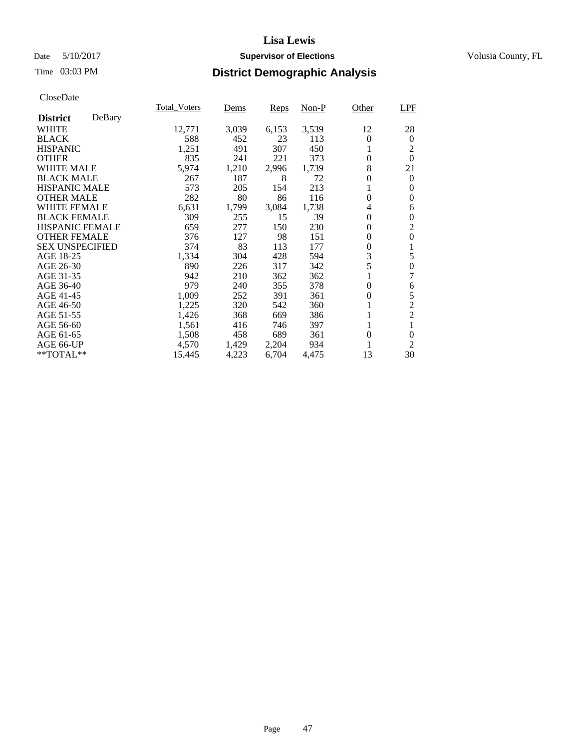## Date 5/10/2017 **Supervisor of Elections Supervisor of Elections** Volusia County, FL

## Time 03:03 PM **District Demographic Analysis**

|                        |        | <b>Total Voters</b> | Dems  | Reps  | Non-P | Other          | LPF              |
|------------------------|--------|---------------------|-------|-------|-------|----------------|------------------|
| <b>District</b>        | DeBary |                     |       |       |       |                |                  |
| WHITE                  |        | 12,771              | 3,039 | 6,153 | 3,539 | 12             | 28               |
| <b>BLACK</b>           |        | 588                 | 452   | 23    | 113   | $\theta$       | $\theta$         |
| <b>HISPANIC</b>        |        | 1,251               | 491   | 307   | 450   |                | 2                |
| <b>OTHER</b>           |        | 835                 | 241   | 221   | 373   | $\theta$       | $\Omega$         |
| <b>WHITE MALE</b>      |        | 5,974               | 1,210 | 2,996 | 1,739 | 8              | 21               |
| <b>BLACK MALE</b>      |        | 267                 | 187   | 8     | 72    | $\theta$       | $\theta$         |
| <b>HISPANIC MALE</b>   |        | 573                 | 205   | 154   | 213   |                | 0                |
| <b>OTHER MALE</b>      |        | 282                 | 80    | 86    | 116   | $\theta$       | 0                |
| WHITE FEMALE           |        | 6,631               | 1,799 | 3,084 | 1,738 | 4              | 6                |
| <b>BLACK FEMALE</b>    |        | 309                 | 255   | 15    | 39    | $\overline{0}$ | 0                |
| <b>HISPANIC FEMALE</b> |        | 659                 | 277   | 150   | 230   | $\theta$       | $\overline{2}$   |
| <b>OTHER FEMALE</b>    |        | 376                 | 127   | 98    | 151   | $\theta$       | $\overline{0}$   |
| <b>SEX UNSPECIFIED</b> |        | 374                 | 83    | 113   | 177   | $\theta$       | 1                |
| AGE 18-25              |        | 1,334               | 304   | 428   | 594   | 3              | 5                |
| AGE 26-30              |        | 890                 | 226   | 317   | 342   | 5              | 0                |
| AGE 31-35              |        | 942                 | 210   | 362   | 362   |                | 7                |
| AGE 36-40              |        | 979                 | 240   | 355   | 378   | $\overline{0}$ | 6                |
| AGE 41-45              |        | 1,009               | 252   | 391   | 361   | 0              | 5                |
| AGE 46-50              |        | 1,225               | 320   | 542   | 360   |                | $\overline{2}$   |
| AGE 51-55              |        | 1,426               | 368   | 669   | 386   |                | $\overline{2}$   |
| AGE 56-60              |        | 1,561               | 416   | 746   | 397   |                | 1                |
| AGE 61-65              |        | 1,508               | 458   | 689   | 361   | $\theta$       | $\boldsymbol{0}$ |
| AGE 66-UP              |        | 4,570               | 1,429 | 2,204 | 934   |                | $\overline{2}$   |
| $*$ TOTAL $**$         |        | 15,445              | 4,223 | 6,704 | 4,475 | 13             | 30               |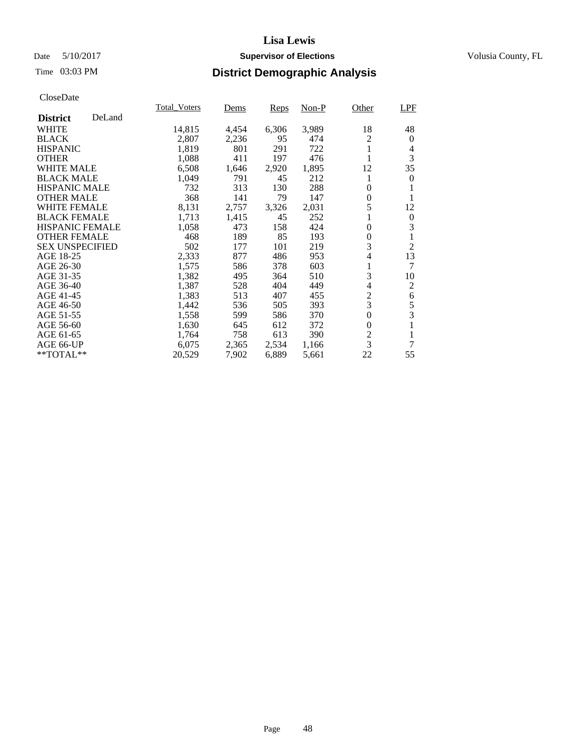## Date 5/10/2017 **Supervisor of Elections Supervisor of Elections** Volusia County, FL

## Time 03:03 PM **District Demographic Analysis**

|                        |        | <b>Total Voters</b> | Dems  | Reps  | Non-P | Other          | LPF            |
|------------------------|--------|---------------------|-------|-------|-------|----------------|----------------|
| <b>District</b>        | DeLand |                     |       |       |       |                |                |
| <b>WHITE</b>           |        | 14,815              | 4,454 | 6,306 | 3,989 | 18             | 48             |
| <b>BLACK</b>           |        | 2,807               | 2,236 | 95    | 474   | 2              | 0              |
| <b>HISPANIC</b>        |        | 1,819               | 801   | 291   | 722   | 1              | 4              |
| <b>OTHER</b>           |        | 1,088               | 411   | 197   | 476   |                | 3              |
| <b>WHITE MALE</b>      |        | 6,508               | 1,646 | 2,920 | 1,895 | 12             | 35             |
| <b>BLACK MALE</b>      |        | 1,049               | 791   | 45    | 212   | 1              | 0              |
| <b>HISPANIC MALE</b>   |        | 732                 | 313   | 130   | 288   | $\theta$       |                |
| <b>OTHER MALE</b>      |        | 368                 | 141   | 79    | 147   | 0              | 1              |
| <b>WHITE FEMALE</b>    |        | 8,131               | 2,757 | 3,326 | 2,031 | 5              | 12             |
| <b>BLACK FEMALE</b>    |        | 1,713               | 1,415 | 45    | 252   | 1              | 0              |
| HISPANIC FEMALE        |        | 1,058               | 473   | 158   | 424   | $\theta$       | 3              |
| <b>OTHER FEMALE</b>    |        | 468                 | 189   | 85    | 193   | 0              | 1              |
| <b>SEX UNSPECIFIED</b> |        | 502                 | 177   | 101   | 219   | 3              | $\overline{2}$ |
| AGE 18-25              |        | 2,333               | 877   | 486   | 953   | 4              | 13             |
| AGE 26-30              |        | 1,575               | 586   | 378   | 603   | 1              | 7              |
| AGE 31-35              |        | 1,382               | 495   | 364   | 510   | 3              | 10             |
| AGE 36-40              |        | 1,387               | 528   | 404   | 449   | 4              | 2              |
| AGE 41-45              |        | 1,383               | 513   | 407   | 455   | $\overline{c}$ | 6              |
| AGE 46-50              |        | 1,442               | 536   | 505   | 393   | 3              | 5              |
| AGE 51-55              |        | 1,558               | 599   | 586   | 370   | $\overline{0}$ | 3              |
| AGE 56-60              |        | 1,630               | 645   | 612   | 372   | $\theta$       | 1              |
| AGE 61-65              |        | 1,764               | 758   | 613   | 390   | 2              | 1              |
| AGE 66-UP              |        | 6,075               | 2,365 | 2,534 | 1,166 | 3              | 7              |
| $*$ TOTAL $**$         |        | 20,529              | 7,902 | 6,889 | 5,661 | 22             | 55             |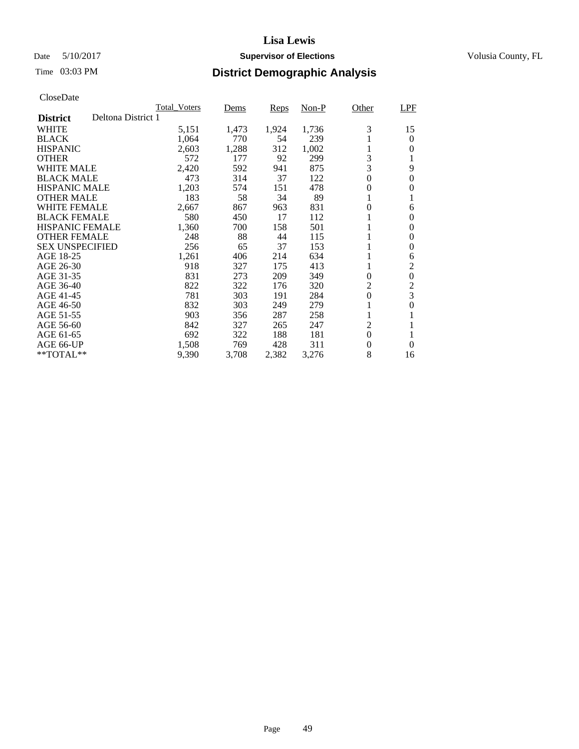## Date 5/10/2017 **Supervisor of Elections Supervisor of Elections** Volusia County, FL

## Time 03:03 PM **District Demographic Analysis**

|                                       | <b>Total Voters</b> | Dems  | Reps  | Non-P | Other            | LPF              |
|---------------------------------------|---------------------|-------|-------|-------|------------------|------------------|
| Deltona District 1<br><b>District</b> |                     |       |       |       |                  |                  |
| WHITE                                 | 5,151               | 1,473 | 1,924 | 1,736 | 3                | 15               |
| <b>BLACK</b>                          | 1,064               | 770   | 54    | 239   |                  | $\theta$         |
| <b>HISPANIC</b>                       | 2,603               | 1,288 | 312   | 1,002 | 1                | 0                |
| <b>OTHER</b>                          | 572                 | 177   | 92    | 299   | 3                | 1                |
| <b>WHITE MALE</b>                     | 2,420               | 592   | 941   | 875   | 3                | 9                |
| <b>BLACK MALE</b>                     | 473                 | 314   | 37    | 122   | $\boldsymbol{0}$ | $\boldsymbol{0}$ |
| <b>HISPANIC MALE</b>                  | 1,203               | 574   | 151   | 478   | $\boldsymbol{0}$ | 0                |
| <b>OTHER MALE</b>                     | 183                 | 58    | 34    | 89    | 1                | 1                |
| WHITE FEMALE                          | 2,667               | 867   | 963   | 831   | 0                | 6                |
| <b>BLACK FEMALE</b>                   | 580                 | 450   | 17    | 112   | 1                | $\Omega$         |
| <b>HISPANIC FEMALE</b>                | 1,360               | 700   | 158   | 501   | 1                | $\theta$         |
| <b>OTHER FEMALE</b>                   | 248                 | 88    | 44    | 115   | 1                | $\overline{0}$   |
| <b>SEX UNSPECIFIED</b>                | 256                 | 65    | 37    | 153   | 1                | $\theta$         |
| AGE 18-25                             | 1,261               | 406   | 214   | 634   |                  | 6                |
| AGE 26-30                             | 918                 | 327   | 175   | 413   | 1                | 2                |
| AGE 31-35                             | 831                 | 273   | 209   | 349   | $\Omega$         | $\mathbf{0}$     |
| AGE 36-40                             | 822                 | 322   | 176   | 320   | $\overline{2}$   | $\overline{2}$   |
| AGE 41-45                             | 781                 | 303   | 191   | 284   | $\boldsymbol{0}$ | 3                |
| AGE 46-50                             | 832                 | 303   | 249   | 279   |                  | $\mathbf{0}$     |
| AGE 51-55                             | 903                 | 356   | 287   | 258   |                  |                  |
| AGE 56-60                             | 842                 | 327   | 265   | 247   | 2                | 1                |
| AGE 61-65                             | 692                 | 322   | 188   | 181   | $\theta$         | 1                |
| AGE 66-UP                             | 1,508               | 769   | 428   | 311   | $\boldsymbol{0}$ | $\Omega$         |
| **TOTAL**                             | 9,390               | 3,708 | 2,382 | 3,276 | 8                | 16               |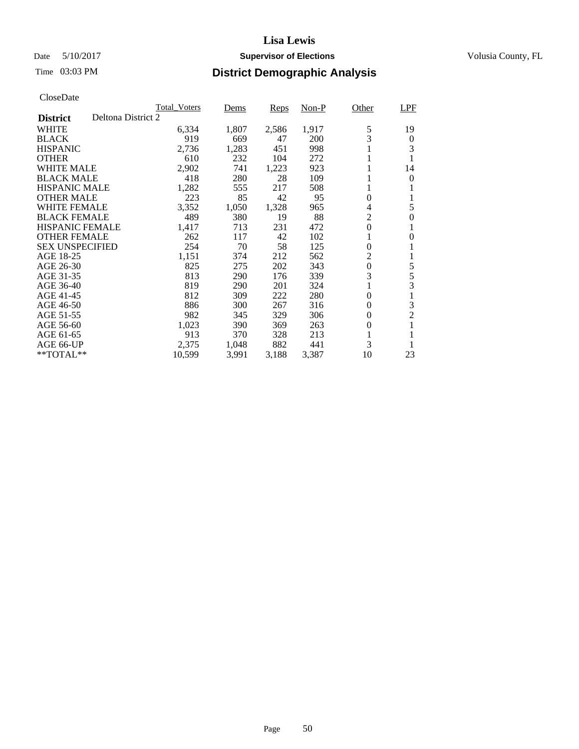## Date 5/10/2017 **Supervisor of Elections Supervisor of Elections** Volusia County, FL

|                        | <b>Total Voters</b> | Dems  | Reps  | $Non-P$ | Other            | <b>LPF</b>       |
|------------------------|---------------------|-------|-------|---------|------------------|------------------|
| <b>District</b>        | Deltona District 2  |       |       |         |                  |                  |
| WHITE                  | 6,334               | 1,807 | 2,586 | 1,917   | 5                | 19               |
| <b>BLACK</b>           | 919                 | 669   | 47    | 200     | 3                | $\boldsymbol{0}$ |
| HISPANIC               | 2,736               | 1,283 | 451   | 998     |                  | 3                |
| <b>OTHER</b>           | 610                 | 232   | 104   | 272     |                  | 1                |
| WHITE MALE             | 2,902               | 741   | 1,223 | 923     |                  | 14               |
| <b>BLACK MALE</b>      | 418                 | 280   | 28    | 109     |                  | $\Omega$         |
| <b>HISPANIC MALE</b>   | 1,282               | 555   | 217   | 508     | 1                |                  |
| <b>OTHER MALE</b>      | 223                 | 85    | 42    | 95      | $\boldsymbol{0}$ | 1                |
| <b>WHITE FEMALE</b>    | 3,352               | 1,050 | 1,328 | 965     | 4                | 5                |
| <b>BLACK FEMALE</b>    | 489                 | 380   | 19    | 88      | $\overline{2}$   | $\mathbf{0}$     |
| <b>HISPANIC FEMALE</b> | 1,417               | 713   | 231   | 472     | $\overline{0}$   |                  |
| <b>OTHER FEMALE</b>    | 262                 | 117   | 42    | 102     | 1                | $\Omega$         |
| <b>SEX UNSPECIFIED</b> | 254                 | 70    | 58    | 125     | $\overline{0}$   | 1                |
| AGE 18-25              | 1,151               | 374   | 212   | 562     | 2                | 1                |
| AGE 26-30              | 825                 | 275   | 202   | 343     | $\boldsymbol{0}$ | 5                |
| AGE 31-35              | 813                 | 290   | 176   | 339     | 3                | 5                |
| AGE 36-40              | 819                 | 290   | 201   | 324     |                  | 3                |
| AGE 41-45              | 812                 | 309   | 222   | 280     | 0                | 1                |
| AGE 46-50              | 886                 | 300   | 267   | 316     | $\Omega$         | 3                |
| AGE 51-55              | 982                 | 345   | 329   | 306     | $\theta$         | $\overline{2}$   |
| AGE 56-60              | 1,023               | 390   | 369   | 263     | 0                | 1                |
| AGE 61-65              | 913                 | 370   | 328   | 213     | 1                | 1                |
| AGE 66-UP              | 2,375               | 1,048 | 882   | 441     | 3                |                  |
| **TOTAL**              | 10,599              | 3,991 | 3,188 | 3,387   | 10               | 23               |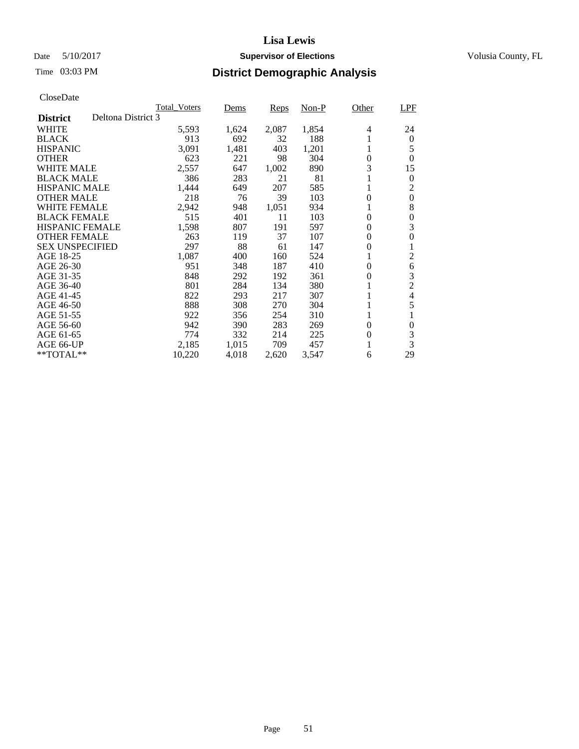## Date 5/10/2017 **Supervisor of Elections Supervisor of Elections** Volusia County, FL

# Time 03:03 PM **District Demographic Analysis**

|                                       | <b>Total_Voters</b> | Dems  | Reps  | Non-P | Other          | LPF            |
|---------------------------------------|---------------------|-------|-------|-------|----------------|----------------|
| Deltona District 3<br><b>District</b> |                     |       |       |       |                |                |
| WHITE                                 | 5,593               | 1,624 | 2,087 | 1,854 | 4              | 24             |
| <b>BLACK</b>                          | 913                 | 692   | 32    | 188   |                | 0              |
| <b>HISPANIC</b>                       | 3,091               | 1,481 | 403   | 1,201 | 1              | 5              |
| <b>OTHER</b>                          | 623                 | 221   | 98    | 304   | $\overline{0}$ | $\Omega$       |
| WHITE MALE                            | 2,557               | 647   | 1,002 | 890   | 3              | 15             |
| <b>BLACK MALE</b>                     | 386                 | 283   | 21    | 81    |                | $\theta$       |
| <b>HISPANIC MALE</b>                  | 1,444               | 649   | 207   | 585   |                | 2              |
| <b>OTHER MALE</b>                     | 218                 | 76    | 39    | 103   | 0              | $\theta$       |
| WHITE FEMALE                          | 2,942               | 948   | 1,051 | 934   |                | 8              |
| <b>BLACK FEMALE</b>                   | 515                 | 401   | 11    | 103   | $\theta$       | $\Omega$       |
| <b>HISPANIC FEMALE</b>                | 1,598               | 807   | 191   | 597   | 0              | 3              |
| <b>OTHER FEMALE</b>                   | 263                 | 119   | 37    | 107   | 0              | 0              |
| <b>SEX UNSPECIFIED</b>                | 297                 | 88    | 61    | 147   | $\overline{0}$ |                |
| AGE 18-25                             | 1,087               | 400   | 160   | 524   |                | 2              |
| AGE 26-30                             | 951                 | 348   | 187   | 410   | 0              | 6              |
| AGE 31-35                             | 848                 | 292   | 192   | 361   | $\theta$       | 3              |
| AGE 36-40                             | 801                 | 284   | 134   | 380   |                | $\overline{c}$ |
| AGE 41-45                             | 822                 | 293   | 217   | 307   |                | 4              |
| AGE 46-50                             | 888                 | 308   | 270   | 304   |                | 5              |
| AGE 51-55                             | 922                 | 356   | 254   | 310   |                | 1              |
| AGE 56-60                             | 942                 | 390   | 283   | 269   | 0              | $\theta$       |
| AGE 61-65                             | 774                 | 332   | 214   | 225   | $\theta$       | 3              |
| AGE 66-UP                             | 2,185               | 1,015 | 709   | 457   |                | 3              |
| $*$ TOTAL $**$                        | 10,220              | 4,018 | 2,620 | 3,547 | 6              | 29             |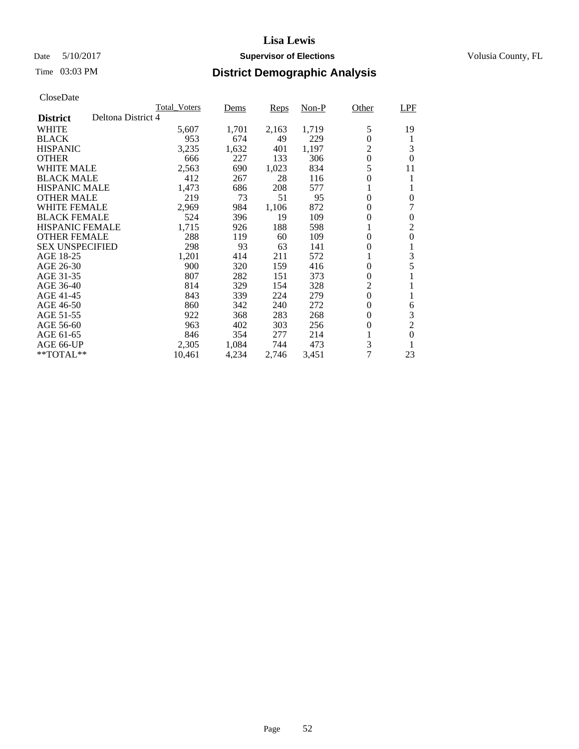## Date 5/10/2017 **Supervisor of Elections Supervisor of Elections** Volusia County, FL

# Time 03:03 PM **District Demographic Analysis**

|                                       | <b>Total Voters</b> | Dems  | Reps  | Non-P | Other          | <b>LPF</b>     |
|---------------------------------------|---------------------|-------|-------|-------|----------------|----------------|
| Deltona District 4<br><b>District</b> |                     |       |       |       |                |                |
| WHITE                                 | 5,607               | 1,701 | 2,163 | 1,719 | 5              | 19             |
| <b>BLACK</b>                          | 953                 | 674   | 49    | 229   | $\overline{0}$ | 1              |
| <b>HISPANIC</b>                       | 3,235               | 1,632 | 401   | 1,197 | 2              | 3              |
| <b>OTHER</b>                          | 666                 | 227   | 133   | 306   | $\overline{0}$ | $\Omega$       |
| WHITE MALE                            | 2,563               | 690   | 1,023 | 834   | 5              | 11             |
| <b>BLACK MALE</b>                     | 412                 | 267   | 28    | 116   | $\overline{0}$ | 1              |
| <b>HISPANIC MALE</b>                  | 1,473               | 686   | 208   | 577   |                |                |
| <b>OTHER MALE</b>                     | 219                 | 73    | 51    | 95    | $\theta$       | 0              |
| WHITE FEMALE                          | 2,969               | 984   | 1,106 | 872   | $\theta$       | 7              |
| <b>BLACK FEMALE</b>                   | 524                 | 396   | 19    | 109   | $\theta$       | $\theta$       |
| <b>HISPANIC FEMALE</b>                | 1,715               | 926   | 188   | 598   | 1              | $\overline{2}$ |
| <b>OTHER FEMALE</b>                   | 288                 | 119   | 60    | 109   | 0              | 0              |
| <b>SEX UNSPECIFIED</b>                | 298                 | 93    | 63    | 141   | $\overline{0}$ | 1              |
| AGE 18-25                             | 1,201               | 414   | 211   | 572   | 1              | 3              |
| AGE 26-30                             | 900                 | 320   | 159   | 416   | 0              | 5              |
| AGE 31-35                             | 807                 | 282   | 151   | 373   | $\theta$       |                |
| AGE 36-40                             | 814                 | 329   | 154   | 328   | $\overline{c}$ |                |
| AGE 41-45                             | 843                 | 339   | 224   | 279   | $\overline{0}$ | 1              |
| AGE 46-50                             | 860                 | 342   | 240   | 272   | $\theta$       | 6              |
| AGE 51-55                             | 922                 | 368   | 283   | 268   | 0              | 3              |
| AGE 56-60                             | 963                 | 402   | 303   | 256   | $\theta$       | $\overline{2}$ |
| AGE 61-65                             | 846                 | 354   | 277   | 214   |                | $\theta$       |
| AGE 66-UP                             | 2,305               | 1,084 | 744   | 473   | 3              | -1             |
| $*$ TOTAL $**$                        | 10,461              | 4,234 | 2,746 | 3,451 | 7              | 23             |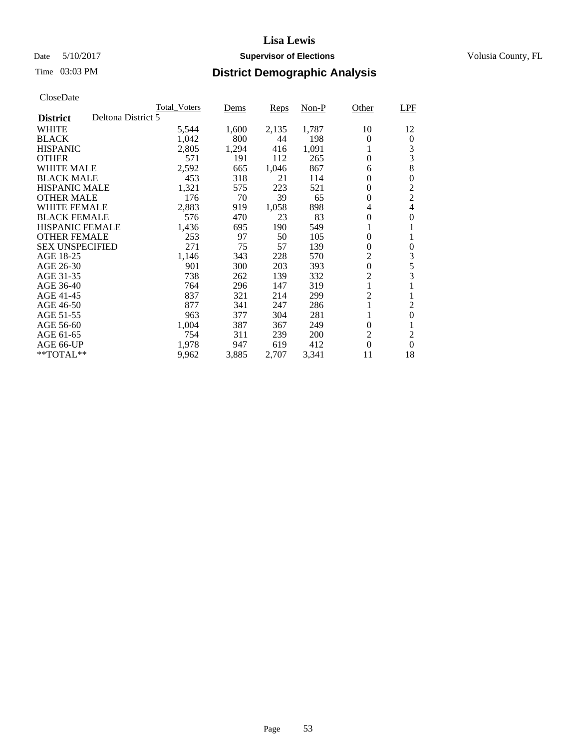## Date 5/10/2017 **Supervisor of Elections Supervisor of Elections** Volusia County, FL

## Time 03:03 PM **District Demographic Analysis**

|                                       | <b>Total Voters</b> | Dems  | Reps  | Non-P | Other          | <b>LPF</b>     |
|---------------------------------------|---------------------|-------|-------|-------|----------------|----------------|
| Deltona District 5<br><b>District</b> |                     |       |       |       |                |                |
| WHITE                                 | 5,544               | 1,600 | 2,135 | 1,787 | 10             | 12             |
| <b>BLACK</b>                          | 1,042               | 800   | 44    | 198   | $\theta$       | $\theta$       |
| <b>HISPANIC</b>                       | 2,805               | 1,294 | 416   | 1,091 | 1              | 3              |
| <b>OTHER</b>                          | 571                 | 191   | 112   | 265   | $\overline{0}$ | 3              |
| WHITE MALE                            | 2,592               | 665   | 1,046 | 867   | 6              | 8              |
| <b>BLACK MALE</b>                     | 453                 | 318   | 21    | 114   | 0              | 0              |
| <b>HISPANIC MALE</b>                  | 1,321               | 575   | 223   | 521   | 0              | $\mathfrak 2$  |
| <b>OTHER MALE</b>                     | 176                 | 70    | 39    | 65    | $\theta$       | $\sqrt{2}$     |
| WHITE FEMALE                          | 2,883               | 919   | 1,058 | 898   | 4              | 4              |
| <b>BLACK FEMALE</b>                   | 576                 | 470   | 23    | 83    | $\theta$       | 0              |
| <b>HISPANIC FEMALE</b>                | 1,436               | 695   | 190   | 549   | 1              | 1              |
| <b>OTHER FEMALE</b>                   | 253                 | 97    | 50    | 105   | $\overline{0}$ | 1              |
| <b>SEX UNSPECIFIED</b>                | 271                 | 75    | 57    | 139   | $\overline{0}$ | 0              |
| AGE 18-25                             | 1,146               | 343   | 228   | 570   | 2              | 3              |
| AGE 26-30                             | 901                 | 300   | 203   | 393   | $\overline{0}$ | 5              |
| AGE 31-35                             | 738                 | 262   | 139   | 332   | $\overline{c}$ | 3              |
| AGE 36-40                             | 764                 | 296   | 147   | 319   | 1              |                |
| AGE 41-45                             | 837                 | 321   | 214   | 299   | $\overline{c}$ | 1              |
| AGE 46-50                             | 877                 | 341   | 247   | 286   | $\mathbf{1}$   | $\overline{c}$ |
| AGE 51-55                             | 963                 | 377   | 304   | 281   | 1              | $\overline{0}$ |
| AGE 56-60                             | 1,004               | 387   | 367   | 249   | $\theta$       | 1              |
| AGE 61-65                             | 754                 | 311   | 239   | 200   | $\overline{2}$ | $\overline{2}$ |
| AGE 66-UP                             | 1,978               | 947   | 619   | 412   | $\theta$       | $\Omega$       |
| $*$ TOTAL $**$                        | 9,962               | 3,885 | 2,707 | 3,341 | 11             | 18             |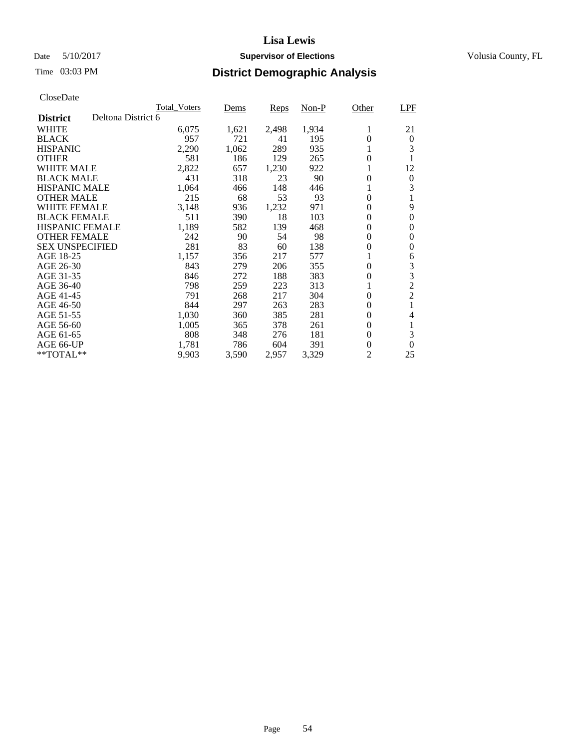## Date 5/10/2017 **Supervisor of Elections Supervisor of Elections** Volusia County, FL

# Time 03:03 PM **District Demographic Analysis**

|                                       | <b>Total Voters</b> | Dems  | Reps  | Non-P | Other          | <b>LPF</b>       |
|---------------------------------------|---------------------|-------|-------|-------|----------------|------------------|
| Deltona District 6<br><b>District</b> |                     |       |       |       |                |                  |
| WHITE                                 | 6,075               | 1,621 | 2,498 | 1,934 | 1              | 21               |
| <b>BLACK</b>                          | 957                 | 721   | 41    | 195   | $\theta$       | $\theta$         |
| <b>HISPANIC</b>                       | 2,290               | 1,062 | 289   | 935   | 1              | 3                |
| <b>OTHER</b>                          | 581                 | 186   | 129   | 265   | $\theta$       |                  |
| WHITE MALE                            | 2,822               | 657   | 1,230 | 922   | 1              | 12               |
| <b>BLACK MALE</b>                     | 431                 | 318   | 23    | 90    | 0              | $\boldsymbol{0}$ |
| <b>HISPANIC MALE</b>                  | 1,064               | 466   | 148   | 446   |                | 3                |
| <b>OTHER MALE</b>                     | 215                 | 68    | 53    | 93    | $\theta$       |                  |
| WHITE FEMALE                          | 3,148               | 936   | 1,232 | 971   | $\theta$       | 9                |
| <b>BLACK FEMALE</b>                   | 511                 | 390   | 18    | 103   | $\theta$       | $\theta$         |
| <b>HISPANIC FEMALE</b>                | 1,189               | 582   | 139   | 468   | 0              | 0                |
| <b>OTHER FEMALE</b>                   | 242                 | 90    | 54    | 98    | 0              | 0                |
| <b>SEX UNSPECIFIED</b>                | 281                 | 83    | 60    | 138   | $\overline{0}$ | 0                |
| AGE 18-25                             | 1,157               | 356   | 217   | 577   |                | 6                |
| AGE 26-30                             | 843                 | 279   | 206   | 355   | $\theta$       | 3                |
| AGE 31-35                             | 846                 | 272   | 188   | 383   | $\theta$       | 3                |
| AGE 36-40                             | 798                 | 259   | 223   | 313   | 1              | $\overline{c}$   |
| AGE 41-45                             | 791                 | 268   | 217   | 304   | $\overline{0}$ | $\overline{c}$   |
| AGE 46-50                             | 844                 | 297   | 263   | 283   | $\theta$       |                  |
| AGE 51-55                             | 1,030               | 360   | 385   | 281   | $\theta$       | 4                |
| AGE 56-60                             | 1,005               | 365   | 378   | 261   | $\theta$       | 1                |
| AGE 61-65                             | 808                 | 348   | 276   | 181   | $\Omega$       | 3                |
| AGE 66-UP                             | 1,781               | 786   | 604   | 391   | $\theta$       | $\Omega$         |
| $*$ TOTAL $**$                        | 9,903               | 3,590 | 2,957 | 3,329 | 2              | 25               |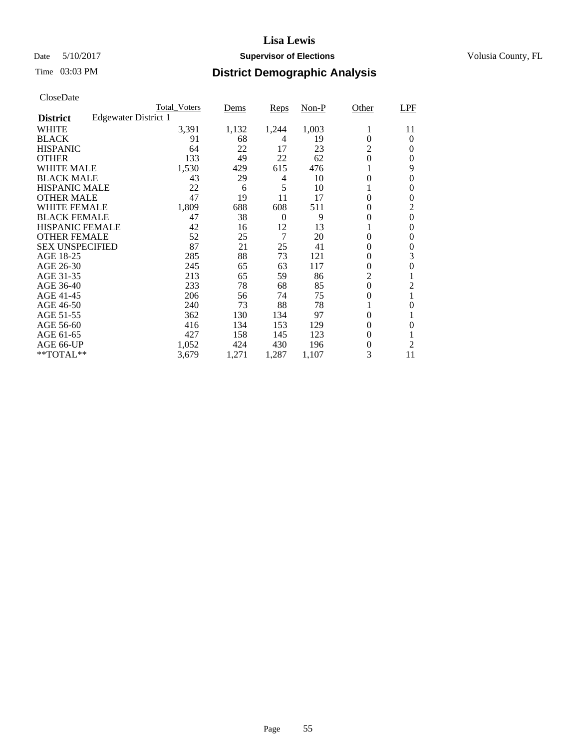## Date 5/10/2017 **Supervisor of Elections Supervisor of Elections** Volusia County, FL

|                        |                      | <b>Total Voters</b> | Dems  | Reps     | $Non-P$ | Other          | LPF            |
|------------------------|----------------------|---------------------|-------|----------|---------|----------------|----------------|
| <b>District</b>        | Edgewater District 1 |                     |       |          |         |                |                |
| <b>WHITE</b>           |                      | 3,391               | 1,132 | 1,244    | 1,003   | 1              | 11             |
| <b>BLACK</b>           |                      | 91                  | 68    | 4        | 19      | $\theta$       | $\theta$       |
| <b>HISPANIC</b>        |                      | 64                  | 22    | 17       | 23      | 2              | $\Omega$       |
| <b>OTHER</b>           |                      | 133                 | 49    | 22       | 62      | 0              | $\Omega$       |
| <b>WHITE MALE</b>      |                      | 1,530               | 429   | 615      | 476     | 1              | 9              |
| <b>BLACK MALE</b>      |                      | 43                  | 29    | 4        | 10      | 0              | $\theta$       |
| <b>HISPANIC MALE</b>   |                      | 22                  | 6     | 5        | 10      | 1              | 0              |
| <b>OTHER MALE</b>      |                      | 47                  | 19    | 11       | 17      | $\overline{0}$ | 0              |
| <b>WHITE FEMALE</b>    |                      | 1,809               | 688   | 608      | 511     | $\theta$       | $\overline{2}$ |
| <b>BLACK FEMALE</b>    |                      | 47                  | 38    | $\theta$ | 9       | $\overline{0}$ | $\mathbf{0}$   |
| <b>HISPANIC FEMALE</b> |                      | 42                  | 16    | 12       | 13      | 1              | $\Omega$       |
| <b>OTHER FEMALE</b>    |                      | 52                  | 25    | 7        | 20      | $\overline{0}$ | $\Omega$       |
| <b>SEX UNSPECIFIED</b> |                      | 87                  | 21    | 25       | 41      | $\overline{0}$ | $\theta$       |
| AGE 18-25              |                      | 285                 | 88    | 73       | 121     | 0              | 3              |
| AGE 26-30              |                      | 245                 | 65    | 63       | 117     | 0              | $\Omega$       |
| AGE 31-35              |                      | 213                 | 65    | 59       | 86      | $\overline{c}$ |                |
| AGE 36-40              |                      | 233                 | 78    | 68       | 85      | $\overline{0}$ | 2              |
| AGE 41-45              |                      | 206                 | 56    | 74       | 75      | 0              | 1              |
| AGE 46-50              |                      | 240                 | 73    | 88       | 78      | 1              | 0              |
| AGE 51-55              |                      | 362                 | 130   | 134      | 97      | 0              | 1              |
| AGE 56-60              |                      | 416                 | 134   | 153      | 129     | 0              | $\Omega$       |
| AGE 61-65              |                      | 427                 | 158   | 145      | 123     | $\theta$       | 1              |
| AGE 66-UP              |                      | 1,052               | 424   | 430      | 196     | 0              | $\overline{2}$ |
| $**TOTAL**$            |                      | 3,679               | 1,271 | 1,287    | 1,107   | 3              | 11             |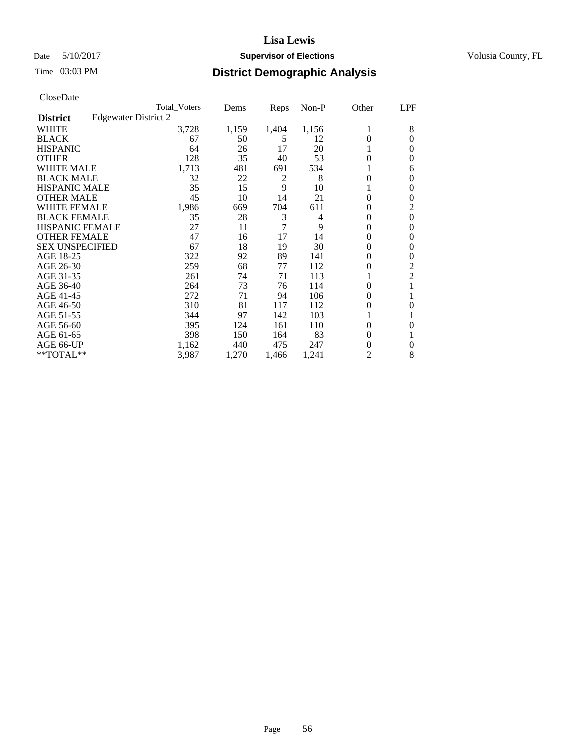## Date 5/10/2017 **Supervisor of Elections Supervisor of Elections** Volusia County, FL

|                                         | <b>Total Voters</b> | Dems  | Reps           | $Non-P$ | Other          | LPF            |
|-----------------------------------------|---------------------|-------|----------------|---------|----------------|----------------|
| Edgewater District 2<br><b>District</b> |                     |       |                |         |                |                |
| <b>WHITE</b>                            | 3,728               | 1,159 | 1,404          | 1,156   | 1              | 8              |
| <b>BLACK</b>                            | 67                  | 50    | 5              | 12      | $\Omega$       | $\Omega$       |
| <b>HISPANIC</b>                         | 64                  | 26    | 17             | 20      | 1              | $\Omega$       |
| <b>OTHER</b>                            | 128                 | 35    | 40             | 53      | 0              | $\Omega$       |
| <b>WHITE MALE</b>                       | 1,713               | 481   | 691            | 534     |                | 6              |
| <b>BLACK MALE</b>                       | 32                  | 22    | 2              | 8       | 0              | 0              |
| <b>HISPANIC MALE</b>                    | 35                  | 15    | 9              | 10      |                | $\Omega$       |
| <b>OTHER MALE</b>                       | 45                  | 10    | 14             | 21      | $\overline{0}$ | $\theta$       |
| <b>WHITE FEMALE</b>                     | 1,986               | 669   | 704            | 611     | $\theta$       | $\overline{2}$ |
| <b>BLACK FEMALE</b>                     | 35                  | 28    | 3              | 4       | 0              | $\Omega$       |
| <b>HISPANIC FEMALE</b>                  | 27                  | 11    | $\overline{7}$ | 9       | 0              | 0              |
| <b>OTHER FEMALE</b>                     | 47                  | 16    | 17             | 14      | 0              | 0              |
| <b>SEX UNSPECIFIED</b>                  | 67                  | 18    | 19             | 30      | 0              | $\theta$       |
| AGE 18-25                               | 322                 | 92    | 89             | 141     | $\theta$       | $\theta$       |
| AGE 26-30                               | 259                 | 68    | 77             | 112     | 0              | $\overline{c}$ |
| AGE 31-35                               | 261                 | 74    | 71             | 113     |                | $\overline{2}$ |
| AGE 36-40                               | 264                 | 73    | 76             | 114     | $\theta$       | 1              |
| AGE 41-45                               | 272                 | 71    | 94             | 106     | 0              | 1              |
| AGE 46-50                               | 310                 | 81    | 117            | 112     | 0              | $\Omega$       |
| AGE 51-55                               | 344                 | 97    | 142            | 103     |                | 1              |
| AGE 56-60                               | 395                 | 124   | 161            | 110     | 0              | $\Omega$       |
| AGE 61-65                               | 398                 | 150   | 164            | 83      | $\theta$       | 1              |
| AGE 66-UP                               | 1,162               | 440   | 475            | 247     | 0              | $\theta$       |
| $**TOTAL**$                             | 3,987               | 1,270 | 1,466          | 1,241   | 2              | 8              |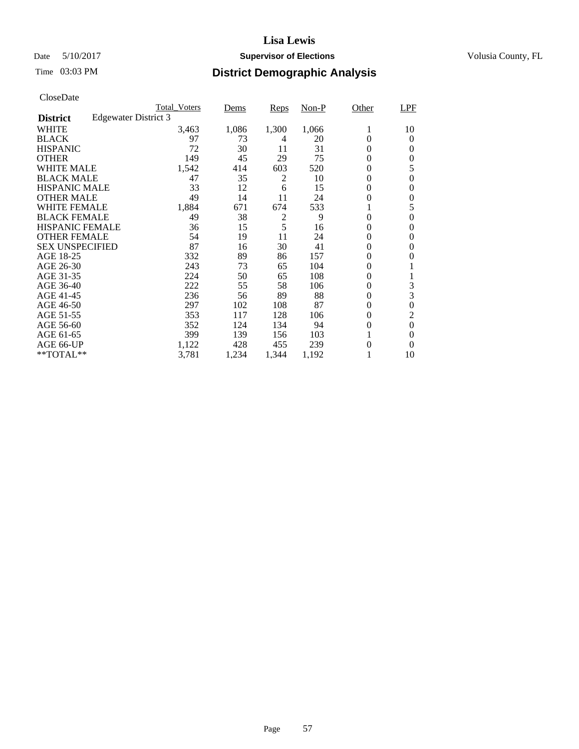## Date 5/10/2017 **Supervisor of Elections Supervisor of Elections** Volusia County, FL

| CloseDate |
|-----------|
|-----------|

|                        |                      | <b>Total Voters</b> | <u>Dems</u> | Reps           | $Non-P$ | Other    | <b>LPF</b>     |
|------------------------|----------------------|---------------------|-------------|----------------|---------|----------|----------------|
| <b>District</b>        | Edgewater District 3 |                     |             |                |         |          |                |
| WHITE                  |                      | 3,463               | 1,086       | 1,300          | 1,066   | 1        | 10             |
| <b>BLACK</b>           |                      | 97                  | 73          | 4              | 20      | 0        | 0              |
| <b>HISPANIC</b>        |                      | 72                  | 30          | 11             | 31      | 0        | 0              |
| <b>OTHER</b>           |                      | 149                 | 45          | 29             | 75      | $\theta$ | 0              |
| <b>WHITE MALE</b>      |                      | 1,542               | 414         | 603            | 520     | 0        | 5              |
| <b>BLACK MALE</b>      |                      | 47                  | 35          | 2              | 10      | 0        | $\theta$       |
| <b>HISPANIC MALE</b>   |                      | 33                  | 12          | 6              | 15      | 0        | 0              |
| <b>OTHER MALE</b>      |                      | 49                  | 14          | 11             | 24      | 0        | 0              |
| <b>WHITE FEMALE</b>    |                      | 1,884               | 671         | 674            | 533     |          | 5              |
| <b>BLACK FEMALE</b>    |                      | 49                  | 38          | $\overline{c}$ | 9       | 0        | 0              |
| <b>HISPANIC FEMALE</b> |                      | 36                  | 15          | 5              | 16      | 0        | 0              |
| <b>OTHER FEMALE</b>    |                      | 54                  | 19          | 11             | 24      | 0        | 0              |
| <b>SEX UNSPECIFIED</b> |                      | 87                  | 16          | 30             | 41      | 0        | $\Omega$       |
| AGE 18-25              |                      | 332                 | 89          | 86             | 157     | 0        | 0              |
| AGE 26-30              |                      | 243                 | 73          | 65             | 104     | 0        |                |
| AGE 31-35              |                      | 224                 | 50          | 65             | 108     | 0        |                |
| AGE 36-40              |                      | 222                 | 55          | 58             | 106     | 0        | 3              |
| AGE 41-45              |                      | 236                 | 56          | 89             | 88      | 0        | 3              |
| AGE 46-50              |                      | 297                 | 102         | 108            | 87      | $\theta$ | $\theta$       |
| AGE 51-55              |                      | 353                 | 117         | 128            | 106     | 0        | $\overline{2}$ |
| AGE 56-60              |                      | 352                 | 124         | 134            | 94      | 0        | $\theta$       |
| AGE 61-65              |                      | 399                 | 139         | 156            | 103     |          | 0              |
| AGE 66-UP              |                      | 1,122               | 428         | 455            | 239     | 0        | 0              |
| **TOTAL**              |                      | 3,781               | 1,234       | 1,344          | 1,192   |          | 10             |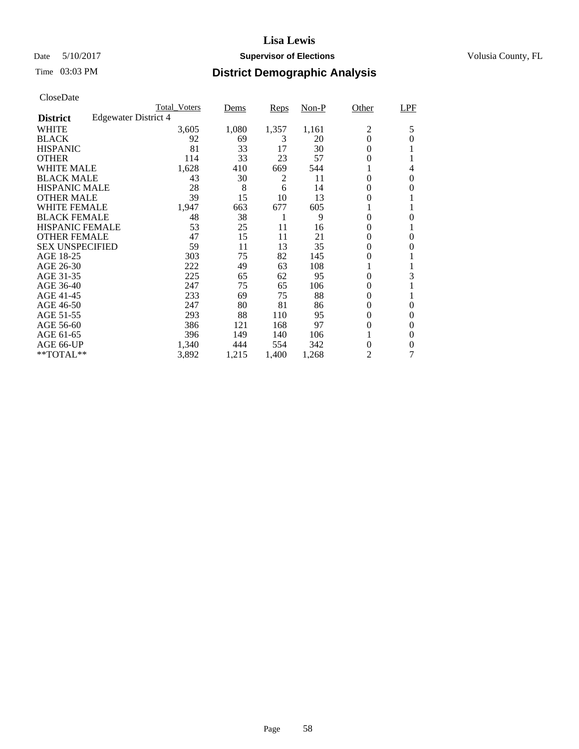## Date 5/10/2017 **Supervisor of Elections Supervisor of Elections** Volusia County, FL

# Time 03:03 PM **District Demographic Analysis**

|                        |                      | <b>Total Voters</b> | Dems  | Reps  | $Non-P$ | Other          | <b>LPF</b> |
|------------------------|----------------------|---------------------|-------|-------|---------|----------------|------------|
| <b>District</b>        | Edgewater District 4 |                     |       |       |         |                |            |
| WHITE                  |                      | 3,605               | 1,080 | 1,357 | 1,161   | $\overline{c}$ | 5          |
| <b>BLACK</b>           |                      | 92                  | 69    | 3     | 20      | $\theta$       | $\Omega$   |
| <b>HISPANIC</b>        |                      | 81                  | 33    | 17    | 30      | $\Omega$       | 1          |
| <b>OTHER</b>           |                      | 114                 | 33    | 23    | 57      | $\theta$       |            |
| WHITE MALE             |                      | 1,628               | 410   | 669   | 544     | 1              | 4          |
| <b>BLACK MALE</b>      |                      | 43                  | 30    | 2     | 11      | $\theta$       | $\theta$   |
| <b>HISPANIC MALE</b>   |                      | 28                  | 8     | 6     | 14      | 0              | $\Omega$   |
| <b>OTHER MALE</b>      |                      | 39                  | 15    | 10    | 13      | $\theta$       |            |
| WHITE FEMALE           |                      | 1,947               | 663   | 677   | 605     | 1              | 1          |
| <b>BLACK FEMALE</b>    |                      | 48                  | 38    | 1     | 9       | $\Omega$       | 0          |
| <b>HISPANIC FEMALE</b> |                      | 53                  | 25    | 11    | 16      | $\theta$       | 1          |
| <b>OTHER FEMALE</b>    |                      | 47                  | 15    | 11    | 21      | $\theta$       | $\theta$   |
| <b>SEX UNSPECIFIED</b> |                      | 59                  | 11    | 13    | 35      | $\Omega$       | 0          |
| AGE 18-25              |                      | 303                 | 75    | 82    | 145     | $\theta$       |            |
| AGE 26-30              |                      | 222                 | 49    | 63    | 108     |                | 1          |
| AGE 31-35              |                      | 225                 | 65    | 62    | 95      | $\Omega$       | 3          |
| AGE 36-40              |                      | 247                 | 75    | 65    | 106     | $\theta$       | 1          |
| AGE 41-45              |                      | 233                 | 69    | 75    | 88      | $\theta$       | 1          |
| AGE 46-50              |                      | 247                 | 80    | 81    | 86      | $\theta$       | $\Omega$   |
| AGE 51-55              |                      | 293                 | 88    | 110   | 95      | $\theta$       | 0          |
| AGE 56-60              |                      | 386                 | 121   | 168   | 97      | $\Omega$       | $\Omega$   |
| AGE 61-65              |                      | 396                 | 149   | 140   | 106     | 1              | $\Omega$   |
| AGE 66-UP              |                      | 1,340               | 444   | 554   | 342     | $\theta$       | 0          |
| $*$ TOTAL $**$         |                      | 3,892               | 1,215 | 1,400 | 1,268   | 2              | 7          |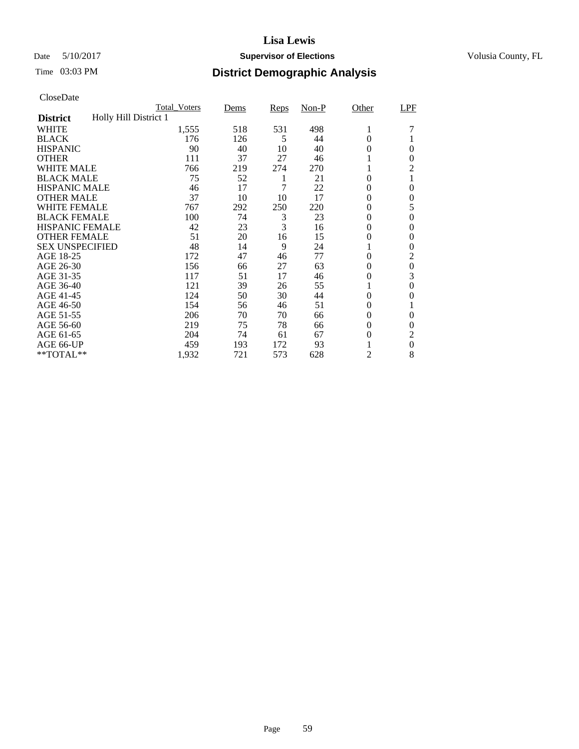## Date 5/10/2017 **Supervisor of Elections Supervisor of Elections** Volusia County, FL

|                        | <b>Total Voters</b>   | <u>Dems</u> | Reps | $Non-P$ | Other    | LPF            |
|------------------------|-----------------------|-------------|------|---------|----------|----------------|
| <b>District</b>        | Holly Hill District 1 |             |      |         |          |                |
| <b>WHITE</b>           | 1,555                 | 518         | 531  | 498     | 1        |                |
| <b>BLACK</b>           | 176                   | 126         | 5    | 44      | 0        |                |
| <b>HISPANIC</b>        | 90                    | 40          | 10   | 40      | $\theta$ | $\Omega$       |
| <b>OTHER</b>           | 111                   | 37          | 27   | 46      |          | $\Omega$       |
| WHITE MALE             | 766                   | 219         | 274  | 270     | 1        | 2              |
| <b>BLACK MALE</b>      | 75                    | 52          | 1    | 21      | 0        | 1              |
| <b>HISPANIC MALE</b>   | 46                    | 17          | 7    | 22      | 0        | $\Omega$       |
| <b>OTHER MALE</b>      | 37                    | 10          | 10   | 17      | 0        | $\theta$       |
| <b>WHITE FEMALE</b>    | 767                   | 292         | 250  | 220     | 0        | 5              |
| <b>BLACK FEMALE</b>    | 100                   | 74          | 3    | 23      | 0        | $\Omega$       |
| <b>HISPANIC FEMALE</b> | 42                    | 23          | 3    | 16      | $\theta$ | 0              |
| <b>OTHER FEMALE</b>    | 51                    | 20          | 16   | 15      | 0        | $\Omega$       |
| <b>SEX UNSPECIFIED</b> | 48                    | 14          | 9    | 24      |          | $\Omega$       |
| AGE 18-25              | 172                   | 47          | 46   | 77      | 0        | $\overline{c}$ |
| AGE 26-30              | 156                   | 66          | 27   | 63      | 0        | $\mathbf{0}$   |
| AGE 31-35              | 117                   | 51          | 17   | 46      | 0        | 3              |
| AGE 36-40              | 121                   | 39          | 26   | 55      |          | $\theta$       |
| AGE 41-45              | 124                   | 50          | 30   | 44      | 0        | $\Omega$       |
| AGE 46-50              | 154                   | 56          | 46   | 51      | 0        | 1              |
| AGE 51-55              | 206                   | 70          | 70   | 66      | 0        | $\Omega$       |
| AGE 56-60              | 219                   | 75          | 78   | 66      | 0        | $\Omega$       |
| AGE 61-65              | 204                   | 74          | 61   | 67      | 0        | 2              |
| AGE 66-UP              | 459                   | 193         | 172  | 93      |          | $\theta$       |
| **TOTAL**              | 1,932                 | 721         | 573  | 628     | 2        | 8              |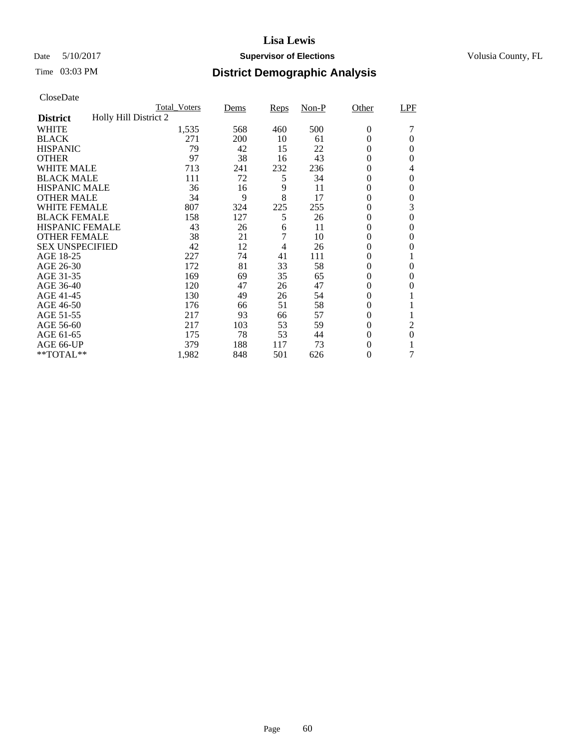## Date 5/10/2017 **Supervisor of Elections Supervisor of Elections** Volusia County, FL

|                                          | <b>Total Voters</b> | Dems | Reps           | $Non-P$ | Other            | LPF      |
|------------------------------------------|---------------------|------|----------------|---------|------------------|----------|
| Holly Hill District 2<br><b>District</b> |                     |      |                |         |                  |          |
| <b>WHITE</b>                             | 1,535               | 568  | 460            | 500     | $\theta$         |          |
| <b>BLACK</b>                             | 271                 | 200  | 10             | 61      | $\theta$         | $\Omega$ |
| <b>HISPANIC</b>                          | 79                  | 42   | 15             | 22      | $\Omega$         | $\Omega$ |
| <b>OTHER</b>                             | 97                  | 38   | 16             | 43      | $\overline{0}$   | $\Omega$ |
| <b>WHITE MALE</b>                        | 713                 | 241  | 232            | 236     | $\theta$         | 4        |
| <b>BLACK MALE</b>                        | 111                 | 72   | 5              | 34      | $\boldsymbol{0}$ | $\theta$ |
| <b>HISPANIC MALE</b>                     | 36                  | 16   | 9              | 11      | 0                | $\theta$ |
| <b>OTHER MALE</b>                        | 34                  | 9    | 8              | 17      | $\theta$         | $\theta$ |
| WHITE FEMALE                             | 807                 | 324  | 225            | 255     | 0                | 3        |
| <b>BLACK FEMALE</b>                      | 158                 | 127  | 5              | 26      | $\theta$         | $\theta$ |
| <b>HISPANIC FEMALE</b>                   | 43                  | 26   | 6              | 11      | $\theta$         | 0        |
| <b>OTHER FEMALE</b>                      | 38                  | 21   | $\overline{7}$ | 10      | $\theta$         | 0        |
| <b>SEX UNSPECIFIED</b>                   | 42                  | 12   | 4              | 26      | 0                | 0        |
| AGE 18-25                                | 227                 | 74   | 41             | 111     | 0                | 1        |
| AGE 26-30                                | 172                 | 81   | 33             | 58      | $\boldsymbol{0}$ | $\theta$ |
| AGE 31-35                                | 169                 | 69   | 35             | 65      | 0                | 0        |
| AGE 36-40                                | 120                 | 47   | 26             | 47      | $\overline{0}$   | 0        |
| AGE 41-45                                | 130                 | 49   | 26             | 54      | $\theta$         |          |
| AGE 46-50                                | 176                 | 66   | 51             | 58      | $\theta$         | 1        |
| AGE 51-55                                | 217                 | 93   | 66             | 57      | $\boldsymbol{0}$ | 1        |
| AGE 56-60                                | 217                 | 103  | 53             | 59      | $\theta$         | 2        |
| AGE 61-65                                | 175                 | 78   | 53             | 44      | $\theta$         | $\theta$ |
| AGE 66-UP                                | 379                 | 188  | 117            | 73      | $\theta$         | 1        |
| $*$ TOTAL $**$                           | 1,982               | 848  | 501            | 626     | $\overline{0}$   |          |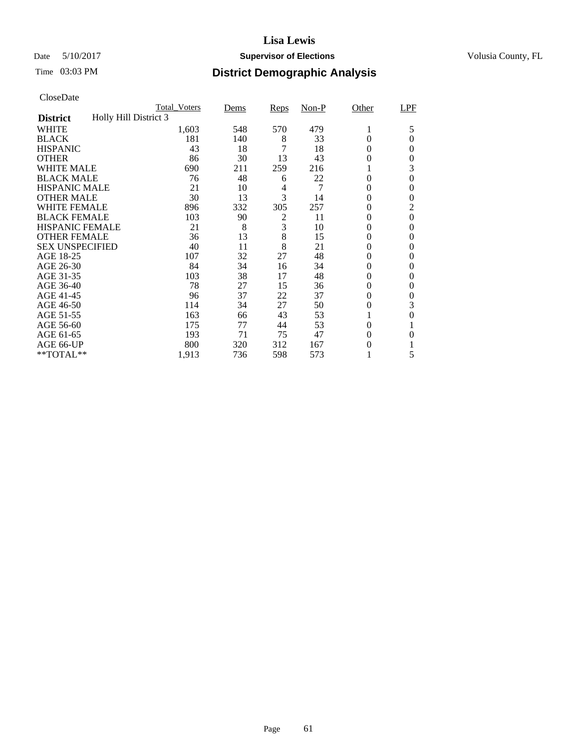## Date 5/10/2017 **Supervisor of Elections Supervisor of Elections** Volusia County, FL

|                        | <b>Total Voters</b>   | Dems | Reps           | $Non-P$ | Other            | LPF            |
|------------------------|-----------------------|------|----------------|---------|------------------|----------------|
| <b>District</b>        | Holly Hill District 3 |      |                |         |                  |                |
| <b>WHITE</b>           | 1,603                 | 548  | 570            | 479     | 1                | 5              |
| <b>BLACK</b>           | 181                   | 140  | 8              | 33      | $\theta$         | 0              |
| <b>HISPANIC</b>        | 43                    | 18   | 7              | 18      | $\theta$         | 0              |
| <b>OTHER</b>           | 86                    | 30   | 13             | 43      | $\Omega$         | 0              |
| <b>WHITE MALE</b>      | 690                   | 211  | 259            | 216     | 1                | 3              |
| <b>BLACK MALE</b>      | 76                    | 48   | 6              | 22      | $\theta$         | 0              |
| <b>HISPANIC MALE</b>   | 21                    | 10   | 4              | 7       | $\overline{0}$   | 0              |
| <b>OTHER MALE</b>      | 30                    | 13   | 3              | 14      | $\theta$         | 0              |
| <b>WHITE FEMALE</b>    | 896                   | 332  | 305            | 257     | $\theta$         | $\overline{2}$ |
| <b>BLACK FEMALE</b>    | 103                   | 90   | $\overline{c}$ | 11      | $\boldsymbol{0}$ | $\overline{0}$ |
| <b>HISPANIC FEMALE</b> | 21                    | 8    | 3              | 10      | $\overline{0}$   | $\theta$       |
| <b>OTHER FEMALE</b>    | 36                    | 13   | 8              | 15      | $\overline{0}$   | $\theta$       |
| <b>SEX UNSPECIFIED</b> | 40                    | 11   | 8              | 21      | $\theta$         | $\theta$       |
| AGE 18-25              | 107                   | 32   | 27             | 48      | $\theta$         | 0              |
| AGE 26-30              | 84                    | 34   | 16             | 34      | $\theta$         | $\theta$       |
| AGE 31-35              | 103                   | 38   | 17             | 48      | $\theta$         | 0              |
| AGE 36-40              | 78                    | 27   | 15             | 36      | $\boldsymbol{0}$ | 0              |
| AGE 41-45              | 96                    | 37   | 22             | 37      | $\overline{0}$   | 0              |
| AGE 46-50              | 114                   | 34   | 27             | 50      | $\overline{0}$   | 3              |
| AGE 51-55              | 163                   | 66   | 43             | 53      | 1                | 0              |
| AGE 56-60              | 175                   | 77   | 44             | 53      | $\overline{0}$   |                |
| AGE 61-65              | 193                   | 71   | 75             | 47      | $\theta$         | $\theta$       |
| AGE 66-UP              | 800                   | 320  | 312            | 167     | $\Omega$         |                |
| **TOTAL**              | 1,913                 | 736  | 598            | 573     | 1                | 5              |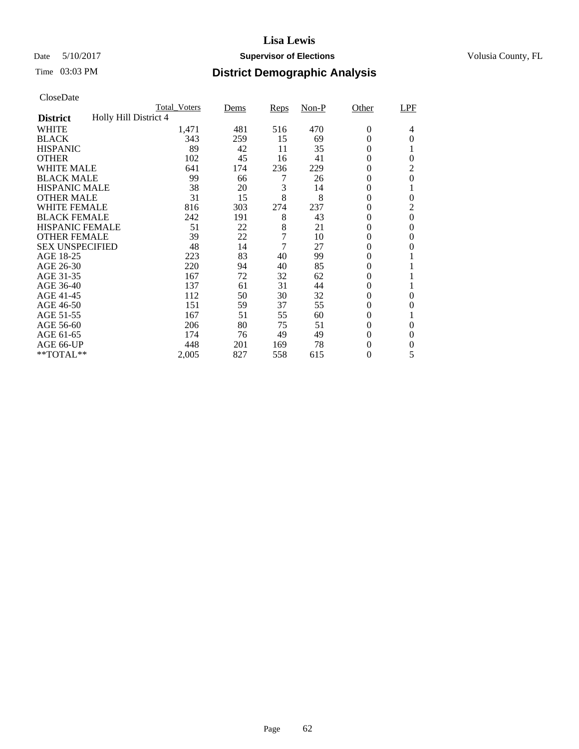## Date 5/10/2017 **Supervisor of Elections Supervisor of Elections** Volusia County, FL

|                        | <b>Total Voters</b>   | Dems | Reps           | $Non-P$ | Other            | LPF            |
|------------------------|-----------------------|------|----------------|---------|------------------|----------------|
| <b>District</b>        | Holly Hill District 4 |      |                |         |                  |                |
| <b>WHITE</b>           | 1,471                 | 481  | 516            | 470     | $\boldsymbol{0}$ | 4              |
| <b>BLACK</b>           | 343                   | 259  | 15             | 69      | $\theta$         | $\theta$       |
| <b>HISPANIC</b>        | 89                    | 42   | 11             | 35      | $\theta$         |                |
| <b>OTHER</b>           | 102                   | 45   | 16             | 41      | $\theta$         | $\theta$       |
| <b>WHITE MALE</b>      | 641                   | 174  | 236            | 229     | $\theta$         | 2              |
| <b>BLACK MALE</b>      | 99                    | 66   |                | 26      | $\theta$         | $\theta$       |
| <b>HISPANIC MALE</b>   | 38                    | 20   | 3              | 14      | $\boldsymbol{0}$ |                |
| <b>OTHER MALE</b>      | 31                    | 15   | 8              | 8       | $\boldsymbol{0}$ | $\theta$       |
| <b>WHITE FEMALE</b>    | 816                   | 303  | 274            | 237     | 0                | $\overline{2}$ |
| <b>BLACK FEMALE</b>    | 242                   | 191  | 8              | 43      | $\boldsymbol{0}$ | $\overline{0}$ |
| <b>HISPANIC FEMALE</b> | 51                    | 22   | 8              | 21      | $\overline{0}$   | $\theta$       |
| <b>OTHER FEMALE</b>    | 39                    | 22   | $\overline{7}$ | 10      | $\overline{0}$   | 0              |
| <b>SEX UNSPECIFIED</b> | 48                    | 14   | 7              | 27      | 0                | $\theta$       |
| AGE 18-25              | 223                   | 83   | 40             | 99      | $\overline{0}$   |                |
| AGE 26-30              | 220                   | 94   | 40             | 85      | 0                |                |
| AGE 31-35              | 167                   | 72   | 32             | 62      | 0                |                |
| AGE 36-40              | 137                   | 61   | 31             | 44      | 0                |                |
| AGE 41-45              | 112                   | 50   | 30             | 32      | $\overline{0}$   | $\theta$       |
| AGE 46-50              | 151                   | 59   | 37             | 55      | $\boldsymbol{0}$ | $\Omega$       |
| AGE 51-55              | 167                   | 51   | 55             | 60      | $\theta$         |                |
| AGE 56-60              | 206                   | 80   | 75             | 51      | $\theta$         | 0              |
| AGE 61-65              | 174                   | 76   | 49             | 49      | $\boldsymbol{0}$ | $\theta$       |
| AGE 66-UP              | 448                   | 201  | 169            | 78      | $\boldsymbol{0}$ | 0              |
| **TOTAL**              | 2,005                 | 827  | 558            | 615     | $\boldsymbol{0}$ | 5              |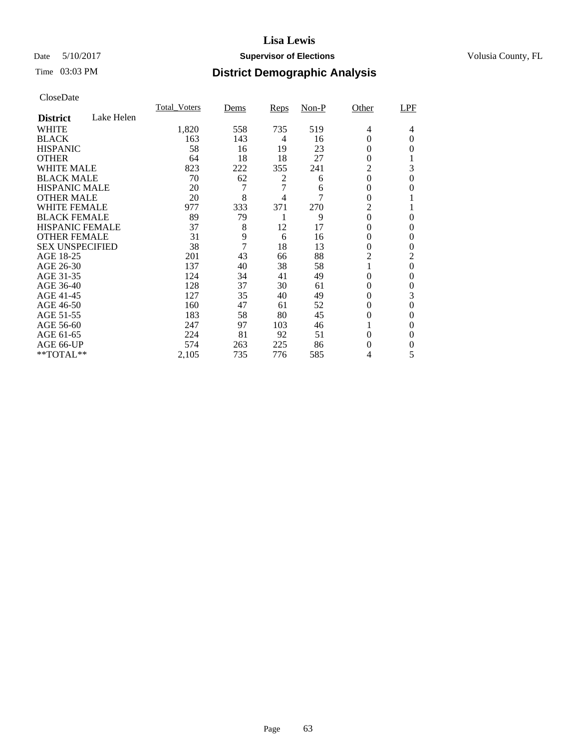## Date 5/10/2017 **Supervisor of Elections Supervisor of Elections** Volusia County, FL

# Time 03:03 PM **District Demographic Analysis**

|                        |            | <b>Total Voters</b> | Dems | Reps | $Non-P$ | Other            | LPF            |
|------------------------|------------|---------------------|------|------|---------|------------------|----------------|
| <b>District</b>        | Lake Helen |                     |      |      |         |                  |                |
| WHITE                  |            | 1,820               | 558  | 735  | 519     | 4                | 4              |
| <b>BLACK</b>           |            | 163                 | 143  | 4    | 16      | $\overline{0}$   | 0              |
| <b>HISPANIC</b>        |            | 58                  | 16   | 19   | 23      | 0                | $\theta$       |
| <b>OTHER</b>           |            | 64                  | 18   | 18   | 27      | $\theta$         |                |
| WHITE MALE             |            | 823                 | 222  | 355  | 241     | 2                | 3              |
| <b>BLACK MALE</b>      |            | 70                  | 62   | 2    | 6       | 0                | $\theta$       |
| <b>HISPANIC MALE</b>   |            | 20                  | 7    | 7    | 6       | 0                | $\theta$       |
| <b>OTHER MALE</b>      |            | 20                  | 8    | 4    | 7       | 0                |                |
| <b>WHITE FEMALE</b>    |            | 977                 | 333  | 371  | 270     | $\overline{c}$   |                |
| <b>BLACK FEMALE</b>    |            | 89                  | 79   | 1    | 9       | $\boldsymbol{0}$ | $\theta$       |
| <b>HISPANIC FEMALE</b> |            | 37                  | 8    | 12   | 17      | $\theta$         | $\theta$       |
| <b>OTHER FEMALE</b>    |            | 31                  | 9    | 6    | 16      | 0                | $\theta$       |
| <b>SEX UNSPECIFIED</b> |            | 38                  | 7    | 18   | 13      | $\overline{0}$   | $\theta$       |
| AGE 18-25              |            | 201                 | 43   | 66   | 88      | 2                | 2              |
| AGE 26-30              |            | 137                 | 40   | 38   | 58      | 1                | $\overline{0}$ |
| AGE 31-35              |            | 124                 | 34   | 41   | 49      | 0                | 0              |
| AGE 36-40              |            | 128                 | 37   | 30   | 61      | $\overline{0}$   | $\theta$       |
| AGE 41-45              |            | 127                 | 35   | 40   | 49      | 0                | 3              |
| AGE 46-50              |            | 160                 | 47   | 61   | 52      | $\overline{0}$   | $\theta$       |
| AGE 51-55              |            | 183                 | 58   | 80   | 45      | 0                | $\theta$       |
| AGE 56-60              |            | 247                 | 97   | 103  | 46      |                  | $\Omega$       |
| AGE 61-65              |            | 224                 | 81   | 92   | 51      | 0                | $\Omega$       |
| AGE 66-UP              |            | 574                 | 263  | 225  | 86      | 0                | 0              |
| **TOTAL**              |            | 2,105               | 735  | 776  | 585     | 4                | 5              |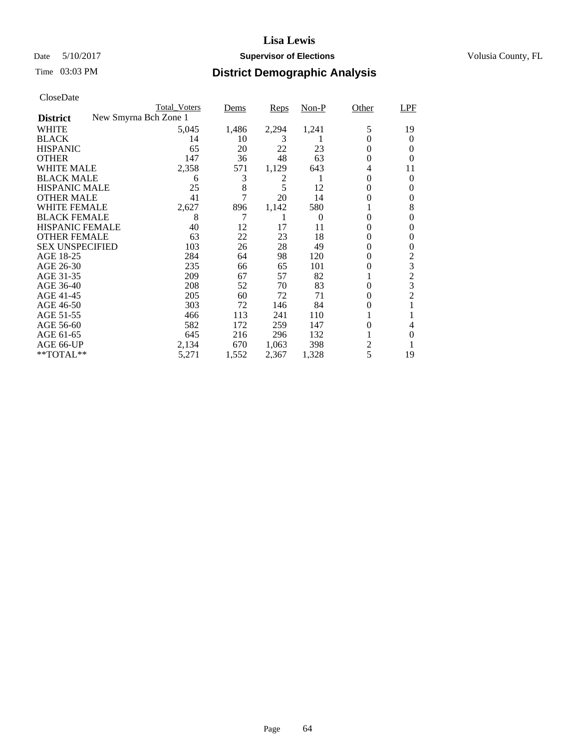## Date 5/10/2017 **Supervisor of Elections Supervisor of Elections** Volusia County, FL

| CloseDate              |                       |                     |       |       |          |                |                                                 |
|------------------------|-----------------------|---------------------|-------|-------|----------|----------------|-------------------------------------------------|
|                        |                       | <b>Total Voters</b> | Dems  | Reps  | $Non-P$  | Other          | LPF                                             |
| <b>District</b>        | New Smyrna Bch Zone 1 |                     |       |       |          |                |                                                 |
| <b>WHITE</b>           |                       | 5,045               | 1,486 | 2,294 | 1,241    | 5              | 19                                              |
| <b>BLACK</b>           |                       | 14                  | 10    | 3     |          | $\Omega$       | $\theta$                                        |
| <b>HISPANIC</b>        |                       | 65                  | 20    | 22    | 23       | $\theta$       | $\theta$                                        |
| <b>OTHER</b>           |                       | 147                 | 36    | 48    | 63       | 0              | $\theta$                                        |
| <b>WHITE MALE</b>      |                       | 2,358               | 571   | 1,129 | 643      | 4              | 11                                              |
| <b>BLACK MALE</b>      |                       | 6                   | 3     | 2     |          | $\theta$       | $\theta$                                        |
| <b>HISPANIC MALE</b>   |                       | 25                  | 8     | 5     | 12       | $\Omega$       | $\theta$                                        |
| <b>OTHER MALE</b>      |                       | 41                  | 7     | 20    | 14       | $\theta$       | $\boldsymbol{0}$                                |
| WHITE FEMALE           |                       | 2,627               | 896   | 1,142 | 580      |                | 8                                               |
| <b>BLACK FEMALE</b>    |                       | 8                   | 7     |       | $\Omega$ | $\theta$       | $\theta$                                        |
| <b>HISPANIC FEMALE</b> |                       | 40                  | 12    | 17    | 11       | $\theta$       | $\theta$                                        |
| <b>OTHER FEMALE</b>    |                       | 63                  | 22    | 23    | 18       | 0              | $\boldsymbol{0}$                                |
| <b>SEX UNSPECIFIED</b> |                       | 103                 | 26    | 28    | 49       | 0              | $\boldsymbol{0}$                                |
| AGE 18-25              |                       | 284                 | 64    | 98    | 120      | $\theta$       |                                                 |
| AGE 26-30              |                       | 235                 | 66    | 65    | 101      | 0              |                                                 |
| AGE 31-35              |                       | 209                 | 67    | 57    | 82       | 1              | $\begin{array}{c} 2 \\ 3 \\ 2 \\ 3 \end{array}$ |
| AGE 36-40              |                       | 208                 | 52    | 70    | 83       | $\Omega$       |                                                 |
| AGE 41-45              |                       | 205                 | 60    | 72    | 71       | $\theta$       | $\overline{c}$                                  |
| AGE 46-50              |                       | 303                 | 72    | 146   | 84       | 0              | $\mathbf{1}$                                    |
| AGE 51-55              |                       | 466                 | 113   | 241   | 110      |                | 1                                               |
| AGE 56-60              |                       | 582                 | 172   | 259   | 147      | 0              | 4                                               |
| AGE 61-65              |                       | 645                 | 216   | 296   | 132      |                | $\overline{0}$                                  |
| AGE 66-UP              |                       | 2,134               | 670   | 1,063 | 398      | $\overline{c}$ | 1                                               |
| **TOTAL**              |                       | 5,271               | 1,552 | 2,367 | 1,328    | 5              | 19                                              |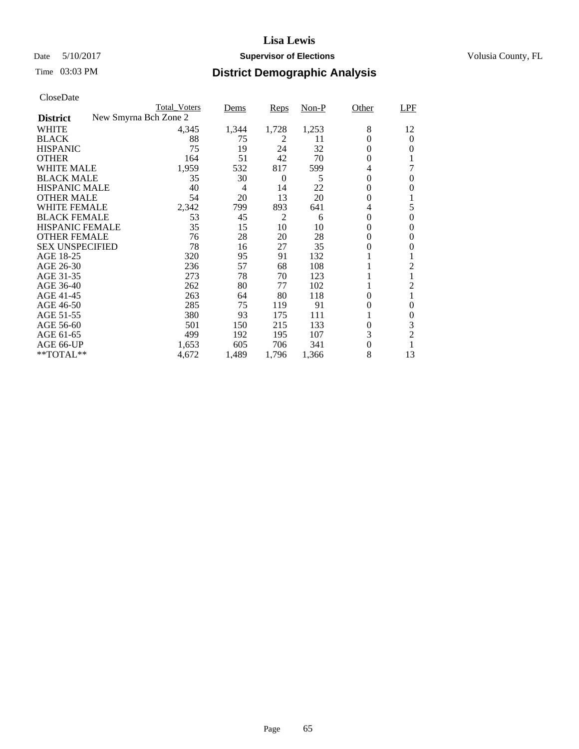## Date 5/10/2017 **Supervisor of Elections Supervisor of Elections** Volusia County, FL

|                        |                       | <b>Total_Voters</b> | Dems  | Reps           | $Non-P$ | Other            | LPF              |
|------------------------|-----------------------|---------------------|-------|----------------|---------|------------------|------------------|
| <b>District</b>        | New Smyrna Bch Zone 2 |                     |       |                |         |                  |                  |
| <b>WHITE</b>           |                       | 4,345               | 1,344 | 1,728          | 1,253   | 8                | 12               |
| <b>BLACK</b>           |                       | 88                  | 75    | 2              | 11      | $\overline{0}$   | 0                |
| <b>HISPANIC</b>        |                       | 75                  | 19    | 24             | 32      | 0                | $\theta$         |
| <b>OTHER</b>           |                       | 164                 | 51    | 42             | 70      | $\overline{0}$   |                  |
| <b>WHITE MALE</b>      |                       | 1,959               | 532   | 817            | 599     | 4                |                  |
| <b>BLACK MALE</b>      |                       | 35                  | 30    | 0              | 5       | 0                | 0                |
| <b>HISPANIC MALE</b>   |                       | 40                  | 4     | 14             | 22      | 0                | $\theta$         |
| <b>OTHER MALE</b>      |                       | 54                  | 20    | 13             | 20      | $\boldsymbol{0}$ | 1                |
| <b>WHITE FEMALE</b>    |                       | 2,342               | 799   | 893            | 641     | 4                | 5                |
| <b>BLACK FEMALE</b>    |                       | 53                  | 45    | $\overline{2}$ | 6       | 0                | $\overline{0}$   |
| <b>HISPANIC FEMALE</b> |                       | 35                  | 15    | 10             | 10      | $\overline{0}$   | $\theta$         |
| <b>OTHER FEMALE</b>    |                       | 76                  | 28    | 20             | 28      | $\overline{0}$   | 0                |
| <b>SEX UNSPECIFIED</b> |                       | 78                  | 16    | 27             | 35      | 0                | $\theta$         |
| AGE 18-25              |                       | 320                 | 95    | 91             | 132     |                  |                  |
| AGE 26-30              |                       | 236                 | 57    | 68             | 108     |                  | 2                |
| AGE 31-35              |                       | 273                 | 78    | 70             | 123     |                  |                  |
| AGE 36-40              |                       | 262                 | 80    | 77             | 102     |                  | 2                |
| AGE 41-45              |                       | 263                 | 64    | 80             | 118     | 0                | 1                |
| AGE 46-50              |                       | 285                 | 75    | 119            | 91      | 0                | $\theta$         |
| AGE 51-55              |                       | 380                 | 93    | 175            | 111     | 1                | $\boldsymbol{0}$ |
| AGE 56-60              |                       | 501                 | 150   | 215            | 133     | $\overline{0}$   | 3                |
| AGE 61-65              |                       | 499                 | 192   | 195            | 107     | 3                | $\overline{2}$   |
| AGE 66-UP              |                       | 1,653               | 605   | 706            | 341     | $\boldsymbol{0}$ |                  |
| $*$ TOTAL $**$         |                       | 4,672               | 1,489 | 1,796          | 1,366   | 8                | 13               |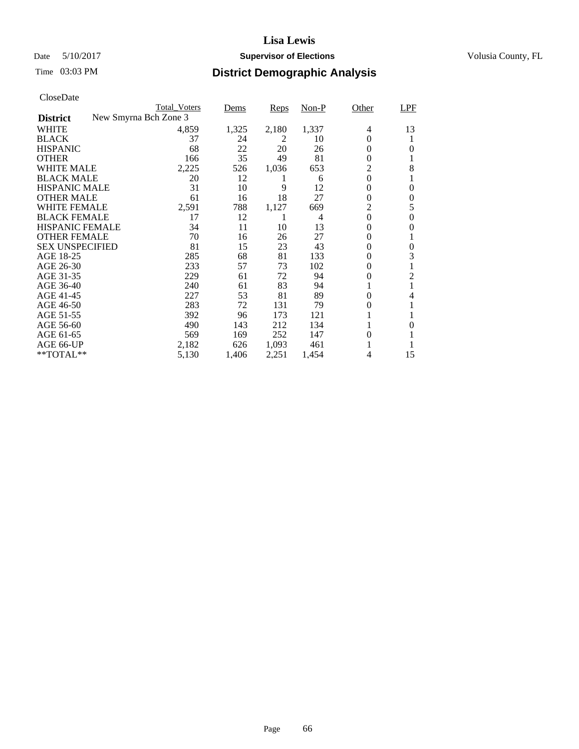## Date 5/10/2017 **Supervisor of Elections Supervisor of Elections** Volusia County, FL

|                        | <b>Total Voters</b>   | Dems  | Reps  | $Non-P$        | Other            | <b>LPF</b>       |
|------------------------|-----------------------|-------|-------|----------------|------------------|------------------|
| <b>District</b>        | New Smyrna Bch Zone 3 |       |       |                |                  |                  |
| <b>WHITE</b>           | 4,859                 | 1,325 | 2,180 | 1,337          | 4                | 13               |
| <b>BLACK</b>           | 37                    | 24    | 2     | 10             | $\Omega$         | 1                |
| <b>HISPANIC</b>        | 68                    | 22    | 20    | 26             | $\theta$         | $\theta$         |
| <b>OTHER</b>           | 166                   | 35    | 49    | 81             | $\Omega$         | 1                |
| <b>WHITE MALE</b>      | 2,225                 | 526   | 1,036 | 653            | $\overline{2}$   | 8                |
| <b>BLACK MALE</b>      | 20                    | 12    | 1     | 6              | $\boldsymbol{0}$ | 1                |
| <b>HISPANIC MALE</b>   | 31                    | 10    | 9     | 12             | 0                | $\boldsymbol{0}$ |
| <b>OTHER MALE</b>      | 61                    | 16    | 18    | 27             | $\mathbf{0}$     | $\boldsymbol{0}$ |
| <b>WHITE FEMALE</b>    | 2,591                 | 788   | 1,127 | 669            | $\overline{2}$   | 5                |
| <b>BLACK FEMALE</b>    | 17                    | 12    | 1     | $\overline{4}$ | $\boldsymbol{0}$ | $\boldsymbol{0}$ |
| <b>HISPANIC FEMALE</b> | 34                    | 11    | 10    | 13             | $\mathbf{0}$     | $\boldsymbol{0}$ |
| <b>OTHER FEMALE</b>    | 70                    | 16    | 26    | 27             | $\Omega$         | 1                |
| <b>SEX UNSPECIFIED</b> | 81                    | 15    | 23    | 43             | $\Omega$         | $\boldsymbol{0}$ |
| AGE 18-25              | 285                   | 68    | 81    | 133            | $\Omega$         | 3                |
| AGE 26-30              | 233                   | 57    | 73    | 102            | $\Omega$         | $\mathbf{1}$     |
| AGE 31-35              | 229                   | 61    | 72    | 94             | 0                | $\overline{c}$   |
| AGE 36-40              | 240                   | 61    | 83    | 94             |                  | $\mathbf{1}$     |
| AGE 41-45              | 227                   | 53    | 81    | 89             | $\Omega$         | 4                |
| AGE 46-50              | 283                   | 72    | 131   | 79             | 0                | 1                |
| AGE 51-55              | 392                   | 96    | 173   | 121            |                  |                  |
| AGE 56-60              | 490                   | 143   | 212   | 134            |                  | $\theta$         |
| AGE 61-65              | 569                   | 169   | 252   | 147            | 0                |                  |
| AGE 66-UP              | 2,182                 | 626   | 1,093 | 461            |                  |                  |
| $*$ TOTAL $**$         | 5,130                 | 1,406 | 2,251 | 1,454          | 4                | 15               |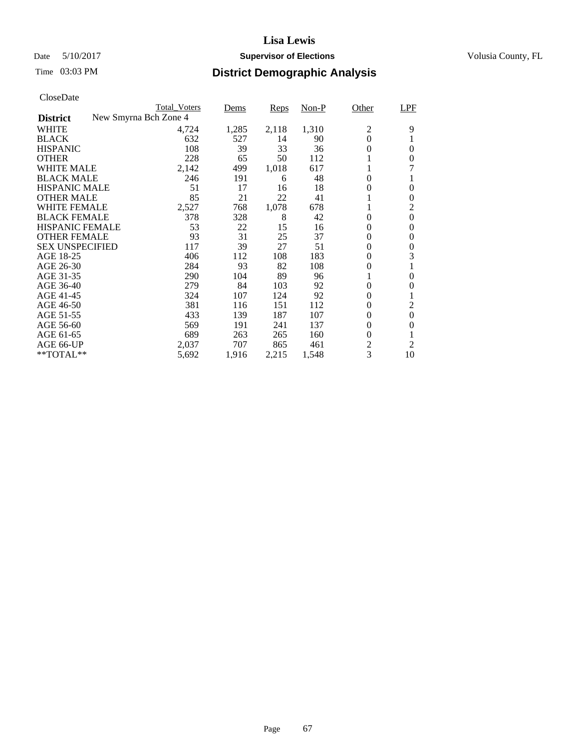## Date 5/10/2017 **Supervisor of Elections Supervisor of Elections** Volusia County, FL

| CloseDate              |                       |       |       |       |                |                  |
|------------------------|-----------------------|-------|-------|-------|----------------|------------------|
|                        | <b>Total Voters</b>   | Dems  | Reps  | Non-P | Other          | LPF              |
| <b>District</b>        | New Smyrna Bch Zone 4 |       |       |       |                |                  |
| WHITE                  | 4,724                 | 1,285 | 2,118 | 1,310 | 2              | 9                |
| <b>BLACK</b>           | 632                   | 527   | 14    | 90    | $\overline{0}$ | 1                |
| <b>HISPANIC</b>        | 108                   | 39    | 33    | 36    | 0              | $\theta$         |
| <b>OTHER</b>           | 228                   | 65    | 50    | 112   |                | $\boldsymbol{0}$ |
| <b>WHITE MALE</b>      | 2,142                 | 499   | 1,018 | 617   |                | 7                |
| <b>BLACK MALE</b>      | 246                   | 191   | 6     | 48    | $\overline{0}$ | 1                |
| <b>HISPANIC MALE</b>   | 51                    | 17    | 16    | 18    | 0              | $\theta$         |
| <b>OTHER MALE</b>      | 85                    | 21    | 22    | 41    | 1              | $\boldsymbol{0}$ |
| WHITE FEMALE           | 2,527                 | 768   | 1,078 | 678   |                | $\overline{c}$   |
| <b>BLACK FEMALE</b>    | 378                   | 328   | 8     | 42    | $\theta$       | $\boldsymbol{0}$ |
| <b>HISPANIC FEMALE</b> | 53                    | 22    | 15    | 16    | 0              | $\boldsymbol{0}$ |
| <b>OTHER FEMALE</b>    | 93                    | 31    | 25    | 37    | 0              | $\boldsymbol{0}$ |
| <b>SEX UNSPECIFIED</b> | 117                   | 39    | 27    | 51    | 0              | $\boldsymbol{0}$ |
| AGE 18-25              | 406                   | 112   | 108   | 183   | $\overline{0}$ | 3                |
| AGE 26-30              | 284                   | 93    | 82    | 108   | 0              | 1                |
| AGE 31-35              | 290                   | 104   | 89    | 96    |                | $\boldsymbol{0}$ |
| AGE 36-40              | 279                   | 84    | 103   | 92    | $\overline{0}$ | $\boldsymbol{0}$ |
| AGE 41-45              | 324                   | 107   | 124   | 92    | $\overline{0}$ | 1                |
| AGE 46-50              | 381                   | 116   | 151   | 112   | 0              | $\overline{2}$   |
| AGE 51-55              | 433                   | 139   | 187   | 107   | 0              | $\boldsymbol{0}$ |
| AGE 56-60              | 569                   | 191   | 241   | 137   | 0              | $\boldsymbol{0}$ |
| AGE 61-65              | 689                   | 263   | 265   | 160   | $\overline{0}$ | $\mathbf{1}$     |
| AGE 66-UP              | 2,037                 | 707   | 865   | 461   | $\overline{2}$ | $\overline{2}$   |
| **TOTAL**              | 5,692                 | 1,916 | 2,215 | 1,548 | 3              | 10               |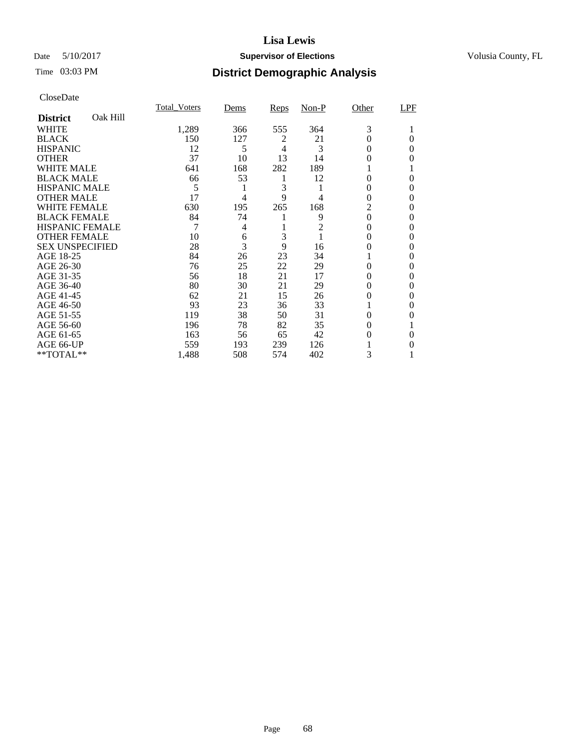## Date 5/10/2017 **Supervisor of Elections Supervisor of Elections** Volusia County, FL

## Time 03:03 PM **District Demographic Analysis**

|                        |          | <b>Total Voters</b> | Dems | Reps           | $Non-P$        | Other    | LPF      |
|------------------------|----------|---------------------|------|----------------|----------------|----------|----------|
| <b>District</b>        | Oak Hill |                     |      |                |                |          |          |
| WHITE                  |          | 1,289               | 366  | 555            | 364            | 3        |          |
| <b>BLACK</b>           |          | 150                 | 127  | 2              | 21             | 0        | 0        |
| <b>HISPANIC</b>        |          | 12                  | 5    | $\overline{4}$ | 3              | 0        | 0        |
| <b>OTHER</b>           |          | 37                  | 10   | 13             | 14             | 0        | 0        |
| WHITE MALE             |          | 641                 | 168  | 282            | 189            |          |          |
| <b>BLACK MALE</b>      |          | 66                  | 53   | 1              | 12             | 0        | $\Omega$ |
| <b>HISPANIC MALE</b>   |          | 5                   | 1    | 3              | 1              | 0        | 0        |
| <b>OTHER MALE</b>      |          | 17                  | 4    | 9              | 4              | 0        | 0        |
| <b>WHITE FEMALE</b>    |          | 630                 | 195  | 265            | 168            | 2        | 0        |
| <b>BLACK FEMALE</b>    |          | 84                  | 74   |                | 9              | 0        | 0        |
| <b>HISPANIC FEMALE</b> |          | 7                   | 4    |                | $\overline{2}$ | 0        | 0        |
| <b>OTHER FEMALE</b>    |          | 10                  | 6    | 3              | 1              | 0        | 0        |
| <b>SEX UNSPECIFIED</b> |          | 28                  | 3    | 9              | 16             | 0        | 0        |
| AGE 18-25              |          | 84                  | 26   | 23             | 34             |          | 0        |
| AGE 26-30              |          | 76                  | 25   | 22             | 29             | 0        | 0        |
| AGE 31-35              |          | 56                  | 18   | 21             | 17             | 0        | $\theta$ |
| AGE 36-40              |          | 80                  | 30   | 21             | 29             | 0        | 0        |
| AGE 41-45              |          | 62                  | 21   | 15             | 26             | 0        | 0        |
| AGE 46-50              |          | 93                  | 23   | 36             | 33             |          | $\Omega$ |
| AGE 51-55              |          | 119                 | 38   | 50             | 31             | 0        | 0        |
| AGE 56-60              |          | 196                 | 78   | 82             | 35             | 0        |          |
| AGE 61-65              |          | 163                 | 56   | 65             | 42             | $\theta$ | $\Omega$ |
| AGE 66-UP              |          | 559                 | 193  | 239            | 126            |          | 0        |
| $*$ TOTAL $**$         |          | 1,488               | 508  | 574            | 402            | 3        | 1        |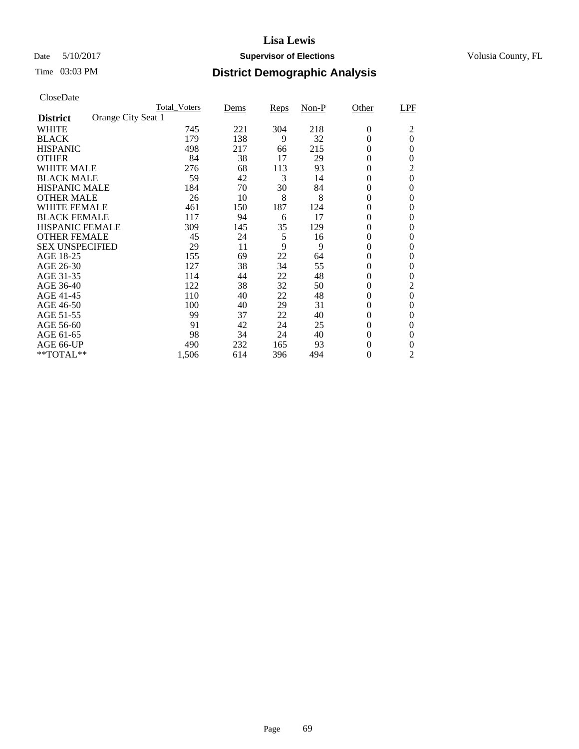## Date 5/10/2017 **Supervisor of Elections Supervisor of Elections** Volusia County, FL

# Time 03:03 PM **District Demographic Analysis**

| Cioscizate             |                    |              |      |      |       |                |                |
|------------------------|--------------------|--------------|------|------|-------|----------------|----------------|
|                        |                    | Total Voters | Dems | Reps | Non-P | Other          | LPF            |
| <b>District</b>        | Orange City Seat 1 |              |      |      |       |                |                |
| WHITE                  |                    | 745          | 221  | 304  | 218   | $\theta$       | $\overline{c}$ |
| <b>BLACK</b>           |                    | 179          | 138  | 9    | 32    | $\theta$       | $\overline{0}$ |
| <b>HISPANIC</b>        |                    | 498          | 217  | 66   | 215   | 0              | $\theta$       |
| <b>OTHER</b>           |                    | 84           | 38   | 17   | 29    | $\theta$       | $\theta$       |
| WHITE MALE             |                    | 276          | 68   | 113  | 93    | $\theta$       | 2              |
| <b>BLACK MALE</b>      |                    | 59           | 42   | 3    | 14    | $\Omega$       | $\theta$       |
| <b>HISPANIC MALE</b>   |                    | 184          | 70   | 30   | 84    | $\theta$       | $\Omega$       |
| <b>OTHER MALE</b>      |                    | 26           | 10   | 8    | 8     | $\theta$       | 0              |
| <b>WHITE FEMALE</b>    |                    | 461          | 150  | 187  | 124   | $\theta$       | $\theta$       |
| <b>BLACK FEMALE</b>    |                    | 117          | 94   | 6    | 17    | $\theta$       | 0              |
| <b>HISPANIC FEMALE</b> |                    | 309          | 145  | 35   | 129   | $\Omega$       | 0              |
| <b>OTHER FEMALE</b>    |                    | 45           | 24   | 5    | 16    | $\theta$       | $\theta$       |
| <b>SEX UNSPECIFIED</b> |                    | 29           | 11   | 9    | 9     | $\theta$       | 0              |
| AGE 18-25              |                    | 155          | 69   | 22   | 64    | $\theta$       | $\Omega$       |
| AGE 26-30              |                    | 127          | 38   | 34   | 55    | $\Omega$       | 0              |
| AGE 31-35              |                    | 114          | 44   | 22   | 48    | $\Omega$       | $\theta$       |
| AGE 36-40              |                    | 122          | 38   | 32   | 50    | $\theta$       | 2              |
| AGE 41-45              |                    | 110          | 40   | 22   | 48    | $\theta$       | $\overline{0}$ |
| AGE 46-50              |                    | 100          | 40   | 29   | 31    | $\theta$       | $\theta$       |
| AGE 51-55              |                    | 99           | 37   | 22   | 40    | $\theta$       | $\theta$       |
| AGE 56-60              |                    | 91           | 42   | 24   | 25    | $\overline{0}$ | $\Omega$       |
| AGE 61-65              |                    | 98           | 34   | 24   | 40    | $\Omega$       | $\Omega$       |
| AGE 66-UP              |                    | 490          | 232  | 165  | 93    | 0              | 0              |
| $*$ TOTAL $**$         |                    | 1,506        | 614  | 396  | 494   | $\overline{0}$ | $\overline{2}$ |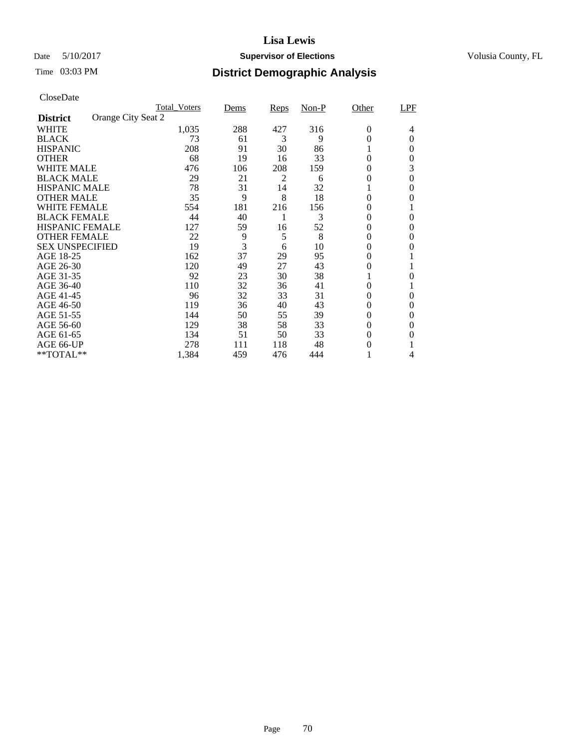## Date 5/10/2017 **Supervisor of Elections Supervisor of Elections** Volusia County, FL

|                        | <b>Total Voters</b> | Dems | Reps           | $Non-P$ | Other          | LPF      |
|------------------------|---------------------|------|----------------|---------|----------------|----------|
| <b>District</b>        | Orange City Seat 2  |      |                |         |                |          |
| <b>WHITE</b>           | 1,035               | 288  | 427            | 316     | $\theta$       | 4        |
| <b>BLACK</b>           | 73                  | 61   | 3              | 9       | $\theta$       | $\Omega$ |
| <b>HISPANIC</b>        | 208                 | 91   | 30             | 86      |                | 0        |
| <b>OTHER</b>           | 68                  | 19   | 16             | 33      | $\theta$       | $\theta$ |
| <b>WHITE MALE</b>      | 476                 | 106  | 208            | 159     | 0              | 3        |
| <b>BLACK MALE</b>      | 29                  | 21   | $\overline{c}$ | 6       | 0              | $\theta$ |
| <b>HISPANIC MALE</b>   | 78                  | 31   | 14             | 32      |                | 0        |
| <b>OTHER MALE</b>      | 35                  | 9    | 8              | 18      | $\overline{0}$ | 0        |
| <b>WHITE FEMALE</b>    | 554                 | 181  | 216            | 156     | 0              |          |
| <b>BLACK FEMALE</b>    | 44                  | 40   |                | 3       | $\overline{0}$ | $\theta$ |
| <b>HISPANIC FEMALE</b> | 127                 | 59   | 16             | 52      | 0              | 0        |
| <b>OTHER FEMALE</b>    | 22                  | 9    | 5              | 8       | 0              | 0        |
| <b>SEX UNSPECIFIED</b> | 19                  | 3    | 6              | 10      | 0              | 0        |
| AGE 18-25              | 162                 | 37   | 29             | 95      | 0              |          |
| AGE 26-30              | 120                 | 49   | 27             | 43      | 0              |          |
| AGE 31-35              | 92                  | 23   | 30             | 38      |                | 0        |
| AGE 36-40              | 110                 | 32   | 36             | 41      | $\overline{0}$ |          |
| AGE 41-45              | 96                  | 32   | 33             | 31      | 0              | $\theta$ |
| AGE 46-50              | 119                 | 36   | 40             | 43      | 0              | 0        |
| AGE 51-55              | 144                 | 50   | 55             | 39      | 0              | $\theta$ |
| AGE 56-60              | 129                 | 38   | 58             | 33      | 0              | 0        |
| AGE 61-65              | 134                 | 51   | 50             | 33      | 0              | 0        |
| AGE 66-UP              | 278                 | 111  | 118            | 48      | 0              |          |
| $*$ TOTAL $**$         | 1,384               | 459  | 476            | 444     |                | 4        |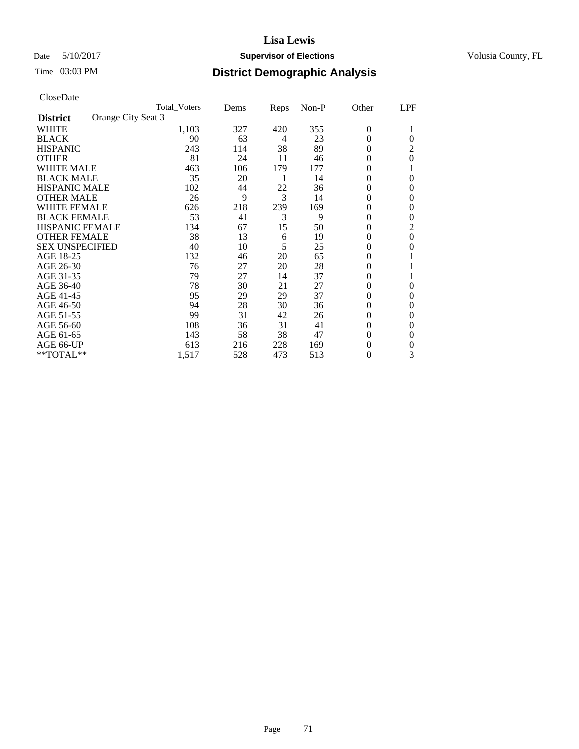## Date 5/10/2017 **Supervisor of Elections Supervisor of Elections** Volusia County, FL

|                                       | <b>Total Voters</b> | Dems | Reps | $Non-P$ | Other            | LPF            |
|---------------------------------------|---------------------|------|------|---------|------------------|----------------|
| Orange City Seat 3<br><b>District</b> |                     |      |      |         |                  |                |
| <b>WHITE</b>                          | 1,103               | 327  | 420  | 355     | $\boldsymbol{0}$ | 1              |
| <b>BLACK</b>                          | 90                  | 63   | 4    | 23      | $\theta$         | $\theta$       |
| <b>HISPANIC</b>                       | 243                 | 114  | 38   | 89      | $\overline{0}$   | 2              |
| <b>OTHER</b>                          | 81                  | 24   | 11   | 46      | $\theta$         | $\theta$       |
| <b>WHITE MALE</b>                     | 463                 | 106  | 179  | 177     | $\overline{0}$   |                |
| <b>BLACK MALE</b>                     | 35                  | 20   | 1    | 14      | $\theta$         | $\Omega$       |
| <b>HISPANIC MALE</b>                  | 102                 | 44   | 22   | 36      | $\theta$         | $\Omega$       |
| <b>OTHER MALE</b>                     | 26                  | 9    | 3    | 14      | 0                | $\theta$       |
| <b>WHITE FEMALE</b>                   | 626                 | 218  | 239  | 169     | 0                | 0              |
| <b>BLACK FEMALE</b>                   | 53                  | 41   | 3    | 9       | $\boldsymbol{0}$ | 0              |
| <b>HISPANIC FEMALE</b>                | 134                 | 67   | 15   | 50      | $\theta$         | $\overline{2}$ |
| <b>OTHER FEMALE</b>                   | 38                  | 13   | 6    | 19      | $\overline{0}$   | 0              |
| <b>SEX UNSPECIFIED</b>                | 40                  | 10   | 5    | 25      | 0                | $\theta$       |
| AGE 18-25                             | 132                 | 46   | 20   | 65      | $\overline{0}$   |                |
| AGE 26-30                             | 76                  | 27   | 20   | 28      | $\boldsymbol{0}$ |                |
| AGE 31-35                             | 79                  | 27   | 14   | 37      | 0                |                |
| AGE 36-40                             | 78                  | 30   | 21   | 27      | 0                | 0              |
| AGE 41-45                             | 95                  | 29   | 29   | 37      | $\theta$         | $\theta$       |
| AGE 46-50                             | 94                  | 28   | 30   | 36      | $\boldsymbol{0}$ | $\Omega$       |
| AGE 51-55                             | 99                  | 31   | 42   | 26      | $\theta$         | 0              |
| AGE 56-60                             | 108                 | 36   | 31   | 41      | $\theta$         | $\Omega$       |
| AGE 61-65                             | 143                 | 58   | 38   | 47      | $\boldsymbol{0}$ | $\theta$       |
| AGE 66-UP                             | 613                 | 216  | 228  | 169     | $\boldsymbol{0}$ | 0              |
| **TOTAL**                             | 1,517               | 528  | 473  | 513     | $\boldsymbol{0}$ | 3              |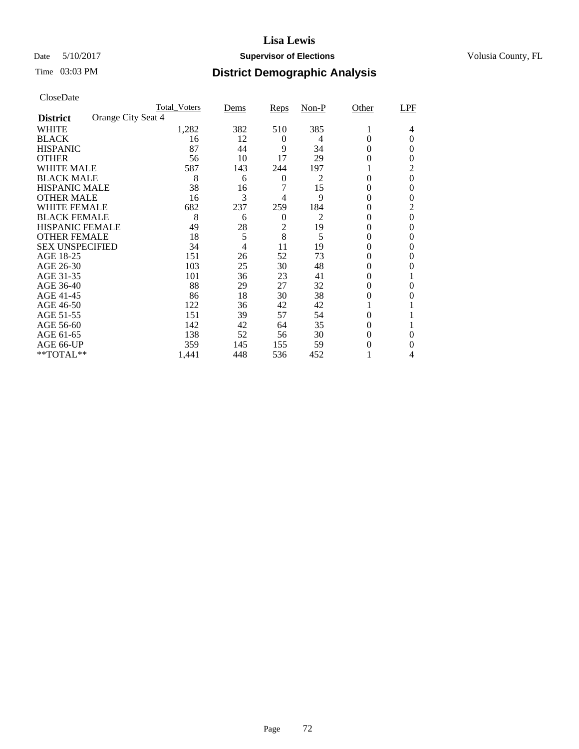## Date 5/10/2017 **Supervisor of Elections Supervisor of Elections** Volusia County, FL

| CloseDate |
|-----------|
|-----------|

|                                       | <b>Total Voters</b> | Dems | <b>Reps</b>      | Non-P          | Other          | LPF            |
|---------------------------------------|---------------------|------|------------------|----------------|----------------|----------------|
| Orange City Seat 4<br><b>District</b> |                     |      |                  |                |                |                |
| <b>WHITE</b>                          | 1,282               | 382  | 510              | 385            | 1              | 4              |
| <b>BLACK</b>                          | 16                  | 12   | 0                | 4              | 0              | $\theta$       |
| <b>HISPANIC</b>                       | 87                  | 44   | 9                | 34             | $\theta$       | $\theta$       |
| <b>OTHER</b>                          | 56                  | 10   | 17               | 29             | $\theta$       | $\theta$       |
| <b>WHITE MALE</b>                     | 587                 | 143  | 244              | 197            |                | 2              |
| <b>BLACK MALE</b>                     | 8                   | 6    | $\boldsymbol{0}$ | 2              | $\theta$       | $\theta$       |
| <b>HISPANIC MALE</b>                  | 38                  | 16   | 7                | 15             | 0              | 0              |
| <b>OTHER MALE</b>                     | 16                  | 3    | 4                | 9              | 0              | 0              |
| <b>WHITE FEMALE</b>                   | 682                 | 237  | 259              | 184            | 0              | 2              |
| <b>BLACK FEMALE</b>                   | 8                   | 6    | $\theta$         | $\overline{2}$ | 0              | $\overline{0}$ |
| <b>HISPANIC FEMALE</b>                | 49                  | 28   | $\overline{c}$   | 19             | 0              | 0              |
| <b>OTHER FEMALE</b>                   | 18                  | 5    | 8                | 5              | 0              | $\theta$       |
| <b>SEX UNSPECIFIED</b>                | 34                  | 4    | 11               | 19             | 0              | 0              |
| AGE 18-25                             | 151                 | 26   | 52               | 73             | 0              | 0              |
| AGE 26-30                             | 103                 | 25   | 30               | 48             | 0              | 0              |
| AGE 31-35                             | 101                 | 36   | 23               | 41             | 0              |                |
| AGE 36-40                             | 88                  | 29   | 27               | 32             | $\overline{0}$ | 0              |
| AGE 41-45                             | 86                  | 18   | 30               | 38             | $\theta$       | $\Omega$       |
| AGE 46-50                             | 122                 | 36   | 42               | 42             |                |                |
| AGE 51-55                             | 151                 | 39   | 57               | 54             | 0              |                |
| AGE 56-60                             | 142                 | 42   | 64               | 35             | 0              |                |
| AGE 61-65                             | 138                 | 52   | 56               | 30             | $\theta$       | 0              |
| AGE 66-UP                             | 359                 | 145  | 155              | 59             | $\theta$       | 0              |
| $**TOTAL**$                           | 1,441               | 448  | 536              | 452            |                | 4              |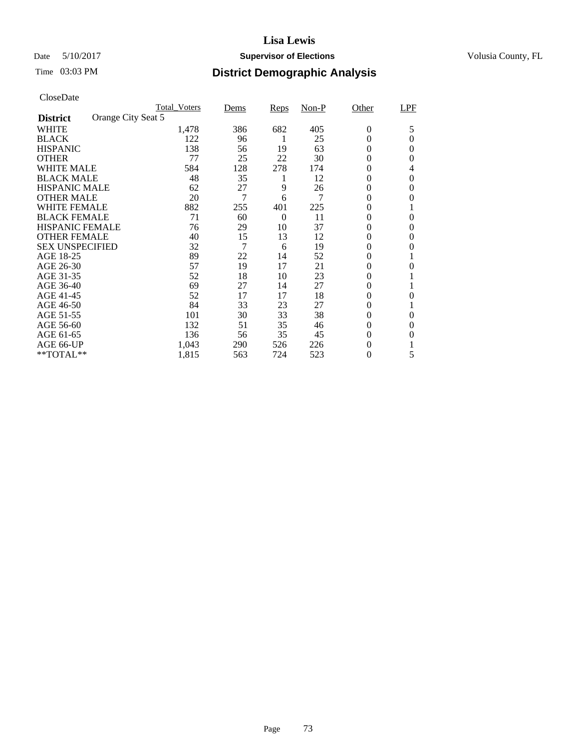### Date 5/10/2017 **Supervisor of Elections Supervisor of Elections** Volusia County, FL

| CloseDate |
|-----------|
|-----------|

|                        | <b>Total Voters</b> | Dems | Reps     | $Non-P$ | Other            | LPF      |
|------------------------|---------------------|------|----------|---------|------------------|----------|
| <b>District</b>        | Orange City Seat 5  |      |          |         |                  |          |
| <b>WHITE</b>           | 1,478               | 386  | 682      | 405     | $\theta$         | 5        |
| <b>BLACK</b>           | 122                 | 96   |          | 25      | 0                | 0        |
| <b>HISPANIC</b>        | 138                 | 56   | 19       | 63      | $\overline{0}$   | $\theta$ |
| <b>OTHER</b>           | 77                  | 25   | 22       | 30      | $\overline{0}$   | $\Omega$ |
| <b>WHITE MALE</b>      | 584                 | 128  | 278      | 174     | 0                | 4        |
| <b>BLACK MALE</b>      | 48                  | 35   | 1        | 12      | 0                | $\theta$ |
| <b>HISPANIC MALE</b>   | 62                  | 27   | 9        | 26      | 0                | $\theta$ |
| <b>OTHER MALE</b>      | 20                  | 7    | 6        | 7       | 0                | 0        |
| <b>WHITE FEMALE</b>    | 882                 | 255  | 401      | 225     | $\overline{0}$   |          |
| <b>BLACK FEMALE</b>    | 71                  | 60   | $\Omega$ | 11      | $\overline{0}$   | $\theta$ |
| <b>HISPANIC FEMALE</b> | 76                  | 29   | 10       | 37      | $\overline{0}$   | 0        |
| <b>OTHER FEMALE</b>    | 40                  | 15   | 13       | 12      | 0                | $\theta$ |
| <b>SEX UNSPECIFIED</b> | 32                  | 7    | 6        | 19      | 0                | $\theta$ |
| AGE 18-25              | 89                  | 22   | 14       | 52      | 0                |          |
| AGE 26-30              | 57                  | 19   | 17       | 21      | $\boldsymbol{0}$ | $\theta$ |
| AGE 31-35              | 52                  | 18   | 10       | 23      | $\overline{0}$   |          |
| AGE 36-40              | 69                  | 27   | 14       | 27      | $\overline{0}$   |          |
| AGE 41-45              | 52                  | 17   | 17       | 18      | $\overline{0}$   | 0        |
| AGE 46-50              | 84                  | 33   | 23       | 27      | 0                |          |
| AGE 51-55              | 101                 | 30   | 33       | 38      | 0                | 0        |
| AGE 56-60              | 132                 | 51   | 35       | 46      | 0                | 0        |
| AGE 61-65              | 136                 | 56   | 35       | 45      | 0                | 0        |
| AGE 66-UP              | 1,043               | 290  | 526      | 226     | 0                |          |
| **TOTAL**              | 1,815               | 563  | 724      | 523     | $\overline{0}$   | 5        |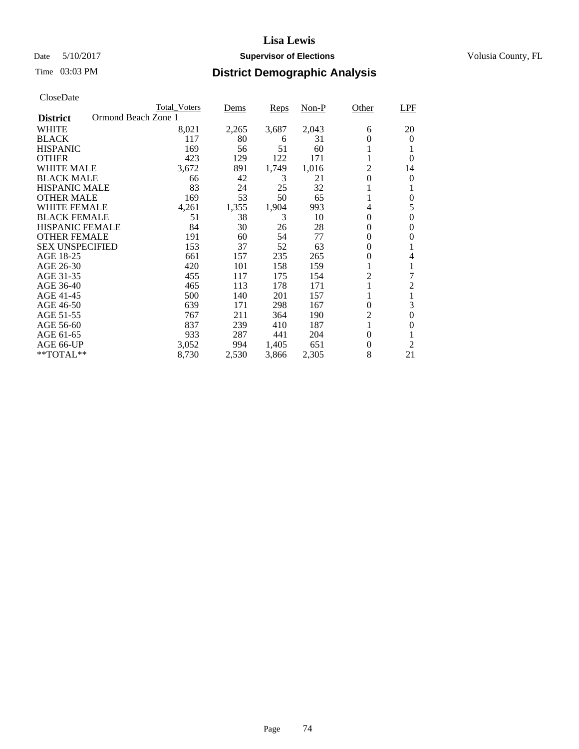### Date 5/10/2017 **Supervisor of Elections Supervisor of Elections** Volusia County, FL

# Time 03:03 PM **District Demographic Analysis**

|                        | <b>Total Voters</b> | Dems  | Reps  | Non-P | Other            | <b>LPF</b>     |
|------------------------|---------------------|-------|-------|-------|------------------|----------------|
| <b>District</b>        | Ormond Beach Zone 1 |       |       |       |                  |                |
| WHITE                  | 8,021               | 2,265 | 3,687 | 2,043 | 6                | 20             |
| <b>BLACK</b>           | 117                 | 80    | 6     | 31    | 0                | $\Omega$       |
| <b>HISPANIC</b>        | 169                 | 56    | 51    | 60    |                  |                |
| <b>OTHER</b>           | 423                 | 129   | 122   | 171   |                  | $\Omega$       |
| WHITE MALE             | 3,672               | 891   | 1,749 | 1,016 | 2                | 14             |
| <b>BLACK MALE</b>      | 66                  | 42    | 3     | 21    | 0                | $\theta$       |
| <b>HISPANIC MALE</b>   | 83                  | 24    | 25    | 32    |                  |                |
| <b>OTHER MALE</b>      | 169                 | 53    | 50    | 65    |                  | $\theta$       |
| WHITE FEMALE           | 4,261               | 1,355 | 1,904 | 993   | 4                | 5              |
| <b>BLACK FEMALE</b>    | 51                  | 38    | 3     | 10    | $\theta$         | $\Omega$       |
| <b>HISPANIC FEMALE</b> | 84                  | 30    | 26    | 28    | 0                | 0              |
| <b>OTHER FEMALE</b>    | 191                 | 60    | 54    | 77    | 0                | 0              |
| <b>SEX UNSPECIFIED</b> | 153                 | 37    | 52    | 63    | 0                |                |
| AGE 18-25              | 661                 | 157   | 235   | 265   | 0                | 4              |
| AGE 26-30              | 420                 | 101   | 158   | 159   |                  | 1              |
| AGE 31-35              | 455                 | 117   | 175   | 154   | $\overline{c}$   | 7              |
| AGE 36-40              | 465                 | 113   | 178   | 171   |                  | $\overline{2}$ |
| AGE 41-45              | 500                 | 140   | 201   | 157   |                  | 1              |
| AGE 46-50              | 639                 | 171   | 298   | 167   | $\theta$         | 3              |
| AGE 51-55              | 767                 | 211   | 364   | 190   | $\overline{c}$   | $\theta$       |
| AGE 56-60              | 837                 | 239   | 410   | 187   | 1                | $\Omega$       |
| AGE 61-65              | 933                 | 287   | 441   | 204   | $\Omega$         |                |
| AGE 66-UP              | 3,052               | 994   | 1,405 | 651   | $\boldsymbol{0}$ | $\overline{2}$ |
| **TOTAL**              | 8,730               | 2,530 | 3,866 | 2,305 | 8                | 21             |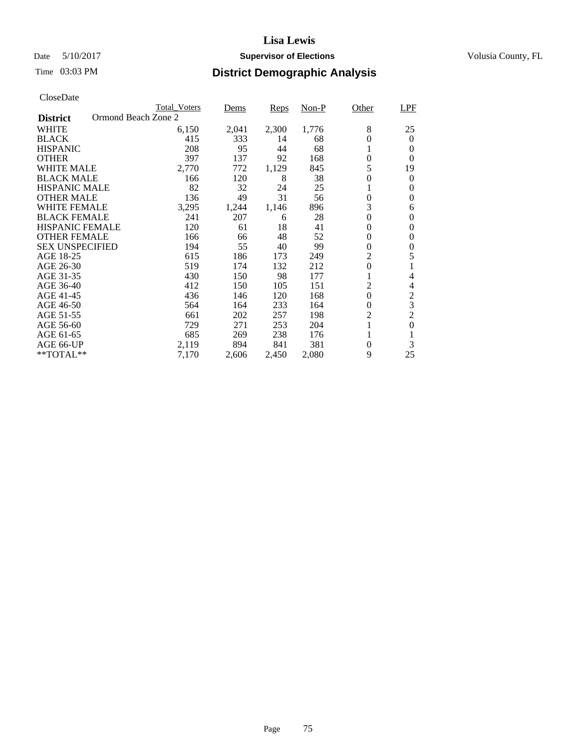### Date 5/10/2017 **Supervisor of Elections Supervisor of Elections** Volusia County, FL

|                                        | <b>Total_Voters</b> | Dems  | Reps  | Non-P | Other            | LPF              |
|----------------------------------------|---------------------|-------|-------|-------|------------------|------------------|
| Ormond Beach Zone 2<br><b>District</b> |                     |       |       |       |                  |                  |
| <b>WHITE</b>                           | 6,150               | 2,041 | 2,300 | 1,776 | 8                | 25               |
| <b>BLACK</b>                           | 415                 | 333   | 14    | 68    | $\theta$         | $\theta$         |
| <b>HISPANIC</b>                        | 208                 | 95    | 44    | 68    | 1                | 0                |
| <b>OTHER</b>                           | 397                 | 137   | 92    | 168   | $\overline{0}$   | $\Omega$         |
| <b>WHITE MALE</b>                      | 2,770               | 772   | 1,129 | 845   | 5                | 19               |
| <b>BLACK MALE</b>                      | 166                 | 120   | 8     | 38    | 0                | $\boldsymbol{0}$ |
| HISPANIC MALE                          | 82                  | 32    | 24    | 25    |                  | 0                |
| <b>OTHER MALE</b>                      | 136                 | 49    | 31    | 56    | $\boldsymbol{0}$ | 0                |
| WHITE FEMALE                           | 3,295               | 1,244 | 1,146 | 896   | 3                | 6                |
| <b>BLACK FEMALE</b>                    | 241                 | 207   | 6     | 28    | $\overline{0}$   | $\theta$         |
| <b>HISPANIC FEMALE</b>                 | 120                 | 61    | 18    | 41    | $\overline{0}$   | 0                |
| <b>OTHER FEMALE</b>                    | 166                 | 66    | 48    | 52    | 0                | 0                |
| <b>SEX UNSPECIFIED</b>                 | 194                 | 55    | 40    | 99    | $\overline{0}$   | 0                |
| AGE 18-25                              | 615                 | 186   | 173   | 249   | $\overline{c}$   | 5                |
| AGE 26-30                              | 519                 | 174   | 132   | 212   | $\overline{0}$   |                  |
| AGE 31-35                              | 430                 | 150   | 98    | 177   |                  | 4                |
| AGE 36-40                              | 412                 | 150   | 105   | 151   | 2                | 4                |
| AGE 41-45                              | 436                 | 146   | 120   | 168   | 0                | $\overline{c}$   |
| AGE 46-50                              | 564                 | 164   | 233   | 164   | 0                | 3                |
| AGE 51-55                              | 661                 | 202   | 257   | 198   | $\overline{c}$   | $\overline{c}$   |
| AGE 56-60                              | 729                 | 271   | 253   | 204   | 1                | $\theta$         |
| AGE 61-65                              | 685                 | 269   | 238   | 176   |                  |                  |
| AGE 66-UP                              | 2,119               | 894   | 841   | 381   | $\boldsymbol{0}$ | 3                |
| **TOTAL**                              | 7,170               | 2,606 | 2,450 | 2,080 | 9                | 25               |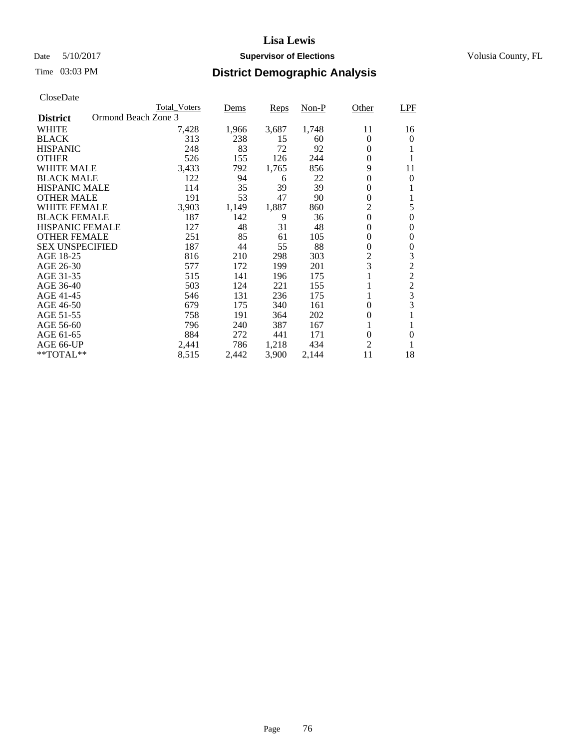### Date 5/10/2017 **Supervisor of Elections Supervisor of Elections** Volusia County, FL

| CloseDate |
|-----------|
|-----------|

|                        |                     | <b>Total Voters</b> | Dems  | Reps  | $Non-P$ | Other            | <b>LPF</b>       |
|------------------------|---------------------|---------------------|-------|-------|---------|------------------|------------------|
| <b>District</b>        | Ormond Beach Zone 3 |                     |       |       |         |                  |                  |
| <b>WHITE</b>           |                     | 7,428               | 1,966 | 3,687 | 1,748   | 11               | 16               |
| <b>BLACK</b>           |                     | 313                 | 238   | 15    | 60      | $\Omega$         | $\Omega$         |
| <b>HISPANIC</b>        |                     | 248                 | 83    | 72    | 92      | $\theta$         | 1                |
| <b>OTHER</b>           |                     | 526                 | 155   | 126   | 244     | $\overline{0}$   | 1                |
| <b>WHITE MALE</b>      |                     | 3,433               | 792   | 1,765 | 856     | 9                | 11               |
| <b>BLACK MALE</b>      |                     | 122                 | 94    | 6     | 22      | 0                | $\Omega$         |
| <b>HISPANIC MALE</b>   |                     | 114                 | 35    | 39    | 39      | 0                |                  |
| <b>OTHER MALE</b>      |                     | 191                 | 53    | 47    | 90      | $\boldsymbol{0}$ | 1                |
| <b>WHITE FEMALE</b>    |                     | 3,903               | 1,149 | 1,887 | 860     | $\overline{2}$   | 5                |
| <b>BLACK FEMALE</b>    |                     | 187                 | 142   | 9     | 36      | $\boldsymbol{0}$ | $\mathbf{0}$     |
| <b>HISPANIC FEMALE</b> |                     | 127                 | 48    | 31    | 48      | 0                | $\Omega$         |
| <b>OTHER FEMALE</b>    |                     | 251                 | 85    | 61    | 105     | 0                | $\theta$         |
| <b>SEX UNSPECIFIED</b> |                     | 187                 | 44    | 55    | 88      | 0                | $\boldsymbol{0}$ |
| AGE 18-25              |                     | 816                 | 210   | 298   | 303     | 2                | 3                |
| AGE 26-30              |                     | 577                 | 172   | 199   | 201     | 3                | $\overline{c}$   |
| AGE 31-35              |                     | 515                 | 141   | 196   | 175     |                  | $\overline{c}$   |
| AGE 36-40              |                     | 503                 | 124   | 221   | 155     |                  | $\overline{c}$   |
| AGE 41-45              |                     | 546                 | 131   | 236   | 175     | 1                | $\frac{3}{3}$    |
| AGE 46-50              |                     | 679                 | 175   | 340   | 161     | $\theta$         |                  |
| AGE 51-55              |                     | 758                 | 191   | 364   | 202     | 0                | 1                |
| AGE 56-60              |                     | 796                 | 240   | 387   | 167     | 1                | 1                |
| AGE 61-65              |                     | 884                 | 272   | 441   | 171     | 0                | $\theta$         |
| AGE 66-UP              |                     | 2,441               | 786   | 1,218 | 434     | $\overline{2}$   |                  |
| $*$ TOTAL $**$         |                     | 8,515               | 2,442 | 3,900 | 2,144   | 11               | 18               |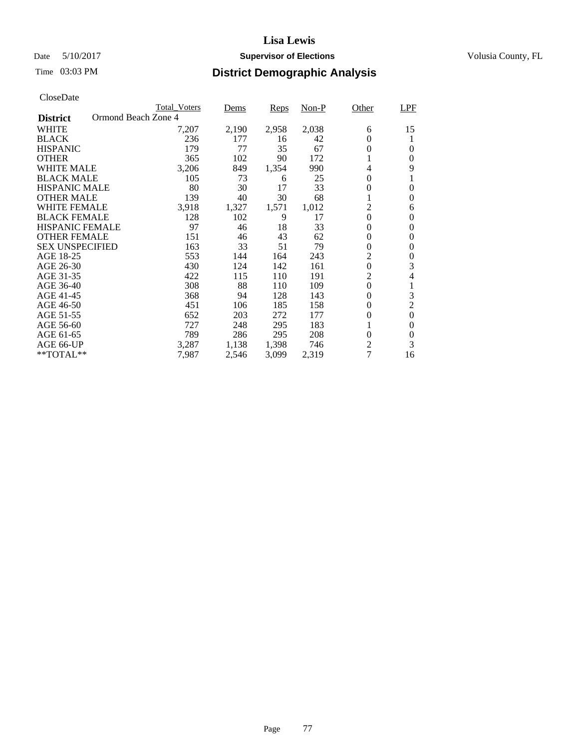### Date 5/10/2017 **Supervisor of Elections Supervisor of Elections** Volusia County, FL

|                                        | <b>Total Voters</b> | Dems  | Reps  | Non-P | Other            | LPF              |
|----------------------------------------|---------------------|-------|-------|-------|------------------|------------------|
| Ormond Beach Zone 4<br><b>District</b> |                     |       |       |       |                  |                  |
| <b>WHITE</b>                           | 7,207               | 2,190 | 2,958 | 2,038 | 6                | 15               |
| <b>BLACK</b>                           | 236                 | 177   | 16    | 42    | 0                | 1                |
| <b>HISPANIC</b>                        | 179                 | 77    | 35    | 67    | 0                | $\Omega$         |
| <b>OTHER</b>                           | 365                 | 102   | 90    | 172   | 1                | $\Omega$         |
| <b>WHITE MALE</b>                      | 3,206               | 849   | 1,354 | 990   | 4                | 9                |
| <b>BLACK MALE</b>                      | 105                 | 73    | 6     | 25    | 0                | 1                |
| HISPANIC MALE                          | 80                  | 30    | 17    | 33    | 0                | $\Omega$         |
| <b>OTHER MALE</b>                      | 139                 | 40    | 30    | 68    |                  | $\Omega$         |
| <b>WHITE FEMALE</b>                    | 3,918               | 1,327 | 1,571 | 1,012 | $\overline{c}$   | 6                |
| <b>BLACK FEMALE</b>                    | 128                 | 102   | 9     | 17    | $\overline{0}$   | $\Omega$         |
| <b>HISPANIC FEMALE</b>                 | 97                  | 46    | 18    | 33    | 0                | $\theta$         |
| <b>OTHER FEMALE</b>                    | 151                 | 46    | 43    | 62    | 0                | 0                |
| <b>SEX UNSPECIFIED</b>                 | 163                 | 33    | 51    | 79    | 0                | $\theta$         |
| AGE 18-25                              | 553                 | 144   | 164   | 243   | 2                | $\theta$         |
| AGE 26-30                              | 430                 | 124   | 142   | 161   | $\boldsymbol{0}$ | 3                |
| AGE 31-35                              | 422                 | 115   | 110   | 191   | $\overline{2}$   | 4                |
| AGE 36-40                              | 308                 | 88    | 110   | 109   | $\overline{0}$   | 1                |
| AGE 41-45                              | 368                 | 94    | 128   | 143   | 0                | $\mathfrak{Z}$   |
| AGE 46-50                              | 451                 | 106   | 185   | 158   | 0                | $\overline{2}$   |
| AGE 51-55                              | 652                 | 203   | 272   | 177   | 0                | $\boldsymbol{0}$ |
| AGE 56-60                              | 727                 | 248   | 295   | 183   | 1                | $\theta$         |
| AGE 61-65                              | 789                 | 286   | 295   | 208   | $\overline{0}$   | $\theta$         |
| AGE 66-UP                              | 3,287               | 1,138 | 1,398 | 746   | $\overline{2}$   | 3                |
| $**TOTAL**$                            | 7.987               | 2,546 | 3,099 | 2,319 | $\overline{7}$   | 16               |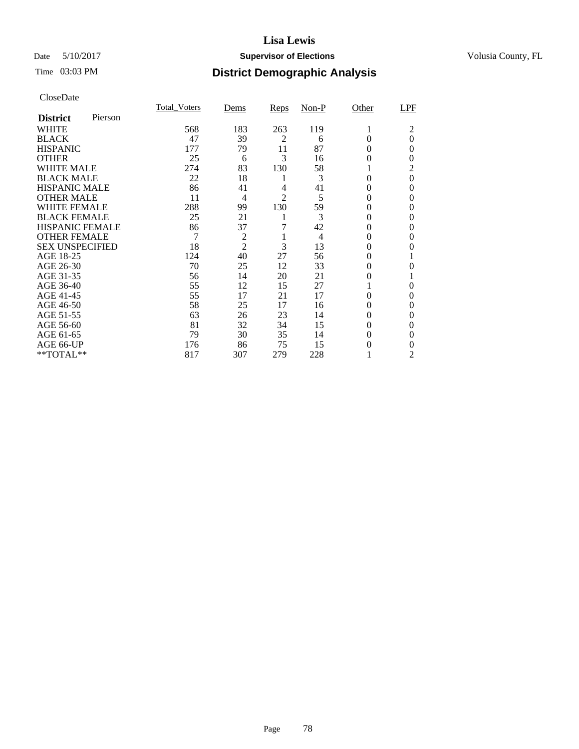### Date 5/10/2017 **Supervisor of Elections Supervisor of Elections** Volusia County, FL

# Time 03:03 PM **District Demographic Analysis**

|                        |         | <b>Total Voters</b> | Dems           | Reps           | $Non-P$        | Other    | LPF      |
|------------------------|---------|---------------------|----------------|----------------|----------------|----------|----------|
| <b>District</b>        | Pierson |                     |                |                |                |          |          |
| WHITE                  |         | 568                 | 183            | 263            | 119            | 1        | 2        |
| <b>BLACK</b>           |         | 47                  | 39             | $\overline{2}$ | 6              | $\theta$ | $\theta$ |
| <b>HISPANIC</b>        |         | 177                 | 79             | 11             | 87             | $\Omega$ | $\Omega$ |
| <b>OTHER</b>           |         | 25                  | 6              | 3              | 16             | 0        | $\Omega$ |
| WHITE MALE             |         | 274                 | 83             | 130            | 58             |          | 2        |
| <b>BLACK MALE</b>      |         | 22                  | 18             | 1              | 3              | 0        | $\theta$ |
| <b>HISPANIC MALE</b>   |         | 86                  | 41             | 4              | 41             | 0        | $\Omega$ |
| <b>OTHER MALE</b>      |         | 11                  | $\overline{4}$ | $\overline{2}$ | 5              | 0        | $\Omega$ |
| WHITE FEMALE           |         | 288                 | 99             | 130            | 59             | 0        | 0        |
| <b>BLACK FEMALE</b>    |         | 25                  | 21             | 1              | 3              | $\theta$ | $\Omega$ |
| <b>HISPANIC FEMALE</b> |         | 86                  | 37             | 7              | 42             | 0        | 0        |
| <b>OTHER FEMALE</b>    |         | 7                   | $\overline{c}$ | 1              | $\overline{4}$ | 0        | 0        |
| <b>SEX UNSPECIFIED</b> |         | 18                  | $\overline{2}$ | 3              | 13             | 0        | 0        |
| AGE 18-25              |         | 124                 | 40             | 27             | 56             | 0        |          |
| AGE 26-30              |         | 70                  | 25             | 12             | 33             | 0        | $\theta$ |
| AGE 31-35              |         | 56                  | 14             | 20             | 21             | 0        |          |
| AGE 36-40              |         | 55                  | 12             | 15             | 27             |          | $\Omega$ |
| AGE 41-45              |         | 55                  | 17             | 21             | 17             | 0        | $\Omega$ |
| AGE 46-50              |         | 58                  | 25             | 17             | 16             | 0        | $\Omega$ |
| AGE 51-55              |         | 63                  | 26             | 23             | 14             | 0        | $\Omega$ |
| AGE 56-60              |         | 81                  | 32             | 34             | 15             | 0        | $\Omega$ |
| AGE 61-65              |         | 79                  | 30             | 35             | 14             | 0        | 0        |
| AGE 66-UP              |         | 176                 | 86             | 75             | 15             | 0        | 0        |
| **TOTAL**              |         | 817                 | 307            | 279            | 228            |          | 2        |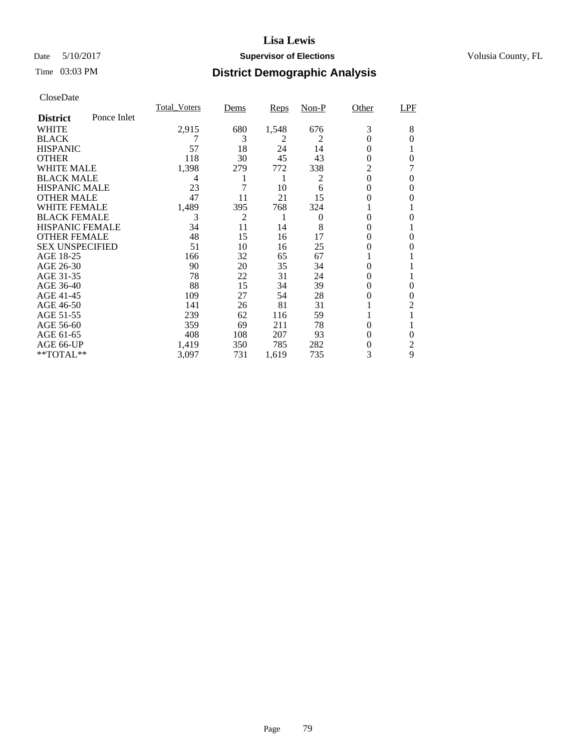### Date 5/10/2017 **Supervisor of Elections Supervisor of Elections** Volusia County, FL

# Time 03:03 PM **District Demographic Analysis**

| <b>Total Voters</b> | Dems           | <u>Reps</u> | $Non-P$ | Other    | <b>LPF</b>     |
|---------------------|----------------|-------------|---------|----------|----------------|
|                     |                |             |         |          |                |
| 2,915               | 680            | 1,548       | 676     | 3        | 8              |
|                     | 3              | 2           | 2       | $\theta$ | 0              |
| 57                  | 18             | 24          | 14      | 0        |                |
| 118                 | 30             | 45          | 43      | 0        | 0              |
| 1,398               | 279            | 772         | 338     | 2        |                |
| 4                   |                | 1           | 2       |          | 0              |
| 23                  | 7              | 10          | 6       | $\theta$ | 0              |
| 47                  | 11             | 21          | 15      | 0        | 0              |
| 1,489               | 395            | 768         | 324     |          |                |
| 3                   | $\overline{c}$ | 1           | 0       | 0        | 0              |
| 34                  | 11             | 14          | 8       | 0        |                |
|                     | 15             | 16          | 17      | 0        | $\theta$       |
| 51                  | 10             | 16          | 25      | 0        | 0              |
| 166                 | 32             | 65          | 67      |          |                |
| 90                  | 20             | 35          | 34      | 0        |                |
| 78                  | 22             | 31          | 24      | $\theta$ |                |
| 88                  | 15             | 34          | 39      | 0        | $\theta$       |
| 109                 | 27             | 54          | 28      | 0        | 0              |
| 141                 | 26             | 81          | 31      |          | $\overline{2}$ |
| 239                 | 62             | 116         | 59      |          |                |
| 359                 | 69             | 211         | 78      | $\theta$ |                |
| 408                 | 108            | 207         | 93      | 0        | $\theta$       |
| 1,419               | 350            | 785         | 282     | 0        | 2              |
| 3,097               | 731            | 1,619       | 735     | 3        | 9              |
|                     | 48             |             |         |          | $\theta$       |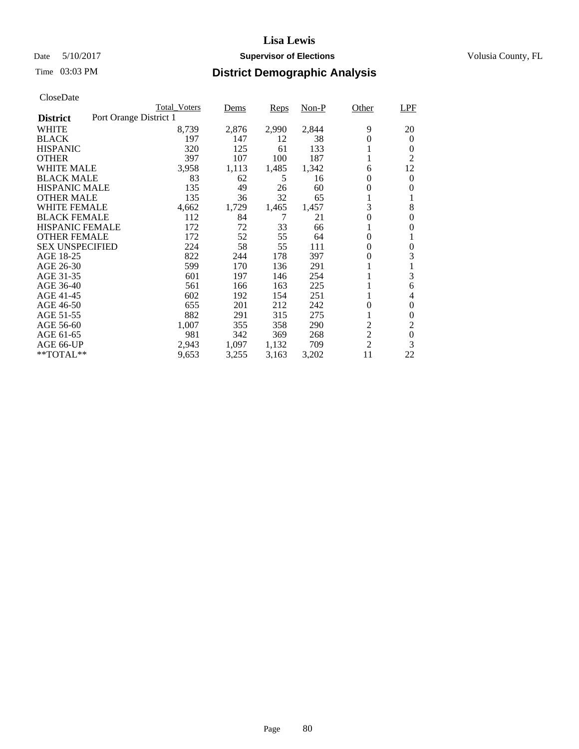### Date 5/10/2017 **Supervisor of Elections Supervisor of Elections** Volusia County, FL

|                        | <b>Total Voters</b>    | Dems  | Reps  | $Non-P$ | Other            | <b>LPF</b>       |
|------------------------|------------------------|-------|-------|---------|------------------|------------------|
| <b>District</b>        | Port Orange District 1 |       |       |         |                  |                  |
| <b>WHITE</b>           | 8,739                  | 2,876 | 2,990 | 2,844   | 9                | 20               |
| <b>BLACK</b>           | 197                    | 147   | 12    | 38      | 0                | $\theta$         |
| <b>HISPANIC</b>        | 320                    | 125   | 61    | 133     |                  | 0                |
| <b>OTHER</b>           | 397                    | 107   | 100   | 187     |                  | $\overline{2}$   |
| WHITE MALE             | 3,958                  | 1,113 | 1,485 | 1,342   | 6                | 12               |
| <b>BLACK MALE</b>      | 83                     | 62    | 5     | 16      | 0                | $\theta$         |
| <b>HISPANIC MALE</b>   | 135                    | 49    | 26    | 60      | $\boldsymbol{0}$ | $\Omega$         |
| <b>OTHER MALE</b>      | 135                    | 36    | 32    | 65      | 1                | 1                |
| <b>WHITE FEMALE</b>    | 4,662                  | 1,729 | 1,465 | 1,457   | 3                | 8                |
| <b>BLACK FEMALE</b>    | 112                    | 84    | 7     | 21      | 0                | $\Omega$         |
| HISPANIC FEMALE        | 172                    | 72    | 33    | 66      |                  | 0                |
| <b>OTHER FEMALE</b>    | 172                    | 52    | 55    | 64      | $\theta$         | 1                |
| <b>SEX UNSPECIFIED</b> | 224                    | 58    | 55    | 111     | $\theta$         | $\Omega$         |
| AGE 18-25              | 822                    | 244   | 178   | 397     | 0                | 3                |
| AGE 26-30              | 599                    | 170   | 136   | 291     | 1                | 1                |
| AGE 31-35              | 601                    | 197   | 146   | 254     |                  | 3                |
| AGE 36-40              | 561                    | 166   | 163   | 225     |                  | 6                |
| AGE 41-45              | 602                    | 192   | 154   | 251     |                  | 4                |
| AGE 46-50              | 655                    | 201   | 212   | 242     | $\theta$         | $\theta$         |
| AGE 51-55              | 882                    | 291   | 315   | 275     |                  | $\theta$         |
| AGE 56-60              | 1,007                  | 355   | 358   | 290     | $\overline{2}$   | 2                |
| AGE 61-65              | 981                    | 342   | 369   | 268     | $\overline{c}$   | $\boldsymbol{0}$ |
| AGE 66-UP              | 2,943                  | 1,097 | 1,132 | 709     | $\overline{2}$   | 3                |
| $*$ TOTAL $**$         | 9,653                  | 3,255 | 3,163 | 3,202   | 11               | 22               |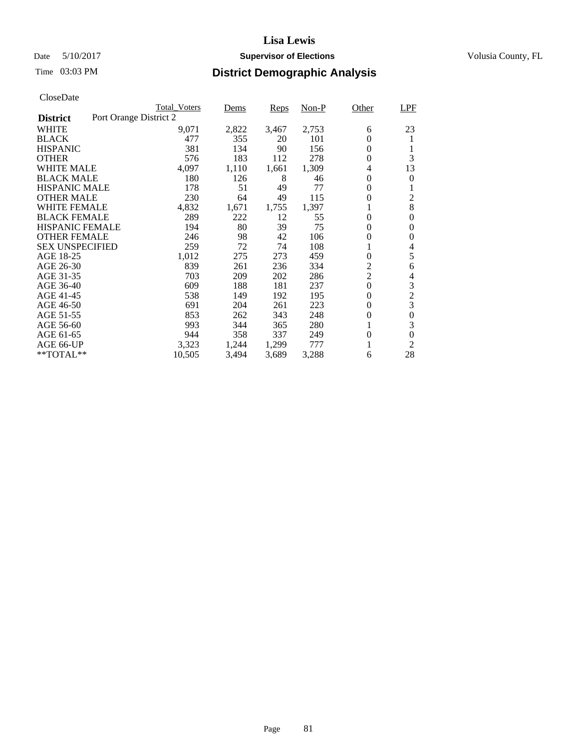### Date 5/10/2017 **Supervisor of Elections Supervisor of Elections** Volusia County, FL

|                        | <b>Total Voters</b>    |       | Dems  | Reps  | $Non-P$ | Other            | <b>LPF</b>       |
|------------------------|------------------------|-------|-------|-------|---------|------------------|------------------|
| <b>District</b>        | Port Orange District 2 |       |       |       |         |                  |                  |
| WHITE                  |                        | 9,071 | 2,822 | 3,467 | 2,753   | 6                | 23               |
| <b>BLACK</b>           |                        | 477   | 355   | 20    | 101     | 0                | 1                |
| <b>HISPANIC</b>        |                        | 381   | 134   | 90    | 156     | 0                | 1                |
| <b>OTHER</b>           |                        | 576   | 183   | 112   | 278     | $\overline{0}$   | 3                |
| <b>WHITE MALE</b>      |                        | 4,097 | 1,110 | 1,661 | 1,309   | 4                | 13               |
| <b>BLACK MALE</b>      |                        | 180   | 126   | 8     | 46      | 0                | 0                |
| <b>HISPANIC MALE</b>   |                        | 178   | 51    | 49    | 77      | 0                | 1                |
| <b>OTHER MALE</b>      |                        | 230   | 64    | 49    | 115     | 0                | $\overline{2}$   |
| <b>WHITE FEMALE</b>    |                        | 4,832 | 1,671 | 1,755 | 1,397   |                  | 8                |
| <b>BLACK FEMALE</b>    |                        | 289   | 222   | 12    | 55      | $\overline{0}$   | $\theta$         |
| <b>HISPANIC FEMALE</b> |                        | 194   | 80    | 39    | 75      | $\overline{0}$   | $\Omega$         |
| <b>OTHER FEMALE</b>    |                        | 246   | 98    | 42    | 106     | $\overline{0}$   | $\Omega$         |
| <b>SEX UNSPECIFIED</b> |                        | 259   | 72    | 74    | 108     | 1                | 4                |
| AGE 18-25              |                        | 1,012 | 275   | 273   | 459     | $\overline{0}$   | 5                |
| AGE 26-30              |                        | 839   | 261   | 236   | 334     | $\overline{c}$   | 6                |
| AGE 31-35              |                        | 703   | 209   | 202   | 286     | $\overline{c}$   | 4                |
| AGE 36-40              |                        | 609   | 188   | 181   | 237     | $\overline{0}$   | 3                |
| AGE 41-45              |                        | 538   | 149   | 192   | 195     | 0                | $\sqrt{2}$       |
| AGE 46-50              |                        | 691   | 204   | 261   | 223     | 0                | $\mathfrak{Z}$   |
| AGE 51-55              |                        | 853   | 262   | 343   | 248     | 0                | $\boldsymbol{0}$ |
| AGE 56-60              |                        | 993   | 344   | 365   | 280     | 1                | 3                |
| AGE 61-65              |                        | 944   | 358   | 337   | 249     | $\boldsymbol{0}$ | $\theta$         |
| AGE 66-UP              |                        | 3,323 | 1,244 | 1,299 | 777     |                  | $\overline{2}$   |
| **TOTAL**              | 10,505                 |       | 3,494 | 3,689 | 3,288   | 6                | 28               |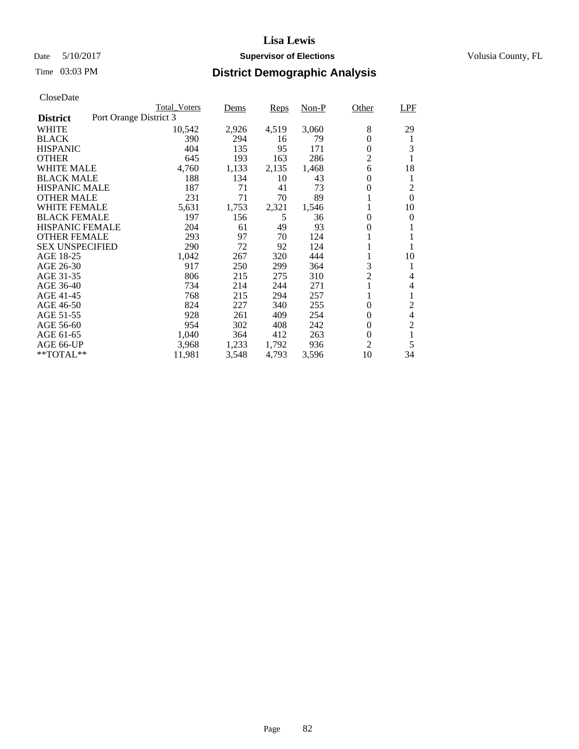### Date 5/10/2017 **Supervisor of Elections Supervisor of Elections** Volusia County, FL

|                                           | <b>Total Voters</b> | Dems  | Reps  | $Non-P$ | Other          | <b>LPF</b>     |
|-------------------------------------------|---------------------|-------|-------|---------|----------------|----------------|
| Port Orange District 3<br><b>District</b> |                     |       |       |         |                |                |
| <b>WHITE</b>                              | 10,542              | 2,926 | 4,519 | 3,060   | 8              | 29             |
| <b>BLACK</b>                              | 390                 | 294   | 16    | 79      | $\overline{0}$ | 1              |
| <b>HISPANIC</b>                           | 404                 | 135   | 95    | 171     | $\overline{0}$ | 3              |
| <b>OTHER</b>                              | 645                 | 193   | 163   | 286     | $\overline{2}$ | 1              |
| <b>WHITE MALE</b>                         | 4,760               | 1,133 | 2,135 | 1,468   | 6              | 18             |
| <b>BLACK MALE</b>                         | 188                 | 134   | 10    | 43      | 0              | 1              |
| <b>HISPANIC MALE</b>                      | 187                 | 71    | 41    | 73      | 0              | $\overline{c}$ |
| <b>OTHER MALE</b>                         | 231                 | 71    | 70    | 89      |                | $\Omega$       |
| <b>WHITE FEMALE</b>                       | 5,631               | 1,753 | 2,321 | 1,546   |                | 10             |
| <b>BLACK FEMALE</b>                       | 197                 | 156   | 5     | 36      | $\theta$       | $\Omega$       |
| <b>HISPANIC FEMALE</b>                    | 204                 | 61    | 49    | 93      | 0              | 1              |
| <b>OTHER FEMALE</b>                       | 293                 | 97    | 70    | 124     |                |                |
| <b>SEX UNSPECIFIED</b>                    | 290                 | 72    | 92    | 124     |                |                |
| AGE 18-25                                 | 1,042               | 267   | 320   | 444     |                | 10             |
| AGE 26-30                                 | 917                 | 250   | 299   | 364     | 3              | 1              |
| AGE 31-35                                 | 806                 | 215   | 275   | 310     | $\overline{c}$ | 4              |
| AGE 36-40                                 | 734                 | 214   | 244   | 271     |                | 4              |
| AGE 41-45                                 | 768                 | 215   | 294   | 257     | 1              | 1              |
| AGE 46-50                                 | 824                 | 227   | 340   | 255     | 0              | $\overline{c}$ |
| AGE 51-55                                 | 928                 | 261   | 409   | 254     | 0              | $\overline{4}$ |
| AGE 56-60                                 | 954                 | 302   | 408   | 242     | $\overline{0}$ | $\overline{2}$ |
| AGE 61-65                                 | 1,040               | 364   | 412   | 263     | $\overline{0}$ | 1              |
| AGE 66-UP                                 | 3,968               | 1,233 | 1,792 | 936     | $\overline{2}$ | 5              |
| **TOTAL**                                 | 11,981              | 3,548 | 4,793 | 3,596   | 10             | 34             |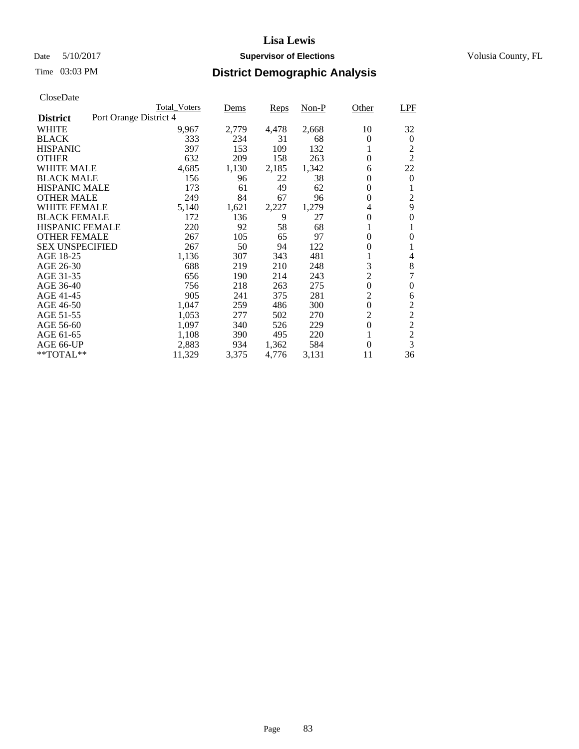### Date 5/10/2017 **Supervisor of Elections Supervisor of Elections** Volusia County, FL

|                                           | <b>Total Voters</b> | Dems  | Reps  | $Non-P$ | Other            | <b>LPF</b>     |
|-------------------------------------------|---------------------|-------|-------|---------|------------------|----------------|
| Port Orange District 4<br><b>District</b> |                     |       |       |         |                  |                |
| <b>WHITE</b>                              | 9,967               | 2,779 | 4,478 | 2,668   | 10               | 32             |
| <b>BLACK</b>                              | 333                 | 234   | 31    | 68      | 0                | $\theta$       |
| HISPANIC                                  | 397                 | 153   | 109   | 132     | 1                | $\overline{c}$ |
| <b>OTHER</b>                              | 632                 | 209   | 158   | 263     | $\overline{0}$   | $\overline{2}$ |
| <b>WHITE MALE</b>                         | 4,685               | 1,130 | 2,185 | 1,342   | 6                | 22             |
| <b>BLACK MALE</b>                         | 156                 | 96    | 22    | 38      | $\boldsymbol{0}$ | $\theta$       |
| <b>HISPANIC MALE</b>                      | 173                 | 61    | 49    | 62      | 0                | 1              |
| <b>OTHER MALE</b>                         | 249                 | 84    | 67    | 96      | 0                | $\overline{2}$ |
| <b>WHITE FEMALE</b>                       | 5,140               | 1,621 | 2,227 | 1,279   | $\overline{4}$   | 9              |
| <b>BLACK FEMALE</b>                       | 172                 | 136   | 9     | 27      | $\overline{0}$   | $\theta$       |
| <b>HISPANIC FEMALE</b>                    | 220                 | 92    | 58    | 68      | 1                | 1              |
| <b>OTHER FEMALE</b>                       | 267                 | 105   | 65    | 97      | $\overline{0}$   | $\Omega$       |
| <b>SEX UNSPECIFIED</b>                    | 267                 | 50    | 94    | 122     | 0                | 1              |
| AGE 18-25                                 | 1,136               | 307   | 343   | 481     | 1                | 4              |
| AGE 26-30                                 | 688                 | 219   | 210   | 248     | 3                | $\,8\,$        |
| AGE 31-35                                 | 656                 | 190   | 214   | 243     | $\overline{2}$   | 7              |
| AGE 36-40                                 | 756                 | 218   | 263   | 275     | $\boldsymbol{0}$ | 0              |
| AGE 41-45                                 | 905                 | 241   | 375   | 281     | $\overline{c}$   | 6              |
| AGE 46-50                                 | 1,047               | 259   | 486   | 300     | $\boldsymbol{0}$ | $\overline{2}$ |
| AGE 51-55                                 | 1,053               | 277   | 502   | 270     | $\overline{2}$   | $\overline{c}$ |
| AGE 56-60                                 | 1,097               | 340   | 526   | 229     | $\boldsymbol{0}$ | $\overline{c}$ |
| AGE 61-65                                 | 1,108               | 390   | 495   | 220     | 1                | $\frac{2}{3}$  |
| AGE 66-UP                                 | 2,883               | 934   | 1,362 | 584     | $\theta$         |                |
| **TOTAL**                                 | 11,329              | 3,375 | 4,776 | 3,131   | 11               | 36             |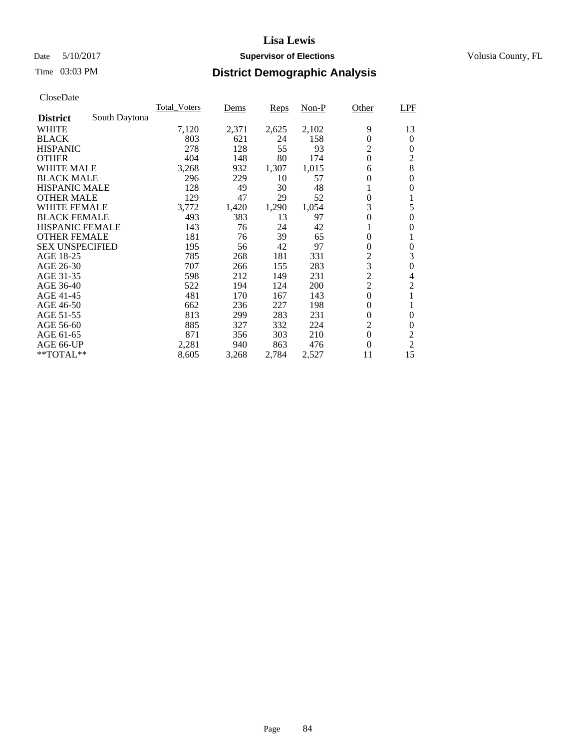### Date 5/10/2017 **Supervisor of Elections Supervisor of Elections** Volusia County, FL

# Time 03:03 PM **District Demographic Analysis**

| CloseDate              |               |                     |       |             |         |                  |                  |
|------------------------|---------------|---------------------|-------|-------------|---------|------------------|------------------|
|                        |               | <b>Total Voters</b> | Dems  | <u>Reps</u> | $Non-P$ | Other            | <b>LPF</b>       |
| <b>District</b>        | South Daytona |                     |       |             |         |                  |                  |
| <b>WHITE</b>           |               | 7,120               | 2,371 | 2,625       | 2,102   | 9                | 13               |
| <b>BLACK</b>           |               | 803                 | 621   | 24          | 158     | $\overline{0}$   | $\theta$         |
| <b>HISPANIC</b>        |               | 278                 | 128   | 55          | 93      | $\overline{2}$   | $\theta$         |
| <b>OTHER</b>           |               | 404                 | 148   | 80          | 174     | $\boldsymbol{0}$ | $\overline{2}$   |
| <b>WHITE MALE</b>      |               | 3,268               | 932   | 1,307       | 1,015   | 6                | 8                |
| <b>BLACK MALE</b>      |               | 296                 | 229   | 10          | 57      | 0                | $\theta$         |
| <b>HISPANIC MALE</b>   |               | 128                 | 49    | 30          | 48      | 1                | $\Omega$         |
| <b>OTHER MALE</b>      |               | 129                 | 47    | 29          | 52      | $\overline{0}$   | 1                |
| WHITE FEMALE           |               | 3,772               | 1,420 | 1,290       | 1,054   | 3                | 5                |
| <b>BLACK FEMALE</b>    |               | 493                 | 383   | 13          | 97      | $\overline{0}$   | $\theta$         |
| <b>HISPANIC FEMALE</b> |               | 143                 | 76    | 24          | 42      |                  | $\theta$         |
| <b>OTHER FEMALE</b>    |               | 181                 | 76    | 39          | 65      | $\overline{0}$   | 1                |
| <b>SEX UNSPECIFIED</b> |               | 195                 | 56    | 42          | 97      | 0                | $\theta$         |
| AGE 18-25              |               | 785                 | 268   | 181         | 331     | $\overline{c}$   | 3                |
| AGE 26-30              |               | 707                 | 266   | 155         | 283     | 3                | $\boldsymbol{0}$ |
| AGE 31-35              |               | 598                 | 212   | 149         | 231     | $\overline{2}$   | 4                |
| AGE 36-40              |               | 522                 | 194   | 124         | 200     | $\overline{2}$   | 2                |
| AGE 41-45              |               | 481                 | 170   | 167         | 143     | $\boldsymbol{0}$ | 1                |
| AGE 46-50              |               | 662                 | 236   | 227         | 198     | $\overline{0}$   | 1                |
| AGE 51-55              |               | 813                 | 299   | 283         | 231     | 0                | $\theta$         |
| AGE 56-60              |               | 885                 | 327   | 332         | 224     | $\overline{2}$   | $\theta$         |
| AGE 61-65              |               | 871                 | 356   | 303         | 210     | $\overline{0}$   | $\overline{c}$   |
| AGE 66-UP              |               | 2,281               | 940   | 863         | 476     | $\theta$         | $\overline{2}$   |
| $*$ TOTAL $*$          |               | 8,605               | 3,268 | 2,784       | 2,527   | 11               | 15               |